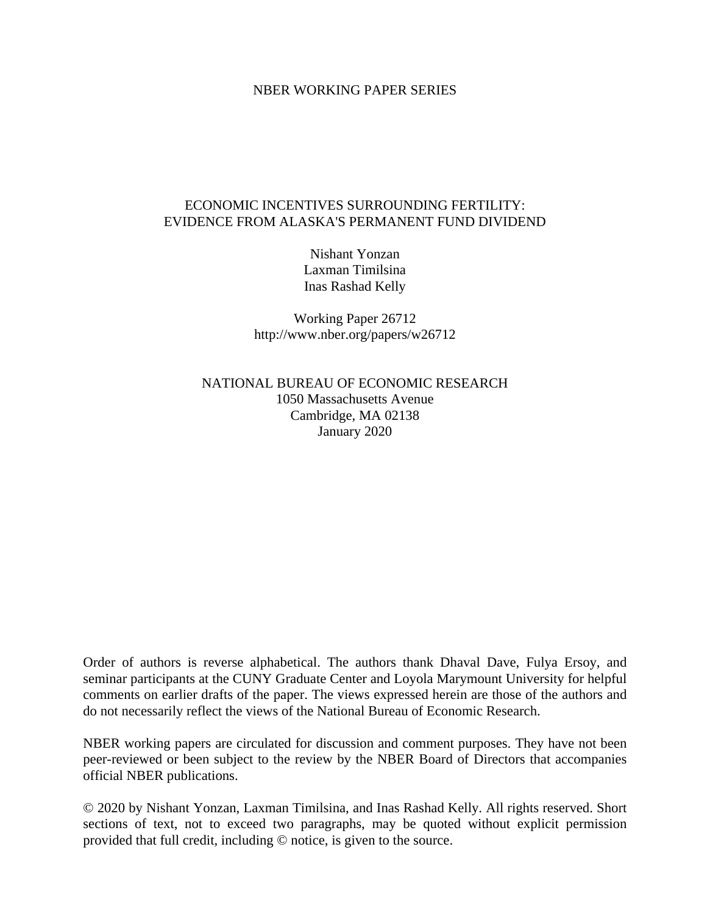#### NBER WORKING PAPER SERIES

## ECONOMIC INCENTIVES SURROUNDING FERTILITY: EVIDENCE FROM ALASKA'S PERMANENT FUND DIVIDEND

Nishant Yonzan Laxman Timilsina Inas Rashad Kelly

Working Paper 26712 http://www.nber.org/papers/w26712

NATIONAL BUREAU OF ECONOMIC RESEARCH 1050 Massachusetts Avenue Cambridge, MA 02138 January 2020

Order of authors is reverse alphabetical. The authors thank Dhaval Dave, Fulya Ersoy, and seminar participants at the CUNY Graduate Center and Loyola Marymount University for helpful comments on earlier drafts of the paper. The views expressed herein are those of the authors and do not necessarily reflect the views of the National Bureau of Economic Research.

NBER working papers are circulated for discussion and comment purposes. They have not been peer-reviewed or been subject to the review by the NBER Board of Directors that accompanies official NBER publications.

© 2020 by Nishant Yonzan, Laxman Timilsina, and Inas Rashad Kelly. All rights reserved. Short sections of text, not to exceed two paragraphs, may be quoted without explicit permission provided that full credit, including © notice, is given to the source.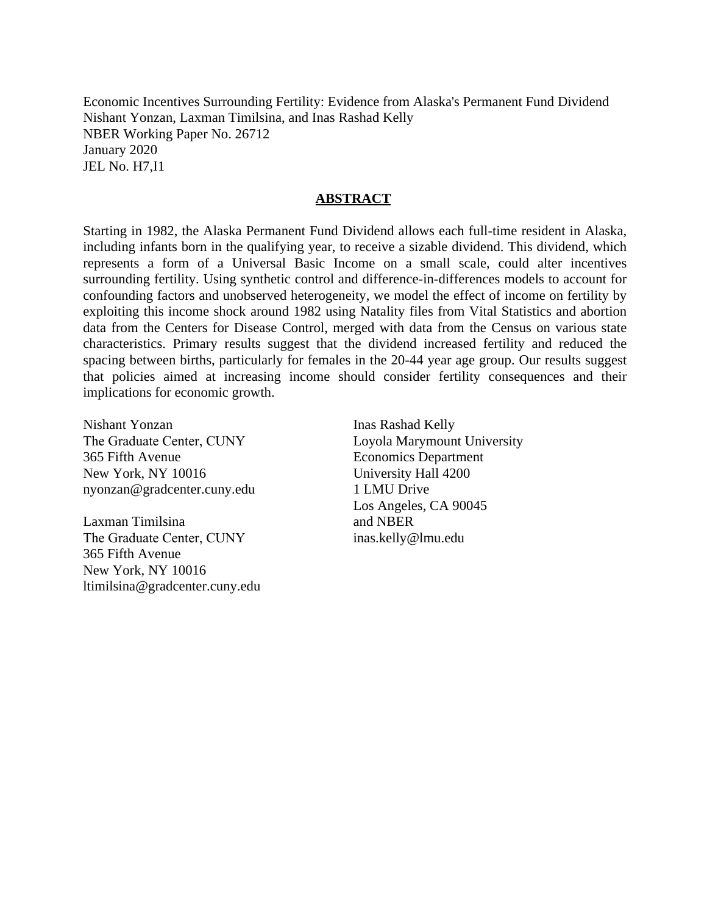Economic Incentives Surrounding Fertility: Evidence from Alaska's Permanent Fund Dividend Nishant Yonzan, Laxman Timilsina, and Inas Rashad Kelly NBER Working Paper No. 26712 January 2020 JEL No. H7,I1

### **ABSTRACT**

Starting in 1982, the Alaska Permanent Fund Dividend allows each full-time resident in Alaska, including infants born in the qualifying year, to receive a sizable dividend. This dividend, which represents a form of a Universal Basic Income on a small scale, could alter incentives surrounding fertility. Using synthetic control and difference-in-differences models to account for confounding factors and unobserved heterogeneity, we model the effect of income on fertility by exploiting this income shock around 1982 using Natality files from Vital Statistics and abortion data from the Centers for Disease Control, merged with data from the Census on various state characteristics. Primary results suggest that the dividend increased fertility and reduced the spacing between births, particularly for females in the 20-44 year age group. Our results suggest that policies aimed at increasing income should consider fertility consequences and their implications for economic growth.

Nishant Yonzan The Graduate Center, CUNY 365 Fifth Avenue New York, NY 10016 nyonzan@gradcenter.cuny.edu

Laxman Timilsina The Graduate Center, CUNY 365 Fifth Avenue New York, NY 10016 ltimilsina@gradcenter.cuny.edu

Inas Rashad Kelly Loyola Marymount University Economics Department University Hall 4200 1 LMU Drive Los Angeles, CA 90045 and NBER inas.kelly@lmu.edu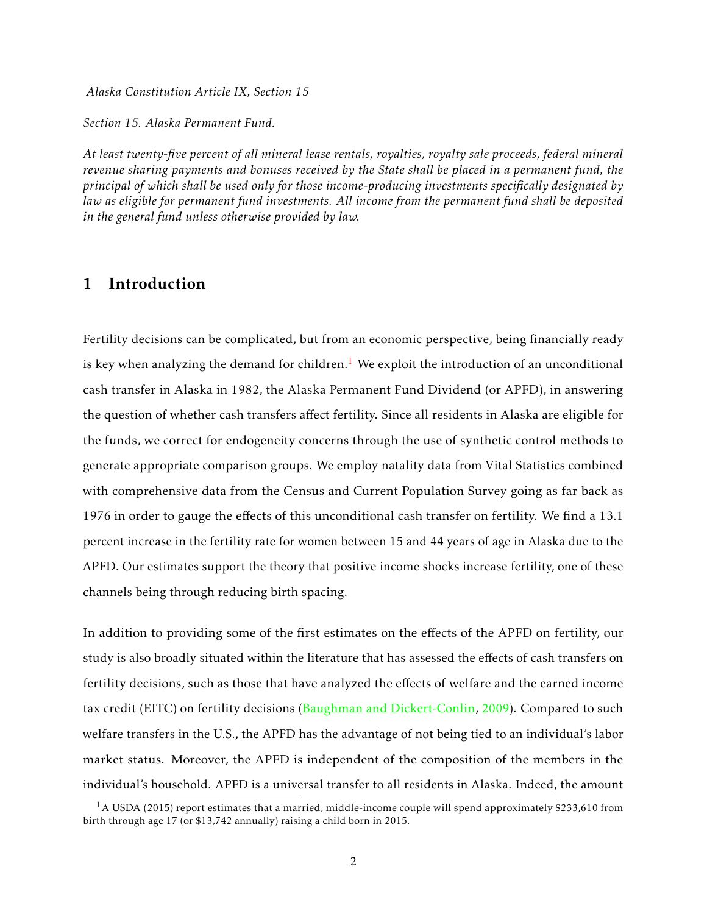*Alaska Constitution Article IX, Section 15*

*Section 15. Alaska Permanent Fund.*

*At least twenty-five percent of all mineral lease rentals, royalties, royalty sale proceeds, federal mineral revenue sharing payments and bonuses received by the State shall be placed in a permanent fund, the principal of which shall be used only for those income-producing investments specifically designated by law as eligible for permanent fund investments. All income from the permanent fund shall be deposited in the general fund unless otherwise provided by law.*

# 1 Introduction

Fertility decisions can be complicated, but from an economic perspective, being financially ready is key when analyzing the demand for children.<sup>[1](#page-2-0)</sup> We exploit the introduction of an unconditional cash transfer in Alaska in 1982, the Alaska Permanent Fund Dividend (or APFD), in answering the question of whether cash transfers affect fertility. Since all residents in Alaska are eligible for the funds, we correct for endogeneity concerns through the use of synthetic control methods to generate appropriate comparison groups. We employ natality data from Vital Statistics combined with comprehensive data from the Census and Current Population Survey going as far back as 1976 in order to gauge the effects of this unconditional cash transfer on fertility. We find a 13.1 percent increase in the fertility rate for women between 15 and 44 years of age in Alaska due to the APFD. Our estimates support the theory that positive income shocks increase fertility, one of these channels being through reducing birth spacing.

In addition to providing some of the first estimates on the effects of the APFD on fertility, our study is also broadly situated within the literature that has assessed the effects of cash transfers on fertility decisions, such as those that have analyzed the effects of welfare and the earned income tax credit (EITC) on fertility decisions [\(Baughman and Dickert-Conlin,](#page-26-0) [2009\)](#page-26-0). Compared to such welfare transfers in the U.S., the APFD has the advantage of not being tied to an individual's labor market status. Moreover, the APFD is independent of the composition of the members in the individual's household. APFD is a universal transfer to all residents in Alaska. Indeed, the amount

<span id="page-2-0"></span> $1_A$  USDA (2015) report estimates that a married, middle-income couple will spend approximately \$233,610 from birth through age 17 (or \$13,742 annually) raising a child born in 2015.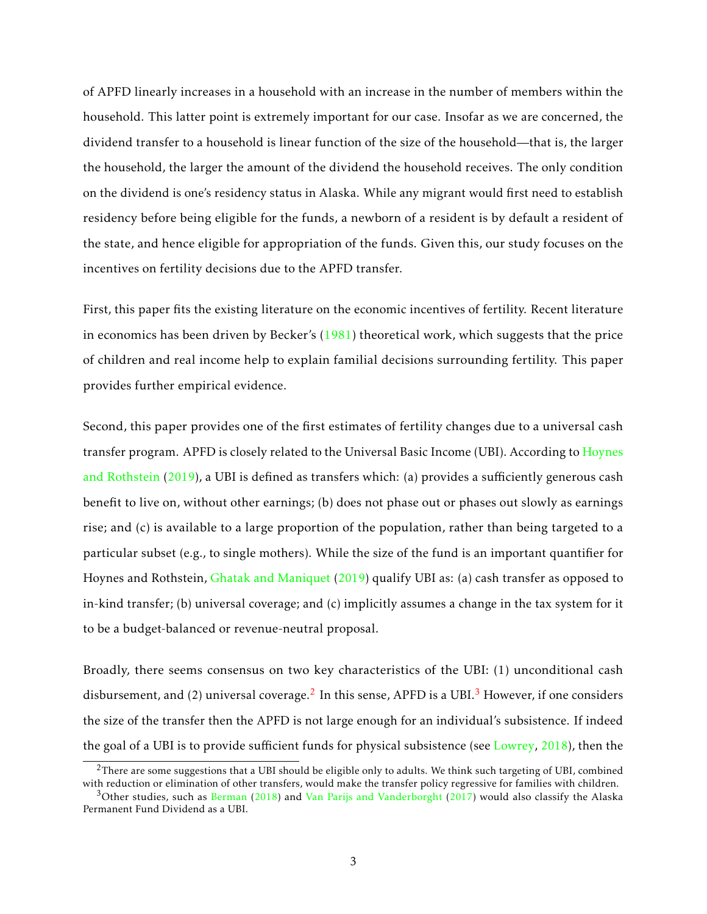of APFD linearly increases in a household with an increase in the number of members within the household. This latter point is extremely important for our case. Insofar as we are concerned, the dividend transfer to a household is linear function of the size of the household—that is, the larger the household, the larger the amount of the dividend the household receives. The only condition on the dividend is one's residency status in Alaska. While any migrant would first need to establish residency before being eligible for the funds, a newborn of a resident is by default a resident of the state, and hence eligible for appropriation of the funds. Given this, our study focuses on the incentives on fertility decisions due to the APFD transfer.

First, this paper fits the existing literature on the economic incentives of fertility. Recent literature in economics has been driven by Becker's [\(1981\)](#page-26-1) theoretical work, which suggests that the price of children and real income help to explain familial decisions surrounding fertility. This paper provides further empirical evidence.

Second, this paper provides one of the first estimates of fertility changes due to a universal cash transfer program. APFD is closely related to the Universal Basic Income (UBI). According to [Hoynes](#page-27-0) [and Rothstein](#page-27-0) [\(2019\)](#page-27-0), a UBI is defined as transfers which: (a) provides a sufficiently generous cash benefit to live on, without other earnings; (b) does not phase out or phases out slowly as earnings rise; and (c) is available to a large proportion of the population, rather than being targeted to a particular subset (e.g., to single mothers). While the size of the fund is an important quantifier for Hoynes and Rothstein, [Ghatak and Maniquet](#page-27-1) [\(2019\)](#page-27-1) qualify UBI as: (a) cash transfer as opposed to in-kind transfer; (b) universal coverage; and (c) implicitly assumes a change in the tax system for it to be a budget-balanced or revenue-neutral proposal.

Broadly, there seems consensus on two key characteristics of the UBI: (1) unconditional cash disbursement, and ([2](#page-3-0)) universal coverage. $^2$  In this sense, APFD is a UBI. $^3$  $^3$  However, if one considers the size of the transfer then the APFD is not large enough for an individual's subsistence. If indeed the goal of a UBI is to provide sufficient funds for physical subsistence (see [Lowrey,](#page-27-2) [2018\)](#page-27-2), then the

<span id="page-3-0"></span> $^{2}$ There are some suggestions that a UBI should be eligible only to adults. We think such targeting of UBI, combined with reduction or elimination of other transfers, would make the transfer policy regressive for families with children.

<span id="page-3-1"></span> $3$ Other studies, such as [Berman](#page-26-2) [\(2018\)](#page-26-2) and [Van Parijs and Vanderborght](#page-28-0) [\(2017\)](#page-28-0) would also classify the Alaska Permanent Fund Dividend as a UBI.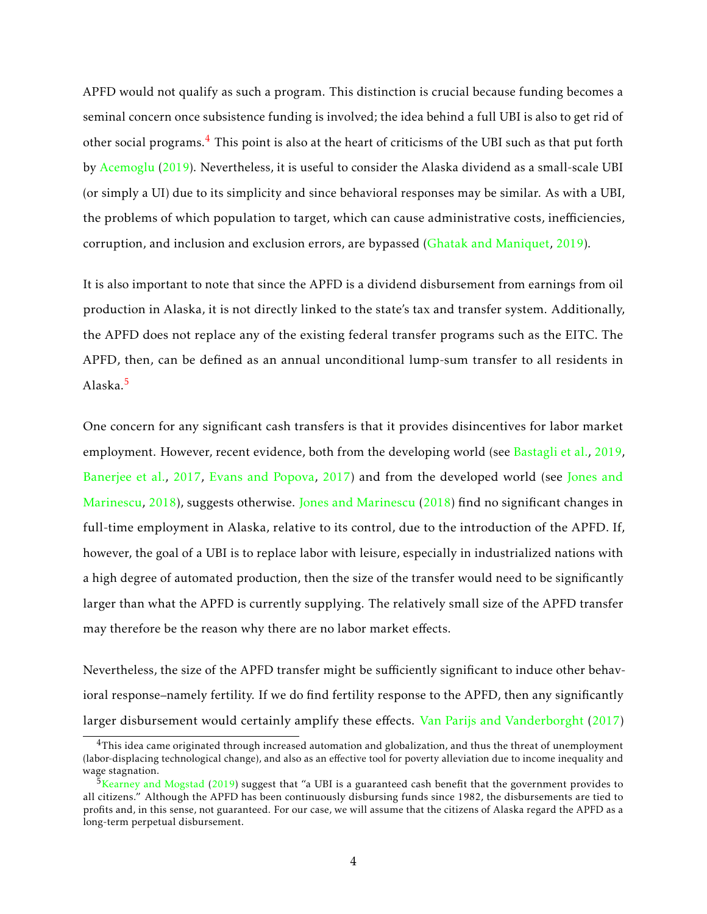APFD would not qualify as such a program. This distinction is crucial because funding becomes a seminal concern once subsistence funding is involved; the idea behind a full UBI is also to get rid of other social programs.[4](#page-4-0) This point is also at the heart of criticisms of the UBI such as that put forth by [Acemoglu](#page-26-3) [\(2019\)](#page-26-3). Nevertheless, it is useful to consider the Alaska dividend as a small-scale UBI (or simply a UI) due to its simplicity and since behavioral responses may be similar. As with a UBI, the problems of which population to target, which can cause administrative costs, inefficiencies, corruption, and inclusion and exclusion errors, are bypassed [\(Ghatak and Maniquet,](#page-27-1) [2019\)](#page-27-1).

It is also important to note that since the APFD is a dividend disbursement from earnings from oil production in Alaska, it is not directly linked to the state's tax and transfer system. Additionally, the APFD does not replace any of the existing federal transfer programs such as the EITC. The APFD, then, can be defined as an annual unconditional lump-sum transfer to all residents in Alaska.[5](#page-4-1)

One concern for any significant cash transfers is that it provides disincentives for labor market employment. However, recent evidence, both from the developing world (see [Bastagli et al.,](#page-26-4) [2019,](#page-26-4) [Banerjee et al.,](#page-26-5) [2017,](#page-26-5) [Evans and Popova,](#page-26-6) [2017\)](#page-26-6) and from the developed world (see [Jones and](#page-27-3) [Marinescu,](#page-27-3) [2018\)](#page-27-3), suggests otherwise. [Jones and Marinescu](#page-27-3) [\(2018\)](#page-27-3) find no significant changes in full-time employment in Alaska, relative to its control, due to the introduction of the APFD. If, however, the goal of a UBI is to replace labor with leisure, especially in industrialized nations with a high degree of automated production, then the size of the transfer would need to be significantly larger than what the APFD is currently supplying. The relatively small size of the APFD transfer may therefore be the reason why there are no labor market effects.

Nevertheless, the size of the APFD transfer might be sufficiently significant to induce other behavioral response–namely fertility. If we do find fertility response to the APFD, then any significantly larger disbursement would certainly amplify these effects. [Van Parijs and Vanderborght](#page-28-0) [\(2017\)](#page-28-0)

<span id="page-4-0"></span> $4$ This idea came originated through increased automation and globalization, and thus the threat of unemployment (labor-displacing technological change), and also as an effective tool for poverty alleviation due to income inequality and wage stagnation.

<span id="page-4-1"></span> $5$ [Kearney and Mogstad](#page-27-4) [\(2019\)](#page-27-4) suggest that "a UBI is a guaranteed cash benefit that the government provides to all citizens." Although the APFD has been continuously disbursing funds since 1982, the disbursements are tied to profits and, in this sense, not guaranteed. For our case, we will assume that the citizens of Alaska regard the APFD as a long-term perpetual disbursement.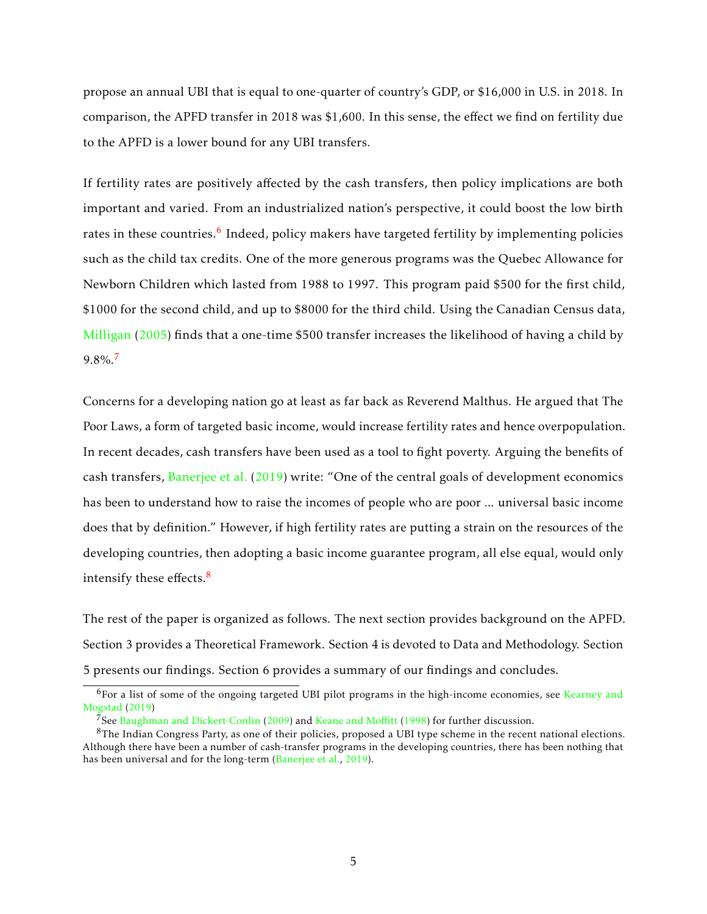propose an annual UBI that is equal to one-quarter of country's GDP, or \$16,000 in U.S. in 2018. In comparison, the APFD transfer in 2018 was \$1,600. In this sense, the effect we find on fertility due to the APFD is a lower bound for any UBI transfers.

If fertility rates are positively affected by the cash transfers, then policy implications are both important and varied. From an industrialized nation's perspective, it could boost the low birth rates in these countries.<sup>[6](#page-5-0)</sup> Indeed, policy makers have targeted fertility by implementing policies such as the child tax credits. One of the more generous programs was the Quebec Allowance for Newborn Children which lasted from 1988 to 1997. This program paid \$500 for the first child, \$1000 for the second child, and up to \$8000 for the third child. Using the Canadian Census data, [Milligan](#page-27-5) [\(2005\)](#page-27-5) finds that a one-time \$500 transfer increases the likelihood of having a child by 9.8%.[7](#page-5-1)

Concerns for a developing nation go at least as far back as Reverend Malthus. He argued that The Poor Laws, a form of targeted basic income, would increase fertility rates and hence overpopulation. In recent decades, cash transfers have been used as a tool to fight poverty. Arguing the benefits of cash transfers, [Banerjee et al.](#page-26-7) [\(2019\)](#page-26-7) write: "One of the central goals of development economics has been to understand how to raise the incomes of people who are poor ... universal basic income does that by definition." However, if high fertility rates are putting a strain on the resources of the developing countries, then adopting a basic income guarantee program, all else equal, would only intensify these effects. $8$ 

The rest of the paper is organized as follows. The next section provides background on the APFD. Section 3 provides a Theoretical Framework. Section 4 is devoted to Data and Methodology. Section 5 presents our findings. Section 6 provides a summary of our findings and concludes.

<span id="page-5-0"></span><sup>&</sup>lt;sup>6</sup>For a list of some of the ongoing targeted UBI pilot programs in the high-income economies, see [Kearney and](#page-27-4) [Mogstad](#page-27-4) [\(2019\)](#page-27-4)

<span id="page-5-2"></span><span id="page-5-1"></span> $\bar{7}$ See [Baughman and Dickert-Conlin](#page-26-0) [\(2009\)](#page-26-0) and [Keane and Mo](#page-27-6)ffitt [\(1998\)](#page-27-6) for further discussion.

 ${}^{8}$ The Indian Congress Party, as one of their policies, proposed a UBI type scheme in the recent national elections. Although there have been a number of cash-transfer programs in the developing countries, there has been nothing that has been universal and for the long-term [\(Banerjee et al.,](#page-26-7) [2019\)](#page-26-7).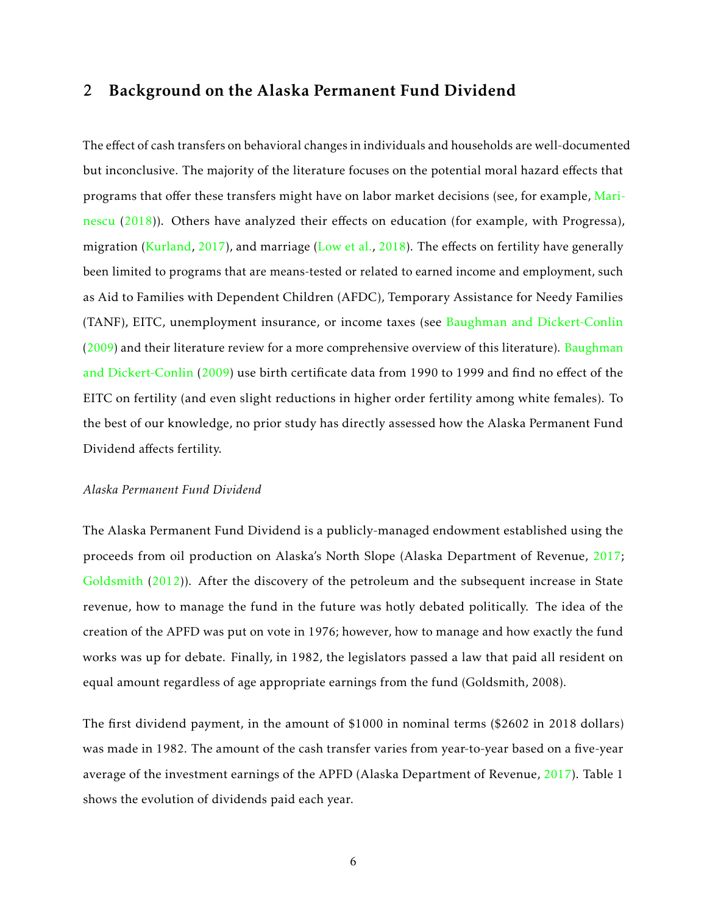# 2 Background on the Alaska Permanent Fund Dividend

The effect of cash transfers on behavioral changes in individuals and households are well-documented but inconclusive. The majority of the literature focuses on the potential moral hazard effects that programs that offer these transfers might have on labor market decisions (see, for example, [Mari](#page-27-7)[nescu](#page-27-7) [\(2018\)](#page-27-7)). Others have analyzed their effects on education (for example, with Progressa), migration [\(Kurland,](#page-27-8) [2017\)](#page-27-8), and marriage [\(Low et al.,](#page-27-9) [2018\)](#page-27-9). The effects on fertility have generally been limited to programs that are means-tested or related to earned income and employment, such as Aid to Families with Dependent Children (AFDC), Temporary Assistance for Needy Families (TANF), EITC, unemployment insurance, or income taxes (see [Baughman and Dickert-Conlin](#page-26-0) [\(2009\)](#page-26-0) and their literature review for a more comprehensive overview of this literature). [Baughman](#page-26-0) [and Dickert-Conlin](#page-26-0) [\(2009\)](#page-26-0) use birth certificate data from 1990 to 1999 and find no effect of the EITC on fertility (and even slight reductions in higher order fertility among white females). To the best of our knowledge, no prior study has directly assessed how the Alaska Permanent Fund Dividend affects fertility.

#### *Alaska Permanent Fund Dividend*

The Alaska Permanent Fund Dividend is a publicly-managed endowment established using the proceeds from oil production on Alaska's North Slope (Alaska Department of Revenue, [2017;](#page-26-8) [Goldsmith](#page-27-10) [\(2012\)](#page-27-10)). After the discovery of the petroleum and the subsequent increase in State revenue, how to manage the fund in the future was hotly debated politically. The idea of the creation of the APFD was put on vote in 1976; however, how to manage and how exactly the fund works was up for debate. Finally, in 1982, the legislators passed a law that paid all resident on equal amount regardless of age appropriate earnings from the fund (Goldsmith, 2008).

The first dividend payment, in the amount of \$1000 in nominal terms (\$2602 in 2018 dollars) was made in 1982. The amount of the cash transfer varies from year-to-year based on a five-year average of the investment earnings of the APFD (Alaska Department of Revenue, [2017\)](#page-26-8). Table 1 shows the evolution of dividends paid each year.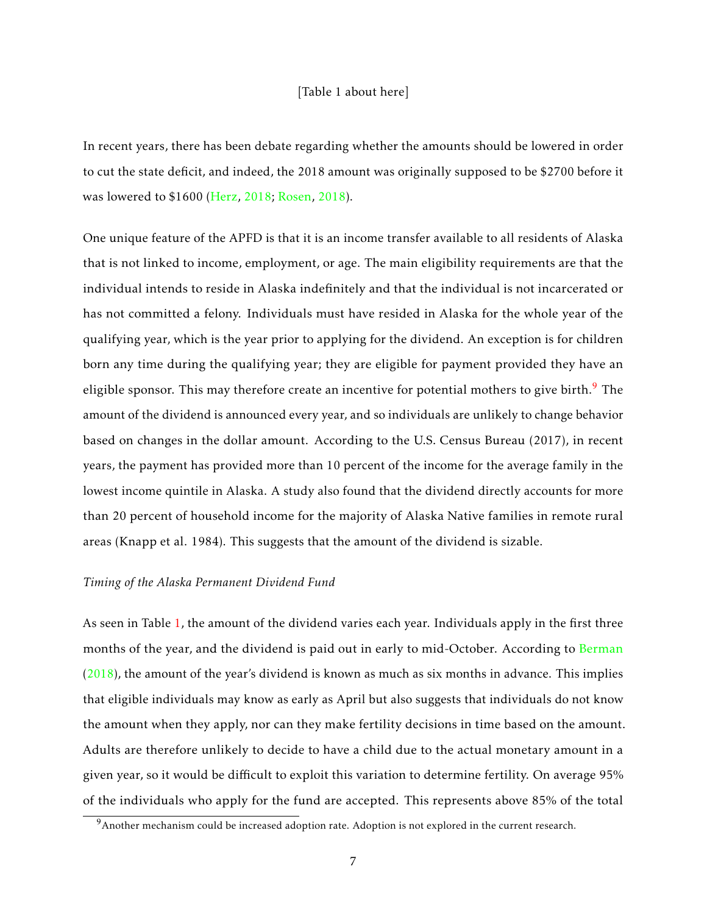#### [Table 1 about here]

In recent years, there has been debate regarding whether the amounts should be lowered in order to cut the state deficit, and indeed, the 2018 amount was originally supposed to be \$2700 before it was lowered to \$1600 [\(Herz,](#page-27-11) [2018;](#page-27-11) [Rosen,](#page-28-1) [2018\)](#page-28-1).

One unique feature of the APFD is that it is an income transfer available to all residents of Alaska that is not linked to income, employment, or age. The main eligibility requirements are that the individual intends to reside in Alaska indefinitely and that the individual is not incarcerated or has not committed a felony. Individuals must have resided in Alaska for the whole year of the qualifying year, which is the year prior to applying for the dividend. An exception is for children born any time during the qualifying year; they are eligible for payment provided they have an eligible sponsor. This may therefore create an incentive for potential mothers to give birth.<sup>[9](#page-7-0)</sup> The amount of the dividend is announced every year, and so individuals are unlikely to change behavior based on changes in the dollar amount. According to the U.S. Census Bureau (2017), in recent years, the payment has provided more than 10 percent of the income for the average family in the lowest income quintile in Alaska. A study also found that the dividend directly accounts for more than 20 percent of household income for the majority of Alaska Native families in remote rural areas (Knapp et al. 1984). This suggests that the amount of the dividend is sizable.

#### *Timing of the Alaska Permanent Dividend Fund*

As seen in Table [1,](#page-34-0) the amount of the dividend varies each year. Individuals apply in the first three months of the year, and the dividend is paid out in early to mid-October. According to [Berman](#page-26-2) [\(2018\)](#page-26-2), the amount of the year's dividend is known as much as six months in advance. This implies that eligible individuals may know as early as April but also suggests that individuals do not know the amount when they apply, nor can they make fertility decisions in time based on the amount. Adults are therefore unlikely to decide to have a child due to the actual monetary amount in a given year, so it would be difficult to exploit this variation to determine fertility. On average 95% of the individuals who apply for the fund are accepted. This represents above 85% of the total

<span id="page-7-0"></span> $9$ Another mechanism could be increased adoption rate. Adoption is not explored in the current research.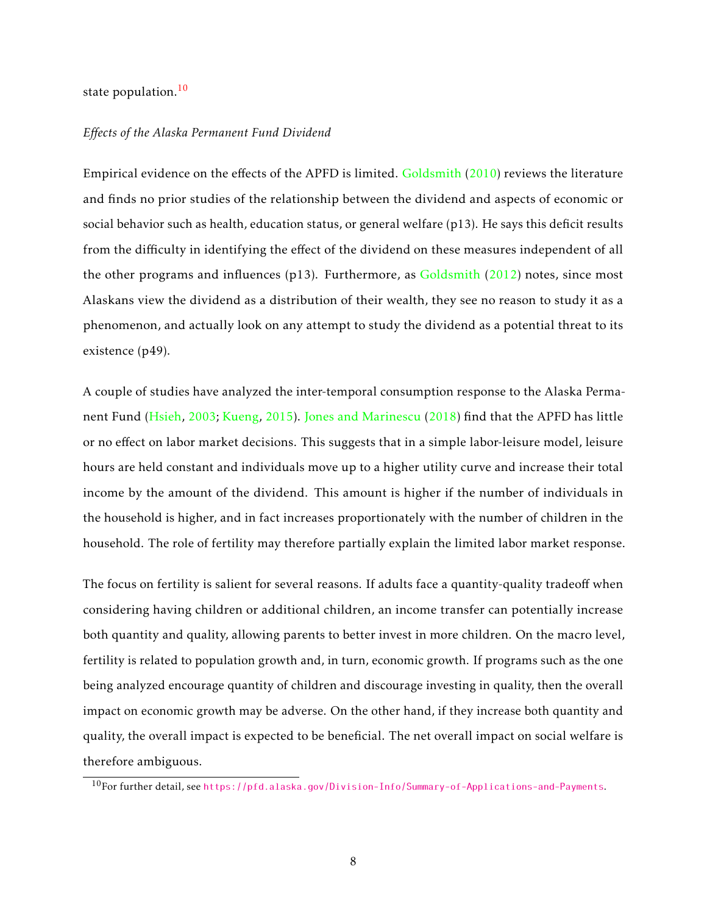#### state population.<sup>[10](#page-8-0)</sup>

#### *Effects of the Alaska Permanent Fund Dividend*

Empirical evidence on the effects of the APFD is limited. [Goldsmith](#page-27-12) [\(2010\)](#page-27-12) reviews the literature and finds no prior studies of the relationship between the dividend and aspects of economic or social behavior such as health, education status, or general welfare (p13). He says this deficit results from the difficulty in identifying the effect of the dividend on these measures independent of all the other programs and influences (p13). Furthermore, as [Goldsmith](#page-27-10) [\(2012\)](#page-27-10) notes, since most Alaskans view the dividend as a distribution of their wealth, they see no reason to study it as a phenomenon, and actually look on any attempt to study the dividend as a potential threat to its existence (p49).

A couple of studies have analyzed the inter-temporal consumption response to the Alaska Permanent Fund [\(Hsieh,](#page-27-13) [2003;](#page-27-13) [Kueng,](#page-27-14) [2015\)](#page-27-14). [Jones and Marinescu](#page-27-3) [\(2018\)](#page-27-3) find that the APFD has little or no effect on labor market decisions. This suggests that in a simple labor-leisure model, leisure hours are held constant and individuals move up to a higher utility curve and increase their total income by the amount of the dividend. This amount is higher if the number of individuals in the household is higher, and in fact increases proportionately with the number of children in the household. The role of fertility may therefore partially explain the limited labor market response.

The focus on fertility is salient for several reasons. If adults face a quantity-quality tradeoff when considering having children or additional children, an income transfer can potentially increase both quantity and quality, allowing parents to better invest in more children. On the macro level, fertility is related to population growth and, in turn, economic growth. If programs such as the one being analyzed encourage quantity of children and discourage investing in quality, then the overall impact on economic growth may be adverse. On the other hand, if they increase both quantity and quality, the overall impact is expected to be beneficial. The net overall impact on social welfare is therefore ambiguous.

<span id="page-8-0"></span><sup>10</sup>For further detail, see <https://pfd.alaska.gov/Division-Info/Summary-of-Applications-and-Payments>.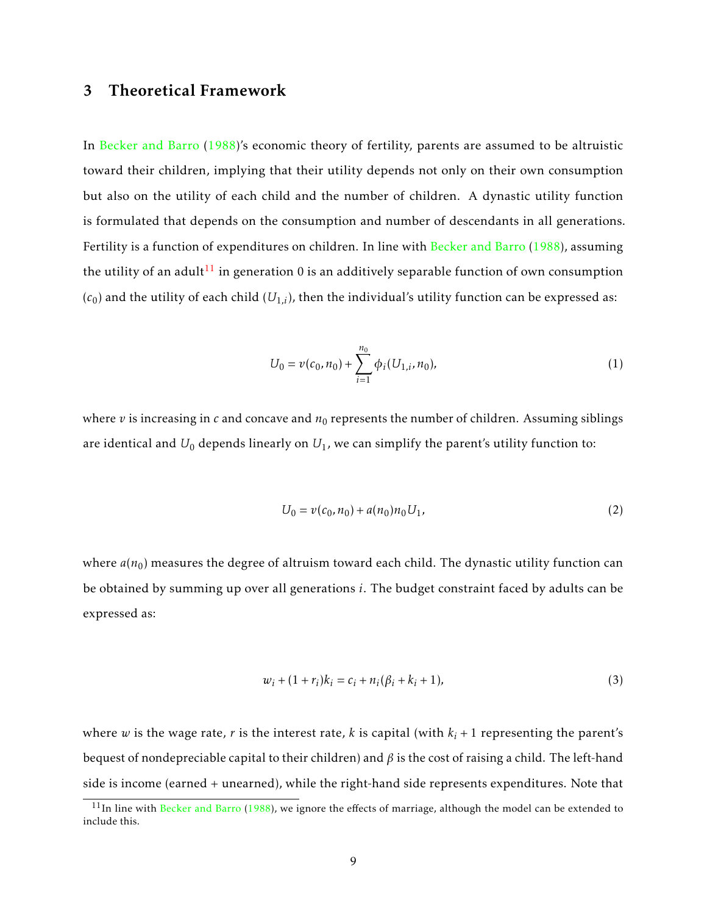# 3 Theoretical Framework

In [Becker and Barro](#page-26-9) [\(1988\)](#page-26-9)'s economic theory of fertility, parents are assumed to be altruistic toward their children, implying that their utility depends not only on their own consumption but also on the utility of each child and the number of children. A dynastic utility function is formulated that depends on the consumption and number of descendants in all generations. Fertility is a function of expenditures on children. In line with [Becker and Barro](#page-26-9) [\(1988\)](#page-26-9), assuming the utility of an adult<sup>[11](#page-9-0)</sup> in generation 0 is an additively separable function of own consumption  $(c_0)$  and the utility of each child  $(U_{1,i})$ , then the individual's utility function can be expressed as:

$$
U_0 = v(c_0, n_0) + \sum_{i=1}^{n_0} \phi_i(U_{1,i}, n_0),
$$
\n(1)

where  $v$  is increasing in  $c$  and concave and  $n_0$  represents the number of children. Assuming siblings are identical and  $U_0$  depends linearly on  $U_1$ , we can simplify the parent's utility function to:

$$
U_0 = v(c_0, n_0) + a(n_0)n_0 U_1,
$$
\n(2)

where  $a(n_0)$  measures the degree of altruism toward each child. The dynastic utility function can be obtained by summing up over all generations *i*. The budget constraint faced by adults can be expressed as:

$$
w_i + (1 + r_i)k_i = c_i + n_i(\beta_i + k_i + 1),
$$
\n(3)

where *w* is the wage rate, *r* is the interest rate, *k* is capital (with  $k_i + 1$  representing the parent's bequest of nondepreciable capital to their children) and *β* is the cost of raising a child. The left-hand side is income (earned + unearned), while the right-hand side represents expenditures. Note that

<span id="page-9-0"></span> $11$ In line with [Becker and Barro](#page-26-9) [\(1988\)](#page-26-9), we ignore the effects of marriage, although the model can be extended to include this.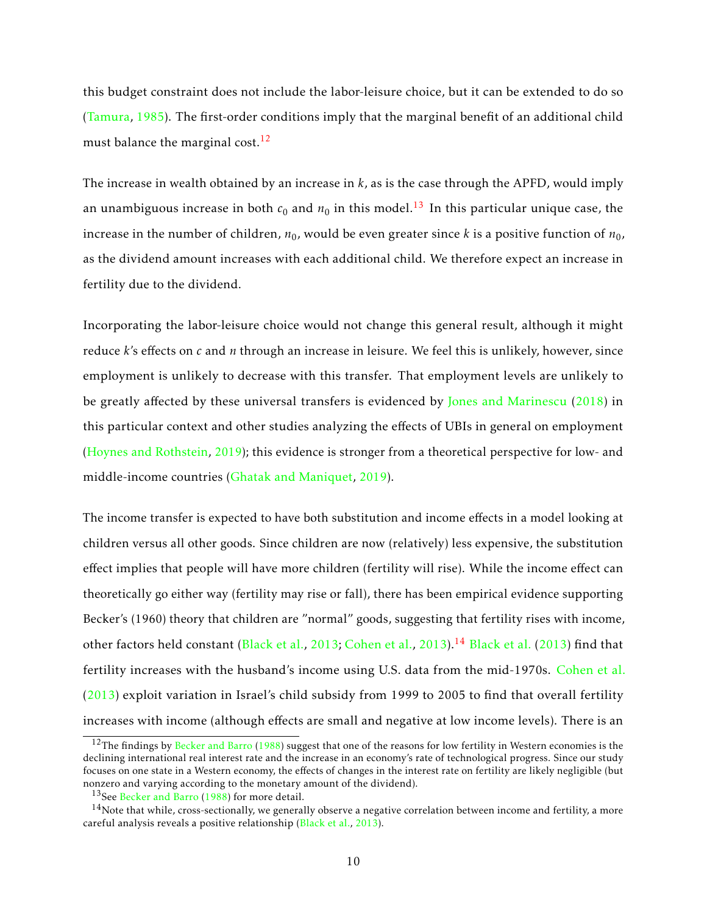this budget constraint does not include the labor-leisure choice, but it can be extended to do so [\(Tamura,](#page-28-2) [1985\)](#page-28-2). The first-order conditions imply that the marginal benefit of an additional child must balance the marginal cost.<sup>[12](#page-10-0)</sup>

The increase in wealth obtained by an increase in *k*, as is the case through the APFD, would imply an unambiguous increase in both  $c_0$  and  $n_0$  in this model.<sup>[13](#page-10-1)</sup> In this particular unique case, the increase in the number of children,  $n_0$ , would be even greater since *k* is a positive function of  $n_0$ , as the dividend amount increases with each additional child. We therefore expect an increase in fertility due to the dividend.

Incorporating the labor-leisure choice would not change this general result, although it might reduce *k*'s effects on *c* and *n* through an increase in leisure. We feel this is unlikely, however, since employment is unlikely to decrease with this transfer. That employment levels are unlikely to be greatly affected by these universal transfers is evidenced by [Jones and Marinescu](#page-27-3) [\(2018\)](#page-27-3) in this particular context and other studies analyzing the effects of UBIs in general on employment [\(Hoynes and Rothstein,](#page-27-0) [2019\)](#page-27-0); this evidence is stronger from a theoretical perspective for low- and middle-income countries [\(Ghatak and Maniquet,](#page-27-1) [2019\)](#page-27-1).

The income transfer is expected to have both substitution and income effects in a model looking at children versus all other goods. Since children are now (relatively) less expensive, the substitution effect implies that people will have more children (fertility will rise). While the income effect can theoretically go either way (fertility may rise or fall), there has been empirical evidence supporting Becker's (1960) theory that children are "normal" goods, suggesting that fertility rises with income, other factors held constant [\(Black et al.,](#page-26-10) [2013;](#page-26-10) [Cohen et al.,](#page-26-11) [2013\)](#page-26-11).<sup>[14](#page-10-2)</sup> [Black et al.](#page-26-10) [\(2013\)](#page-26-10) find that fertility increases with the husband's income using U.S. data from the mid-1970s. [Cohen et al.](#page-26-11) [\(2013\)](#page-26-11) exploit variation in Israel's child subsidy from 1999 to 2005 to find that overall fertility increases with income (although effects are small and negative at low income levels). There is an

<span id="page-10-0"></span><sup>&</sup>lt;sup>12</sup>The findings by [Becker and Barro](#page-26-9) [\(1988\)](#page-26-9) suggest that one of the reasons for low fertility in Western economies is the declining international real interest rate and the increase in an economy's rate of technological progress. Since our study focuses on one state in a Western economy, the effects of changes in the interest rate on fertility are likely negligible (but nonzero and varying according to the monetary amount of the dividend).

<span id="page-10-2"></span><span id="page-10-1"></span><sup>&</sup>lt;sup>13</sup>See [Becker and Barro](#page-26-9) [\(1988\)](#page-26-9) for more detail.

 $14$ Note that while, cross-sectionally, we generally observe a negative correlation between income and fertility, a more careful analysis reveals a positive relationship [\(Black et al.,](#page-26-10) [2013\)](#page-26-10).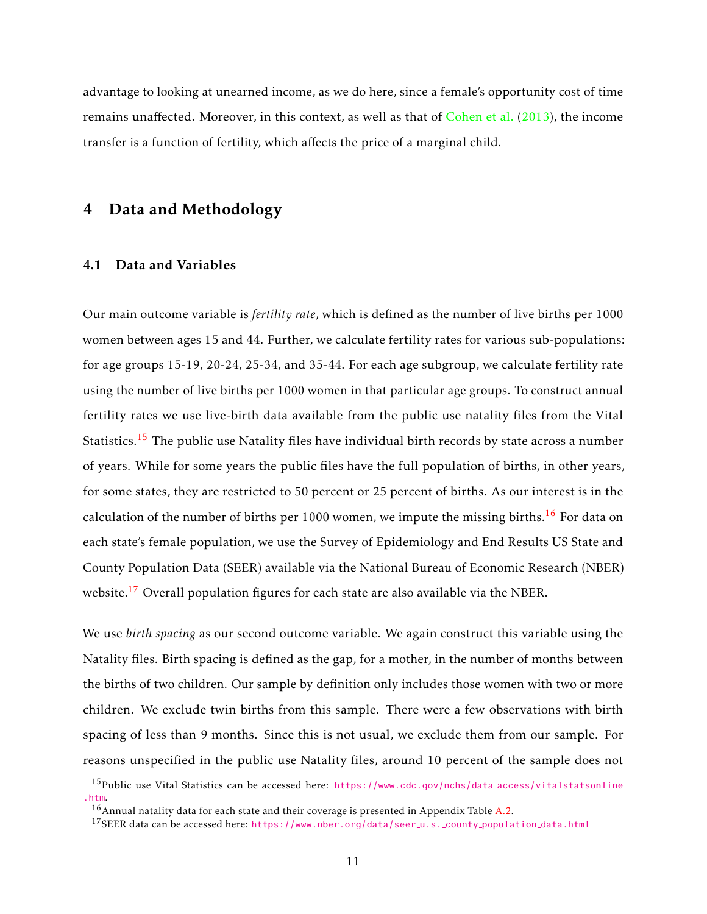advantage to looking at unearned income, as we do here, since a female's opportunity cost of time remains unaffected. Moreover, in this context, as well as that of [Cohen et al.](#page-26-11) [\(2013\)](#page-26-11), the income transfer is a function of fertility, which affects the price of a marginal child.

# 4 Data and Methodology

#### 4.1 Data and Variables

Our main outcome variable is *fertility rate*, which is defined as the number of live births per 1000 women between ages 15 and 44. Further, we calculate fertility rates for various sub-populations: for age groups 15-19, 20-24, 25-34, and 35-44. For each age subgroup, we calculate fertility rate using the number of live births per 1000 women in that particular age groups. To construct annual fertility rates we use live-birth data available from the public use natality files from the Vital Statistics.<sup>[15](#page-11-0)</sup> The public use Natality files have individual birth records by state across a number of years. While for some years the public files have the full population of births, in other years, for some states, they are restricted to 50 percent or 25 percent of births. As our interest is in the calculation of the number of births per 1000 women, we impute the missing births.<sup>[16](#page-11-1)</sup> For data on each state's female population, we use the Survey of Epidemiology and End Results US State and County Population Data (SEER) available via the National Bureau of Economic Research (NBER) website.<sup>[17](#page-11-2)</sup> Overall population figures for each state are also available via the NBER.

We use *birth spacing* as our second outcome variable. We again construct this variable using the Natality files. Birth spacing is defined as the gap, for a mother, in the number of months between the births of two children. Our sample by definition only includes those women with two or more children. We exclude twin births from this sample. There were a few observations with birth spacing of less than 9 months. Since this is not usual, we exclude them from our sample. For reasons unspecified in the public use Natality files, around 10 percent of the sample does not

<span id="page-11-0"></span><sup>15</sup>Public use Vital Statistics can be accessed here: [https://www.cdc.gov/nchs/data](https://www.cdc.gov/nchs/data_access/vitalstatsonline.htm) access/vitalstatsonline [.htm](https://www.cdc.gov/nchs/data_access/vitalstatsonline.htm).

<span id="page-11-1"></span> $16$ Annual natality data for each state and their coverage is presented in Appendix Table [A.2.](#page-50-0)

<span id="page-11-2"></span><sup>&</sup>lt;sup>17</sup>SEER data can be accessed here: [https://www.nber.org/data/seer](https://www.nber.org/data/seer_u.s._county_population_data.html)\_u.s. county\_population\_data.html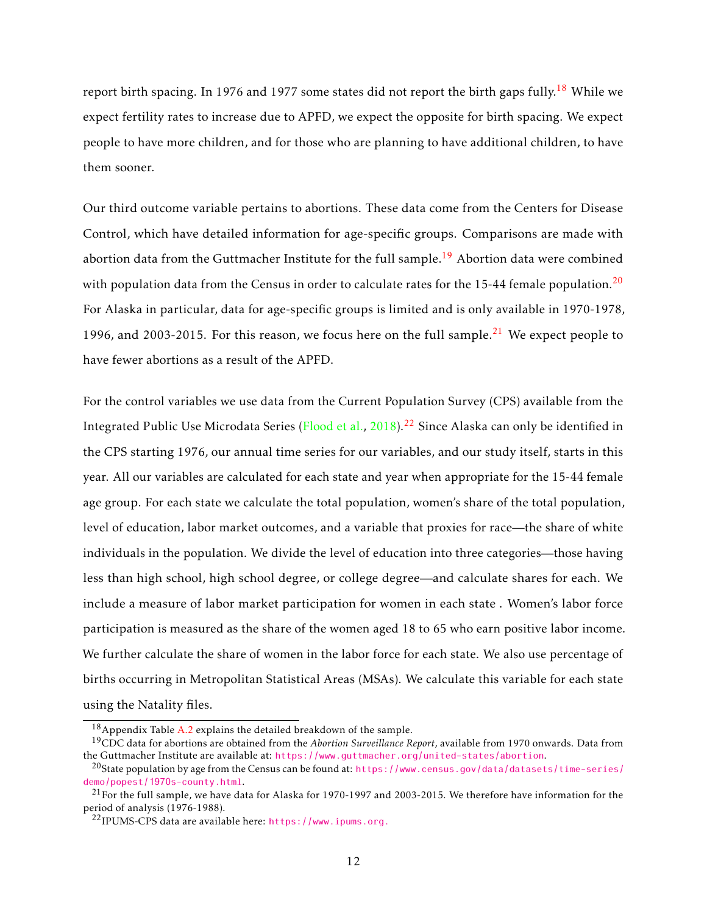report birth spacing. In 1976 and 1977 some states did not report the birth gaps fully.<sup>[18](#page-12-0)</sup> While we expect fertility rates to increase due to APFD, we expect the opposite for birth spacing. We expect people to have more children, and for those who are planning to have additional children, to have them sooner.

Our third outcome variable pertains to abortions. These data come from the Centers for Disease Control, which have detailed information for age-specific groups. Comparisons are made with abortion data from the Guttmacher Institute for the full sample.<sup>[19](#page-12-1)</sup> Abortion data were combined with population data from the Census in order to calculate rates for the 15-44 female population.<sup>[20](#page-12-2)</sup> For Alaska in particular, data for age-specific groups is limited and is only available in 1970-1978, 1996, and 2003-2015. For this reason, we focus here on the full sample.<sup>[21](#page-12-3)</sup> We expect people to have fewer abortions as a result of the APFD.

For the control variables we use data from the Current Population Survey (CPS) available from the Integrated Public Use Microdata Series [\(Flood et al.,](#page-27-15) [2018\)](#page-27-15).<sup>[22](#page-12-4)</sup> Since Alaska can only be identified in the CPS starting 1976, our annual time series for our variables, and our study itself, starts in this year. All our variables are calculated for each state and year when appropriate for the 15-44 female age group. For each state we calculate the total population, women's share of the total population, level of education, labor market outcomes, and a variable that proxies for race—the share of white individuals in the population. We divide the level of education into three categories—those having less than high school, high school degree, or college degree—and calculate shares for each. We include a measure of labor market participation for women in each state . Women's labor force participation is measured as the share of the women aged 18 to 65 who earn positive labor income. We further calculate the share of women in the labor force for each state. We also use percentage of births occurring in Metropolitan Statistical Areas (MSAs). We calculate this variable for each state using the Natality files.

<span id="page-12-1"></span><span id="page-12-0"></span><sup>18</sup>Appendix Table [A.2](#page-50-0) explains the detailed breakdown of the sample.

<sup>19</sup>CDC data for abortions are obtained from the *Abortion Surveillance Report*, available from 1970 onwards. Data from the Guttmacher Institute are available at: <https://www.guttmacher.org/united-states/abortion>.

<span id="page-12-2"></span><sup>&</sup>lt;sup>20</sup>State population by age from the Census can be found at: [https://www.census.gov/data/datasets/time-series/](https://www.census.gov/data/datasets/time-series/demo/popest/1970s-county.html) [demo/popest/1970s-county.html](https://www.census.gov/data/datasets/time-series/demo/popest/1970s-county.html).

<span id="page-12-3"></span> $^{21}$  For the full sample, we have data for Alaska for 1970-1997 and 2003-2015. We therefore have information for the period of analysis (1976-1988).

<span id="page-12-4"></span><sup>22</sup>IPUMS-CPS data are available here: <https://www.ipums.org.>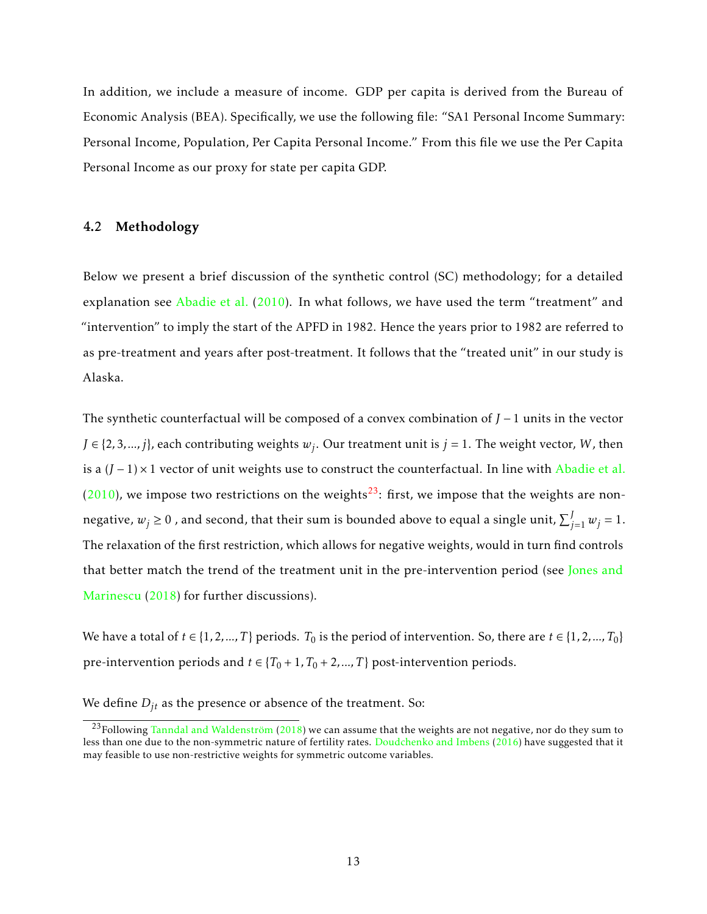In addition, we include a measure of income. GDP per capita is derived from the Bureau of Economic Analysis (BEA). Specifically, we use the following file: "SA1 Personal Income Summary: Personal Income, Population, Per Capita Personal Income." From this file we use the Per Capita Personal Income as our proxy for state per capita GDP.

#### 4.2 Methodology

Below we present a brief discussion of the synthetic control (SC) methodology; for a detailed explanation see [Abadie et al.](#page-26-12) [\(2010\)](#page-26-12). In what follows, we have used the term "treatment" and "intervention" to imply the start of the APFD in 1982. Hence the years prior to 1982 are referred to as pre-treatment and years after post-treatment. It follows that the "treated unit" in our study is Alaska.

The synthetic counterfactual will be composed of a convex combination of *J* − 1 units in the vector  $J \in \{2, 3, ..., j\}$ , each contributing weights  $w_j$ . Our treatment unit is  $j = 1$ . The weight vector, *W*, then is a (*J* − 1) × 1 vector of unit weights use to construct the counterfactual. In line with [Abadie et al.](#page-26-12)  $(2010)$ , we impose two restrictions on the weights<sup>[23](#page-13-0)</sup>: first, we impose that the weights are nonnegative,  $w_j \ge 0$  , and second, that their sum is bounded above to equal a single unit,  $\sum_{j=1}^{J} w_j = 1.$ The relaxation of the first restriction, which allows for negative weights, would in turn find controls that better match the trend of the treatment unit in the pre-intervention period (see [Jones and](#page-27-3) [Marinescu](#page-27-3) [\(2018\)](#page-27-3) for further discussions).

We have a total of  $t \in \{1, 2, ..., T\}$  periods.  $T_0$  is the period of intervention. So, there are  $t \in \{1, 2, ..., T_0\}$ pre-intervention periods and  $t \in \{T_0 + 1, T_0 + 2, ..., T\}$  post-intervention periods.

We define  $D_{jt}$  as the presence or absence of the treatment. So:

<span id="page-13-0"></span><sup>&</sup>lt;sup>23</sup>Following Tanndal and Waldenström [\(2018\)](#page-28-3) we can assume that the weights are not negative, nor do they sum to less than one due to the non-symmetric nature of fertility rates. [Doudchenko and Imbens](#page-26-13) [\(2016\)](#page-26-13) have suggested that it may feasible to use non-restrictive weights for symmetric outcome variables.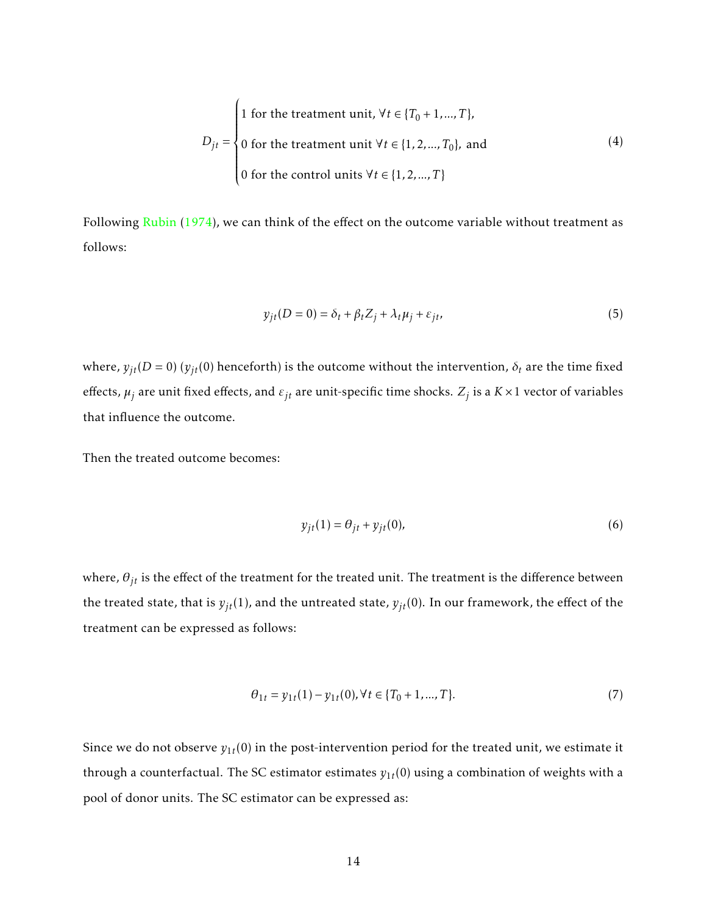$$
D_{jt} = \begin{cases} 1 \text{ for the treatment unit, } \forall t \in \{T_0 + 1, ..., T\}, \\ 0 \text{ for the treatment unit } \forall t \in \{1, 2, ..., T_0\}, \text{ and} \\ 0 \text{ for the control units } \forall t \in \{1, 2, ..., T\} \end{cases}
$$
(4)

Following [Rubin](#page-28-4) [\(1974\)](#page-28-4), we can think of the effect on the outcome variable without treatment as follows:

$$
y_{jt}(D=0) = \delta_t + \beta_t Z_j + \lambda_t \mu_j + \varepsilon_{jt},\tag{5}
$$

where,  $y_{it}(D = 0)$  ( $y_{it}(0)$  henceforth) is the outcome without the intervention,  $\delta_t$  are the time fixed effects,  $\mu_j$  are unit fixed effects, and  $\varepsilon_{jt}$  are unit-specific time shocks.  $Z_j$  is a  $K \times 1$  vector of variables that influence the outcome.

Then the treated outcome becomes:

$$
y_{jt}(1) = \theta_{jt} + y_{jt}(0),\tag{6}
$$

where,  $\theta_{jt}$  is the effect of the treatment for the treated unit. The treatment is the difference between the treated state, that is  $y_{jt}(1)$ , and the untreated state,  $y_{jt}(0)$ . In our framework, the effect of the treatment can be expressed as follows:

$$
\theta_{1t} = y_{1t}(1) - y_{1t}(0), \forall t \in \{T_0 + 1, ..., T\}.
$$
\n(7)

Since we do not observe  $y_{1t}(0)$  in the post-intervention period for the treated unit, we estimate it through a counterfactual. The SC estimator estimates  $y_{1t}(0)$  using a combination of weights with a pool of donor units. The SC estimator can be expressed as: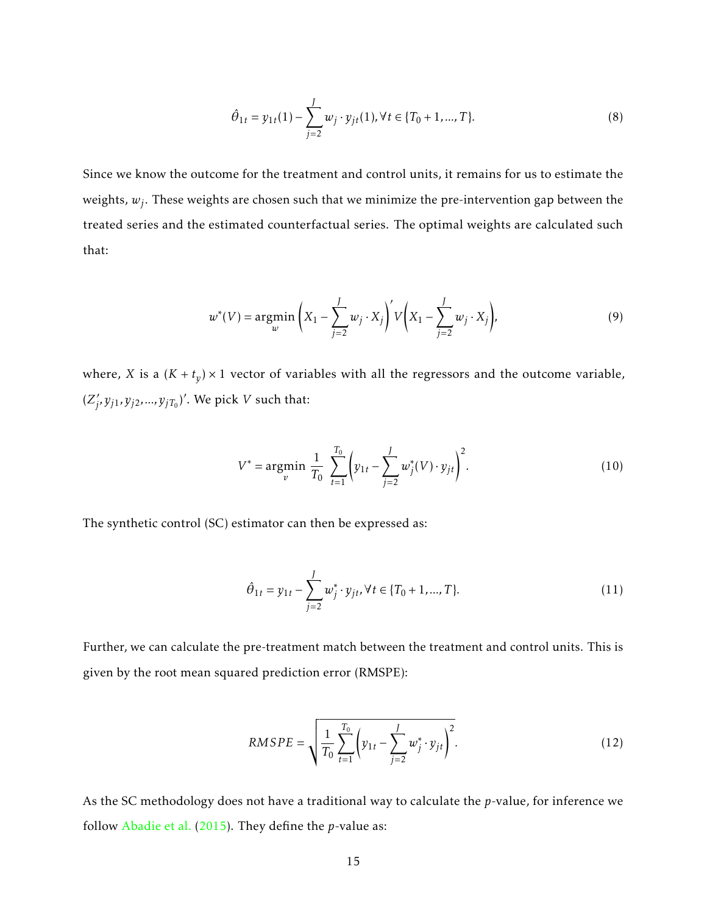$$
\hat{\theta}_{1t} = y_{1t}(1) - \sum_{j=2}^{J} w_j \cdot y_{jt}(1), \forall t \in \{T_0 + 1, ..., T\}.
$$
\n(8)

Since we know the outcome for the treatment and control units, it remains for us to estimate the weights, *w<sup>j</sup>* . These weights are chosen such that we minimize the pre-intervention gap between the treated series and the estimated counterfactual series. The optimal weights are calculated such that:

$$
w^*(V) = \underset{w}{\text{argmin}} \left( X_1 - \sum_{j=2}^{J} w_j \cdot X_j \right)' V \left( X_1 - \sum_{j=2}^{J} w_j \cdot X_j \right),\tag{9}
$$

where, *X* is a  $(K + t_y) \times 1$  vector of variables with all the regressors and the outcome variable,  $(Z_i)$  $y'_j$ ,  $y_{j1}$ ,  $y_{j2}$ , ...,  $y_{jT_0}$ )'. We pick *V* such that:

$$
V^* = \underset{v}{\text{argmin}} \frac{1}{T_0} \sum_{t=1}^{T_0} \left( y_{1t} - \sum_{j=2}^{J} w_j^*(V) \cdot y_{jt} \right)^2.
$$
 (10)

The synthetic control (SC) estimator can then be expressed as:

<span id="page-15-0"></span>
$$
\hat{\theta}_{1t} = y_{1t} - \sum_{j=2}^{J} w_j^* \cdot y_{jt}, \forall t \in \{T_0 + 1, ..., T\}.
$$
\n(11)

Further, we can calculate the pre-treatment match between the treatment and control units. This is given by the root mean squared prediction error (RMSPE):

$$
RMSPE = \sqrt{\frac{1}{T_0} \sum_{t=1}^{T_0} \left( y_{1t} - \sum_{j=2}^{J} w_j^* \cdot y_{jt} \right)^2}.
$$
 (12)

As the SC methodology does not have a traditional way to calculate the *p*-value, for inference we follow [Abadie et al.](#page-26-14) [\(2015\)](#page-26-14). They define the *p*-value as: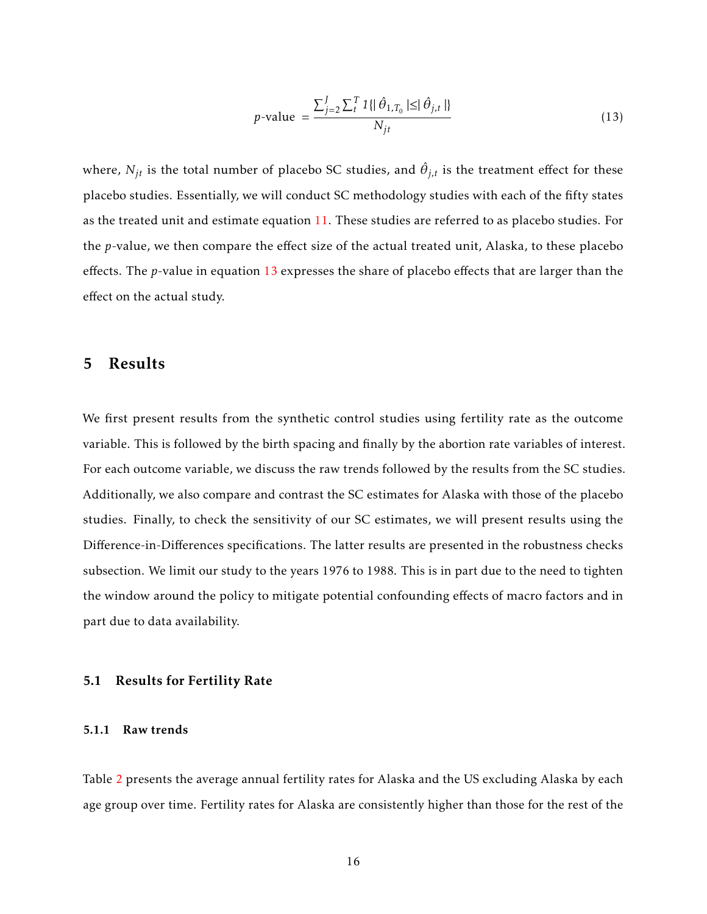<span id="page-16-0"></span>
$$
p\text{-value} = \frac{\sum_{j=2}^{J} \sum_{t=1}^{T} \mathbf{1} \{ |\hat{\theta}_{1,T_0}| \leq |\hat{\theta}_{j,t}| \}}{N_{jt}}
$$
(13)

where,  $N_{jt}$  is the total number of placebo SC studies, and  $\hat{\theta}_{j,t}$  is the treatment effect for these placebo studies. Essentially, we will conduct SC methodology studies with each of the fifty states as the treated unit and estimate equation [11.](#page-15-0) These studies are referred to as placebo studies. For the *p*-value, we then compare the effect size of the actual treated unit, Alaska, to these placebo effects. The *p*-value in equation [13](#page-16-0) expresses the share of placebo effects that are larger than the effect on the actual study.

## 5 Results

We first present results from the synthetic control studies using fertility rate as the outcome variable. This is followed by the birth spacing and finally by the abortion rate variables of interest. For each outcome variable, we discuss the raw trends followed by the results from the SC studies. Additionally, we also compare and contrast the SC estimates for Alaska with those of the placebo studies. Finally, to check the sensitivity of our SC estimates, we will present results using the Difference-in-Differences specifications. The latter results are presented in the robustness checks subsection. We limit our study to the years 1976 to 1988. This is in part due to the need to tighten the window around the policy to mitigate potential confounding effects of macro factors and in part due to data availability.

#### 5.1 Results for Fertility Rate

#### 5.1.1 Raw trends

Table [2](#page-35-0) presents the average annual fertility rates for Alaska and the US excluding Alaska by each age group over time. Fertility rates for Alaska are consistently higher than those for the rest of the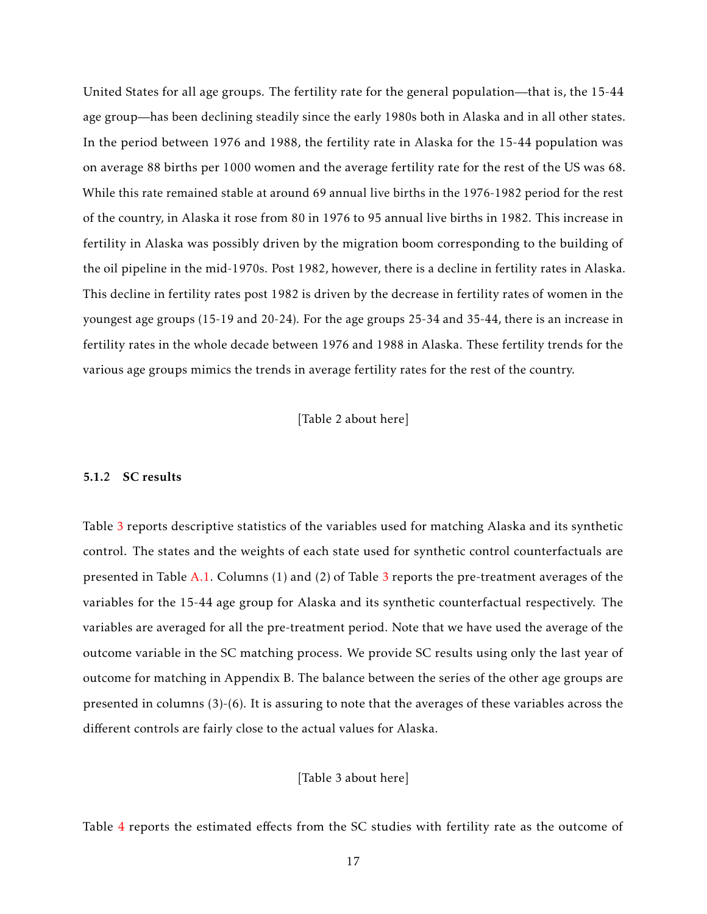United States for all age groups. The fertility rate for the general population—that is, the 15-44 age group—has been declining steadily since the early 1980s both in Alaska and in all other states. In the period between 1976 and 1988, the fertility rate in Alaska for the 15-44 population was on average 88 births per 1000 women and the average fertility rate for the rest of the US was 68. While this rate remained stable at around 69 annual live births in the 1976-1982 period for the rest of the country, in Alaska it rose from 80 in 1976 to 95 annual live births in 1982. This increase in fertility in Alaska was possibly driven by the migration boom corresponding to the building of the oil pipeline in the mid-1970s. Post 1982, however, there is a decline in fertility rates in Alaska. This decline in fertility rates post 1982 is driven by the decrease in fertility rates of women in the youngest age groups (15-19 and 20-24). For the age groups 25-34 and 35-44, there is an increase in fertility rates in the whole decade between 1976 and 1988 in Alaska. These fertility trends for the various age groups mimics the trends in average fertility rates for the rest of the country.

[Table 2 about here]

#### 5.1.2 SC results

Table [3](#page-36-0) reports descriptive statistics of the variables used for matching Alaska and its synthetic control. The states and the weights of each state used for synthetic control counterfactuals are presented in Table [A.1.](#page-49-0) Columns (1) and (2) of Table [3](#page-36-0) reports the pre-treatment averages of the variables for the 15-44 age group for Alaska and its synthetic counterfactual respectively. The variables are averaged for all the pre-treatment period. Note that we have used the average of the outcome variable in the SC matching process. We provide SC results using only the last year of outcome for matching in Appendix B. The balance between the series of the other age groups are presented in columns (3)-(6). It is assuring to note that the averages of these variables across the different controls are fairly close to the actual values for Alaska.

[Table 3 about here]

Table [4](#page-37-0) reports the estimated effects from the SC studies with fertility rate as the outcome of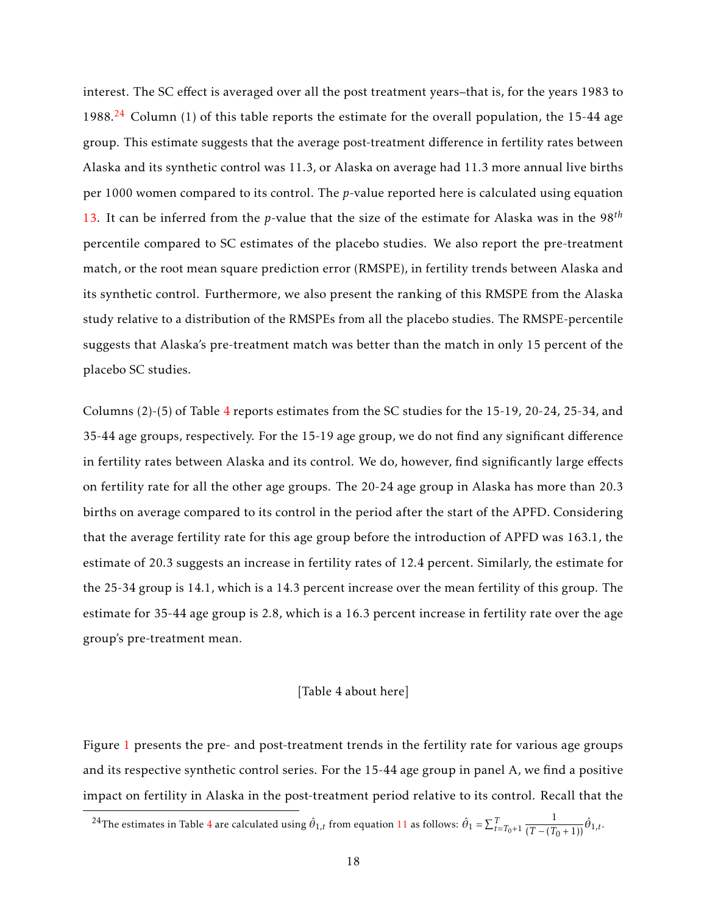interest. The SC effect is averaged over all the post treatment years–that is, for the years 1983 to 1988.<sup>[24](#page-18-0)</sup> Column (1) of this table reports the estimate for the overall population, the 15-44 age group. This estimate suggests that the average post-treatment difference in fertility rates between Alaska and its synthetic control was 11.3, or Alaska on average had 11.3 more annual live births per 1000 women compared to its control. The *p*-value reported here is calculated using equation [13.](#page-16-0) It can be inferred from the *p*-value that the size of the estimate for Alaska was in the 98*th* percentile compared to SC estimates of the placebo studies. We also report the pre-treatment match, or the root mean square prediction error (RMSPE), in fertility trends between Alaska and its synthetic control. Furthermore, we also present the ranking of this RMSPE from the Alaska study relative to a distribution of the RMSPEs from all the placebo studies. The RMSPE-percentile suggests that Alaska's pre-treatment match was better than the match in only 15 percent of the placebo SC studies.

Columns (2)-(5) of Table [4](#page-37-0) reports estimates from the SC studies for the 15-19, 20-24, 25-34, and 35-44 age groups, respectively. For the 15-19 age group, we do not find any significant difference in fertility rates between Alaska and its control. We do, however, find significantly large effects on fertility rate for all the other age groups. The 20-24 age group in Alaska has more than 20.3 births on average compared to its control in the period after the start of the APFD. Considering that the average fertility rate for this age group before the introduction of APFD was 163.1, the estimate of 20.3 suggests an increase in fertility rates of 12.4 percent. Similarly, the estimate for the 25-34 group is 14.1, which is a 14.3 percent increase over the mean fertility of this group. The estimate for 35-44 age group is 2.8, which is a 16.3 percent increase in fertility rate over the age group's pre-treatment mean.

#### [Table 4 about here]

Figure [1](#page-29-0) presents the pre- and post-treatment trends in the fertility rate for various age groups and its respective synthetic control series. For the 15-44 age group in panel A, we find a positive impact on fertility in Alaska in the post-treatment period relative to its control. Recall that the

<span id="page-18-0"></span><sup>2[4](#page-37-0)</sup>The estimates in Table 4 are calculated using  $\hat{\theta}_{1,t}$  from equation [11](#page-15-0) as follows:  $\hat{\theta}_1 = \sum_{t=T_0+1}^{T}$  $\frac{1}{(T-(T_0+1))}\hat{\theta}_{1,t}.$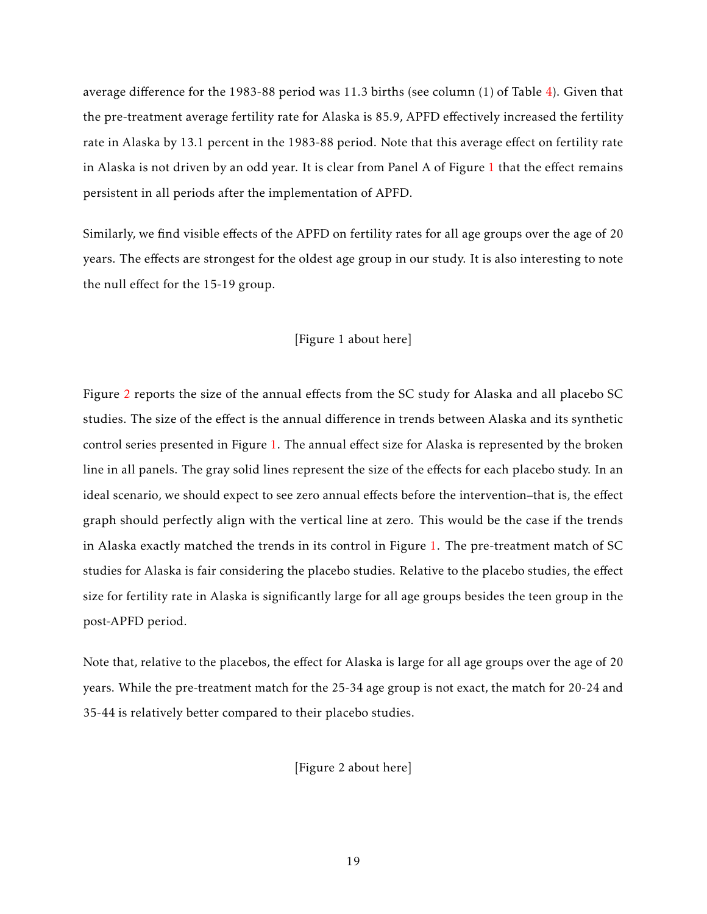average difference for the 1983-88 period was 11.3 births (see column (1) of Table [4\)](#page-37-0). Given that the pre-treatment average fertility rate for Alaska is 85.9, APFD effectively increased the fertility rate in Alaska by 13.1 percent in the 1983-88 period. Note that this average effect on fertility rate in Alaska is not driven by an odd year. It is clear from Panel A of Figure [1](#page-29-0) that the effect remains persistent in all periods after the implementation of APFD.

Similarly, we find visible effects of the APFD on fertility rates for all age groups over the age of 20 years. The effects are strongest for the oldest age group in our study. It is also interesting to note the null effect for the 15-19 group.

#### [Figure 1 about here]

Figure [2](#page-30-0) reports the size of the annual effects from the SC study for Alaska and all placebo SC studies. The size of the effect is the annual difference in trends between Alaska and its synthetic control series presented in Figure [1.](#page-29-0) The annual effect size for Alaska is represented by the broken line in all panels. The gray solid lines represent the size of the effects for each placebo study. In an ideal scenario, we should expect to see zero annual effects before the intervention–that is, the effect graph should perfectly align with the vertical line at zero. This would be the case if the trends in Alaska exactly matched the trends in its control in Figure [1.](#page-29-0) The pre-treatment match of SC studies for Alaska is fair considering the placebo studies. Relative to the placebo studies, the effect size for fertility rate in Alaska is significantly large for all age groups besides the teen group in the post-APFD period.

Note that, relative to the placebos, the effect for Alaska is large for all age groups over the age of 20 years. While the pre-treatment match for the 25-34 age group is not exact, the match for 20-24 and 35-44 is relatively better compared to their placebo studies.

[Figure 2 about here]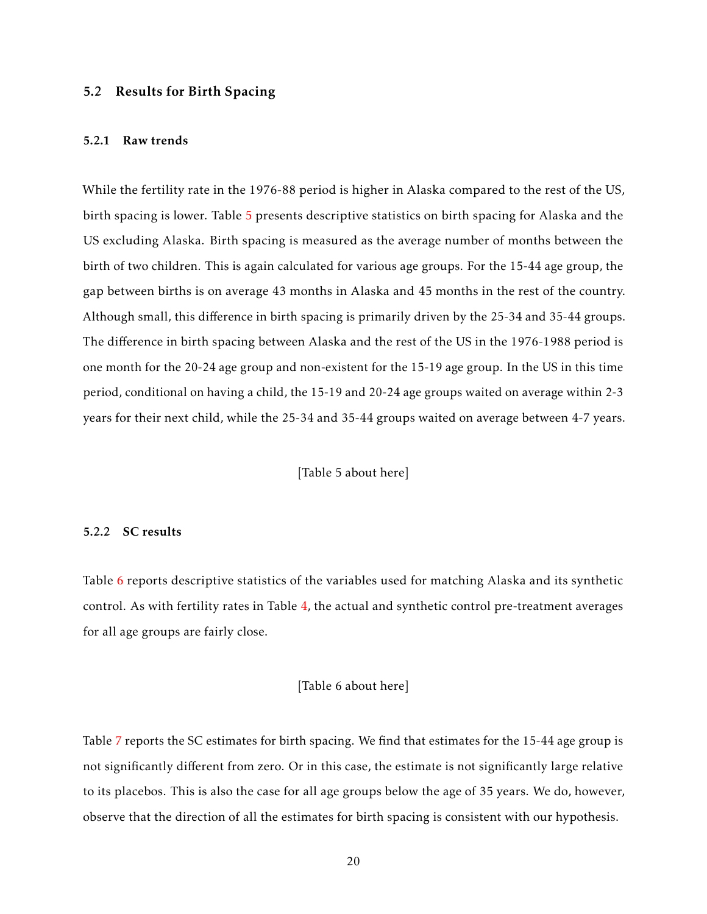#### 5.2 Results for Birth Spacing

#### 5.2.1 Raw trends

While the fertility rate in the 1976-88 period is higher in Alaska compared to the rest of the US, birth spacing is lower. Table [5](#page-38-0) presents descriptive statistics on birth spacing for Alaska and the US excluding Alaska. Birth spacing is measured as the average number of months between the birth of two children. This is again calculated for various age groups. For the 15-44 age group, the gap between births is on average 43 months in Alaska and 45 months in the rest of the country. Although small, this difference in birth spacing is primarily driven by the 25-34 and 35-44 groups. The difference in birth spacing between Alaska and the rest of the US in the 1976-1988 period is one month for the 20-24 age group and non-existent for the 15-19 age group. In the US in this time period, conditional on having a child, the 15-19 and 20-24 age groups waited on average within 2-3 years for their next child, while the 25-34 and 35-44 groups waited on average between 4-7 years.

[Table 5 about here]

#### 5.2.2 SC results

Table [6](#page-39-0) reports descriptive statistics of the variables used for matching Alaska and its synthetic control. As with fertility rates in Table [4,](#page-37-0) the actual and synthetic control pre-treatment averages for all age groups are fairly close.

#### [Table 6 about here]

Table [7](#page-40-0) reports the SC estimates for birth spacing. We find that estimates for the 15-44 age group is not significantly different from zero. Or in this case, the estimate is not significantly large relative to its placebos. This is also the case for all age groups below the age of 35 years. We do, however, observe that the direction of all the estimates for birth spacing is consistent with our hypothesis.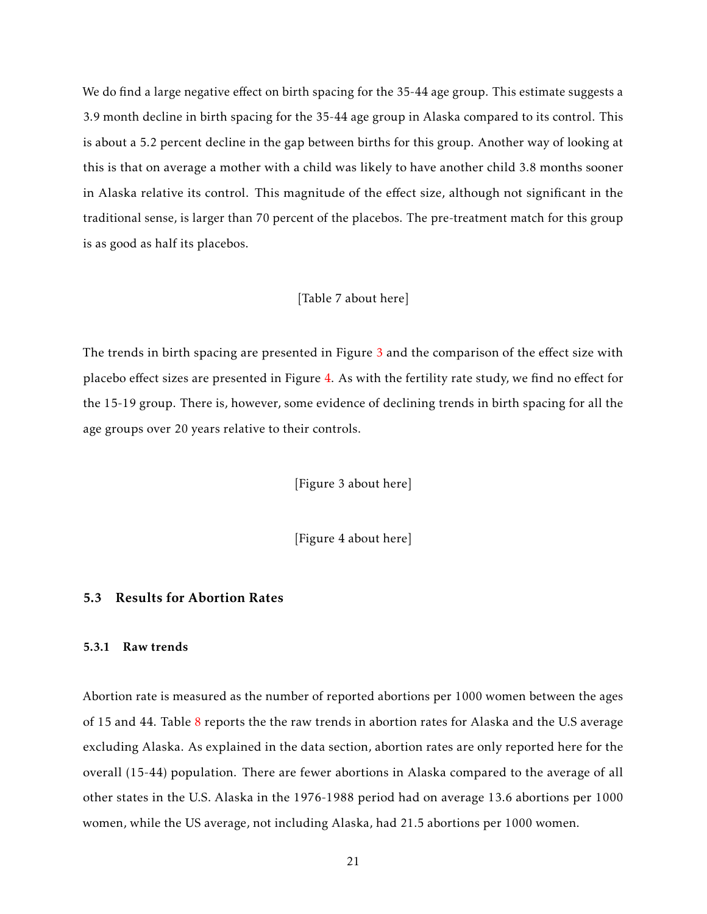We do find a large negative effect on birth spacing for the 35-44 age group. This estimate suggests a 3.9 month decline in birth spacing for the 35-44 age group in Alaska compared to its control. This is about a 5.2 percent decline in the gap between births for this group. Another way of looking at this is that on average a mother with a child was likely to have another child 3.8 months sooner in Alaska relative its control. This magnitude of the effect size, although not significant in the traditional sense, is larger than 70 percent of the placebos. The pre-treatment match for this group is as good as half its placebos.

#### [Table 7 about here]

The trends in birth spacing are presented in Figure [3](#page-31-0) and the comparison of the effect size with placebo effect sizes are presented in Figure [4.](#page-32-0) As with the fertility rate study, we find no effect for the 15-19 group. There is, however, some evidence of declining trends in birth spacing for all the age groups over 20 years relative to their controls.

[Figure 3 about here]

[Figure 4 about here]

### 5.3 Results for Abortion Rates

#### 5.3.1 Raw trends

Abortion rate is measured as the number of reported abortions per 1000 women between the ages of 15 and 44. Table [8](#page-41-0) reports the the raw trends in abortion rates for Alaska and the U.S average excluding Alaska. As explained in the data section, abortion rates are only reported here for the overall (15-44) population. There are fewer abortions in Alaska compared to the average of all other states in the U.S. Alaska in the 1976-1988 period had on average 13.6 abortions per 1000 women, while the US average, not including Alaska, had 21.5 abortions per 1000 women.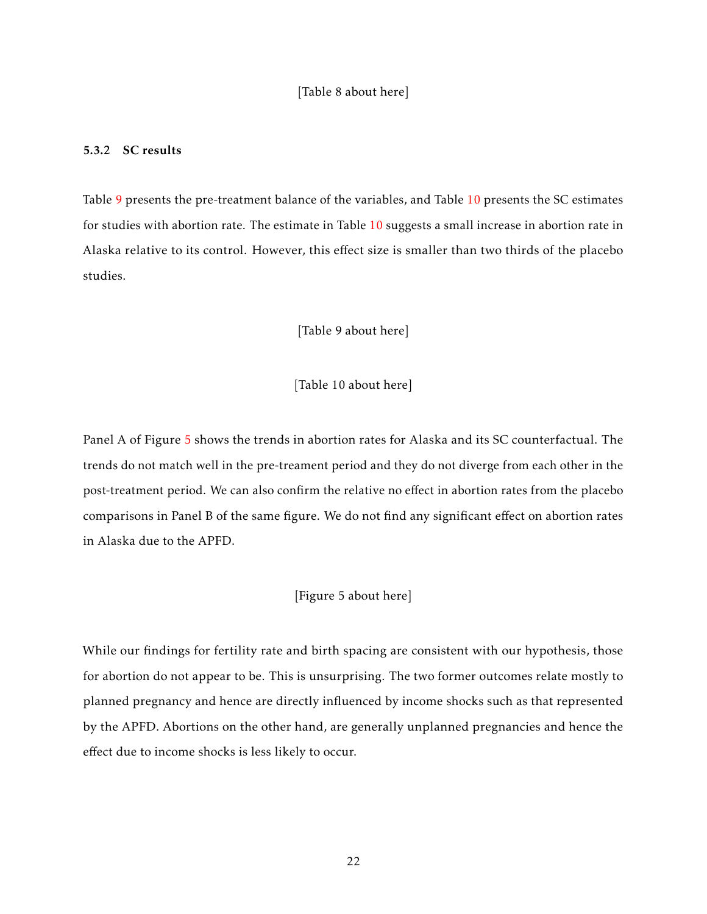#### 5.3.2 SC results

Table [9](#page-42-0) presents the pre-treatment balance of the variables, and Table [10](#page-42-1) presents the SC estimates for studies with abortion rate. The estimate in Table [10](#page-42-1) suggests a small increase in abortion rate in Alaska relative to its control. However, this effect size is smaller than two thirds of the placebo studies.

[Table 9 about here]

[Table 10 about here]

Panel A of Figure [5](#page-33-0) shows the trends in abortion rates for Alaska and its SC counterfactual. The trends do not match well in the pre-treament period and they do not diverge from each other in the post-treatment period. We can also confirm the relative no effect in abortion rates from the placebo comparisons in Panel B of the same figure. We do not find any significant effect on abortion rates in Alaska due to the APFD.

#### [Figure 5 about here]

While our findings for fertility rate and birth spacing are consistent with our hypothesis, those for abortion do not appear to be. This is unsurprising. The two former outcomes relate mostly to planned pregnancy and hence are directly influenced by income shocks such as that represented by the APFD. Abortions on the other hand, are generally unplanned pregnancies and hence the effect due to income shocks is less likely to occur.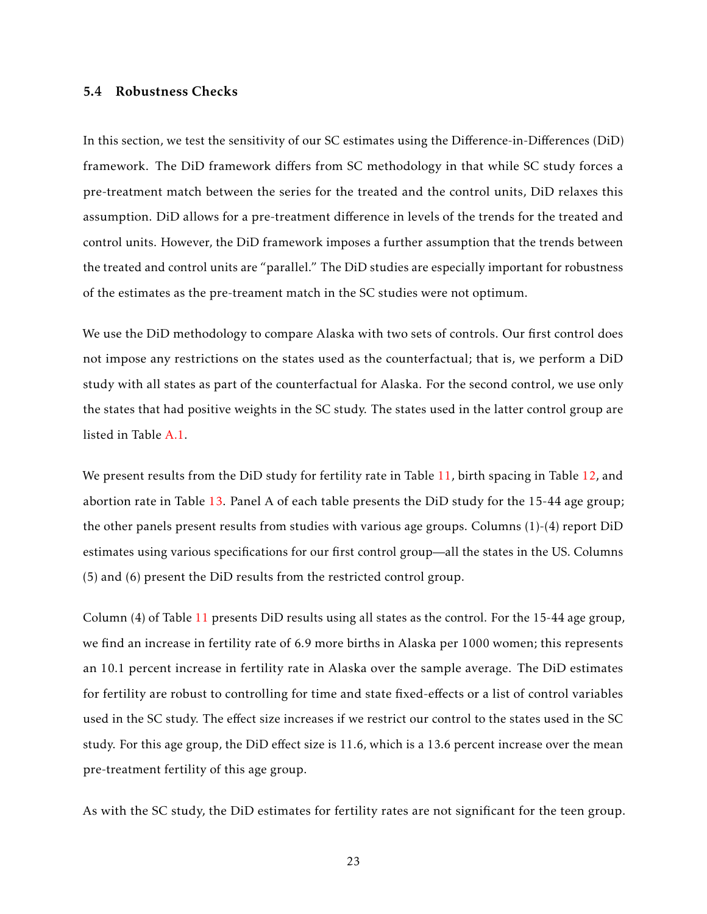#### 5.4 Robustness Checks

In this section, we test the sensitivity of our SC estimates using the Difference-in-Differences (DiD) framework. The DiD framework differs from SC methodology in that while SC study forces a pre-treatment match between the series for the treated and the control units, DiD relaxes this assumption. DiD allows for a pre-treatment difference in levels of the trends for the treated and control units. However, the DiD framework imposes a further assumption that the trends between the treated and control units are "parallel." The DiD studies are especially important for robustness of the estimates as the pre-treament match in the SC studies were not optimum.

We use the DiD methodology to compare Alaska with two sets of controls. Our first control does not impose any restrictions on the states used as the counterfactual; that is, we perform a DiD study with all states as part of the counterfactual for Alaska. For the second control, we use only the states that had positive weights in the SC study. The states used in the latter control group are listed in Table [A.1.](#page-49-0)

We present results from the DiD study for fertility rate in Table [11,](#page-43-0) birth spacing in Table [12,](#page-44-0) and abortion rate in Table [13.](#page-45-0) Panel A of each table presents the DiD study for the 15-44 age group; the other panels present results from studies with various age groups. Columns (1)-(4) report DiD estimates using various specifications for our first control group—all the states in the US. Columns (5) and (6) present the DiD results from the restricted control group.

Column (4) of Table [11](#page-43-0) presents DiD results using all states as the control. For the 15-44 age group, we find an increase in fertility rate of 6.9 more births in Alaska per 1000 women; this represents an 10.1 percent increase in fertility rate in Alaska over the sample average. The DiD estimates for fertility are robust to controlling for time and state fixed-effects or a list of control variables used in the SC study. The effect size increases if we restrict our control to the states used in the SC study. For this age group, the DiD effect size is 11.6, which is a 13.6 percent increase over the mean pre-treatment fertility of this age group.

As with the SC study, the DiD estimates for fertility rates are not significant for the teen group.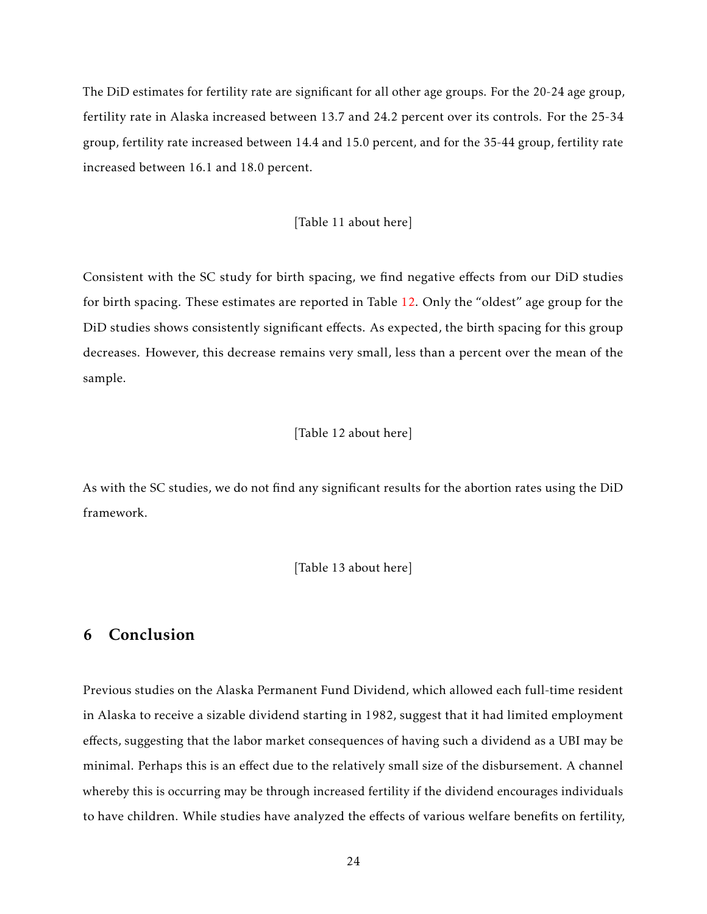The DiD estimates for fertility rate are significant for all other age groups. For the 20-24 age group, fertility rate in Alaska increased between 13.7 and 24.2 percent over its controls. For the 25-34 group, fertility rate increased between 14.4 and 15.0 percent, and for the 35-44 group, fertility rate increased between 16.1 and 18.0 percent.

#### [Table 11 about here]

Consistent with the SC study for birth spacing, we find negative effects from our DiD studies for birth spacing. These estimates are reported in Table [12.](#page-44-0) Only the "oldest" age group for the DiD studies shows consistently significant effects. As expected, the birth spacing for this group decreases. However, this decrease remains very small, less than a percent over the mean of the sample.

#### [Table 12 about here]

As with the SC studies, we do not find any significant results for the abortion rates using the DiD framework.

[Table 13 about here]

# 6 Conclusion

Previous studies on the Alaska Permanent Fund Dividend, which allowed each full-time resident in Alaska to receive a sizable dividend starting in 1982, suggest that it had limited employment effects, suggesting that the labor market consequences of having such a dividend as a UBI may be minimal. Perhaps this is an effect due to the relatively small size of the disbursement. A channel whereby this is occurring may be through increased fertility if the dividend encourages individuals to have children. While studies have analyzed the effects of various welfare benefits on fertility,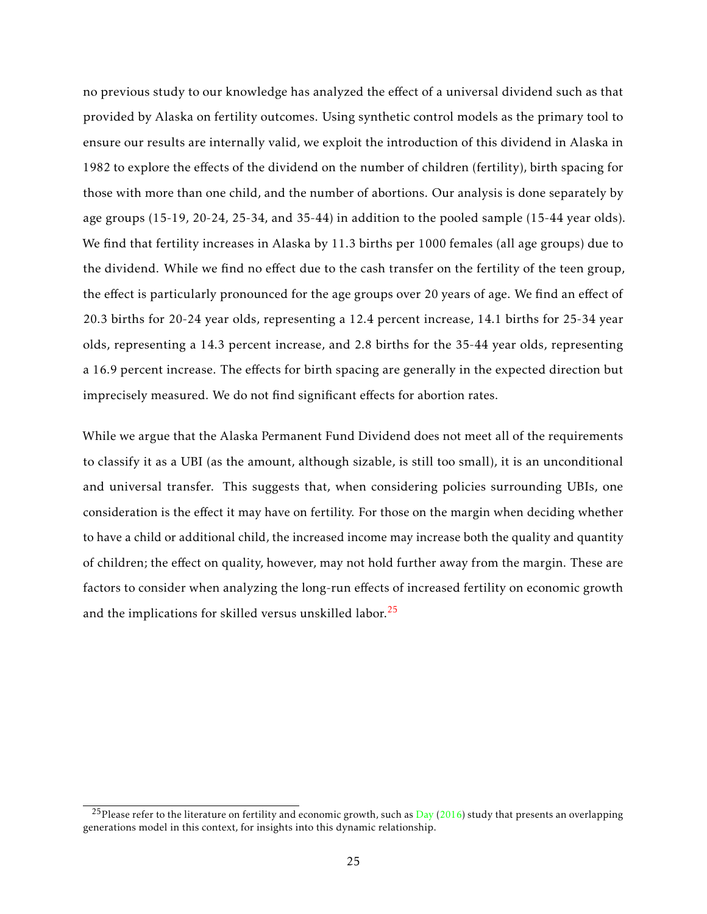no previous study to our knowledge has analyzed the effect of a universal dividend such as that provided by Alaska on fertility outcomes. Using synthetic control models as the primary tool to ensure our results are internally valid, we exploit the introduction of this dividend in Alaska in 1982 to explore the effects of the dividend on the number of children (fertility), birth spacing for those with more than one child, and the number of abortions. Our analysis is done separately by age groups (15-19, 20-24, 25-34, and 35-44) in addition to the pooled sample (15-44 year olds). We find that fertility increases in Alaska by 11.3 births per 1000 females (all age groups) due to the dividend. While we find no effect due to the cash transfer on the fertility of the teen group, the effect is particularly pronounced for the age groups over 20 years of age. We find an effect of 20.3 births for 20-24 year olds, representing a 12.4 percent increase, 14.1 births for 25-34 year olds, representing a 14.3 percent increase, and 2.8 births for the 35-44 year olds, representing a 16.9 percent increase. The effects for birth spacing are generally in the expected direction but imprecisely measured. We do not find significant effects for abortion rates.

While we argue that the Alaska Permanent Fund Dividend does not meet all of the requirements to classify it as a UBI (as the amount, although sizable, is still too small), it is an unconditional and universal transfer. This suggests that, when considering policies surrounding UBIs, one consideration is the effect it may have on fertility. For those on the margin when deciding whether to have a child or additional child, the increased income may increase both the quality and quantity of children; the effect on quality, however, may not hold further away from the margin. These are factors to consider when analyzing the long-run effects of increased fertility on economic growth and the implications for skilled versus unskilled labor.<sup>[25](#page-25-0)</sup>

<span id="page-25-0"></span><sup>&</sup>lt;sup>25</sup>Please refer to the literature on fertility and economic growth, such as [Day](#page-26-15) [\(2016\)](#page-26-15) study that presents an overlapping generations model in this context, for insights into this dynamic relationship.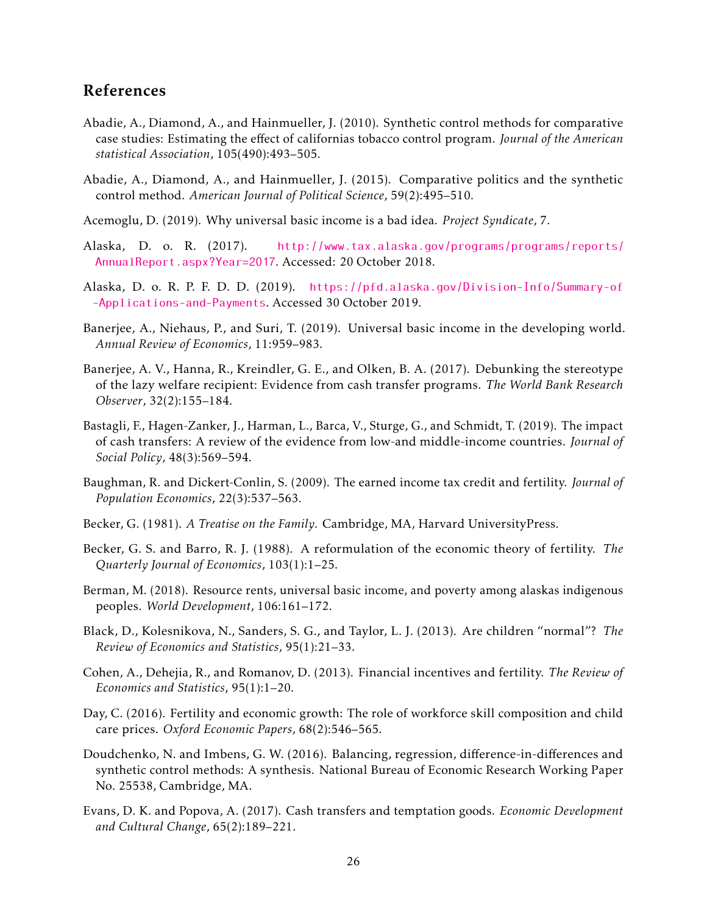# References

- <span id="page-26-12"></span>Abadie, A., Diamond, A., and Hainmueller, J. (2010). Synthetic control methods for comparative case studies: Estimating the effect of californias tobacco control program. *Journal of the American statistical Association*, 105(490):493–505.
- <span id="page-26-14"></span>Abadie, A., Diamond, A., and Hainmueller, J. (2015). Comparative politics and the synthetic control method. *American Journal of Political Science*, 59(2):495–510.
- <span id="page-26-3"></span>Acemoglu, D. (2019). Why universal basic income is a bad idea. *Project Syndicate*, 7.
- <span id="page-26-8"></span>Alaska, D. o. R. (2017). [http://www.tax.alaska.gov/programs/programs/reports/](http://www.tax.alaska.gov/programs/programs/reports/AnnualReport.aspx?Year=2017) [AnnualReport.aspx?Year=2017](http://www.tax.alaska.gov/programs/programs/reports/AnnualReport.aspx?Year=2017). Accessed: 20 October 2018.
- <span id="page-26-16"></span>Alaska, D. o. R. P. F. D. D. (2019). [https://pfd.alaska.gov/Division-Info/Summary-of](https://pfd.alaska.gov/Division-Info/Summary-of-Applications-and-Payments) [-Applications-and-Payments](https://pfd.alaska.gov/Division-Info/Summary-of-Applications-and-Payments). Accessed 30 October 2019.
- <span id="page-26-7"></span>Banerjee, A., Niehaus, P., and Suri, T. (2019). Universal basic income in the developing world. *Annual Review of Economics*, 11:959–983.
- <span id="page-26-5"></span>Banerjee, A. V., Hanna, R., Kreindler, G. E., and Olken, B. A. (2017). Debunking the stereotype of the lazy welfare recipient: Evidence from cash transfer programs. *The World Bank Research Observer*, 32(2):155–184.
- <span id="page-26-4"></span>Bastagli, F., Hagen-Zanker, J., Harman, L., Barca, V., Sturge, G., and Schmidt, T. (2019). The impact of cash transfers: A review of the evidence from low-and middle-income countries. *Journal of Social Policy*, 48(3):569–594.
- <span id="page-26-0"></span>Baughman, R. and Dickert-Conlin, S. (2009). The earned income tax credit and fertility. *Journal of Population Economics*, 22(3):537–563.
- <span id="page-26-1"></span>Becker, G. (1981). *A Treatise on the Family*. Cambridge, MA, Harvard UniversityPress.
- <span id="page-26-9"></span>Becker, G. S. and Barro, R. J. (1988). A reformulation of the economic theory of fertility. *The Quarterly Journal of Economics*, 103(1):1–25.
- <span id="page-26-2"></span>Berman, M. (2018). Resource rents, universal basic income, and poverty among alaskas indigenous peoples. *World Development*, 106:161–172.
- <span id="page-26-10"></span>Black, D., Kolesnikova, N., Sanders, S. G., and Taylor, L. J. (2013). Are children "normal"? *The Review of Economics and Statistics*, 95(1):21–33.
- <span id="page-26-11"></span>Cohen, A., Dehejia, R., and Romanov, D. (2013). Financial incentives and fertility. *The Review of Economics and Statistics*, 95(1):1–20.
- <span id="page-26-15"></span>Day, C. (2016). Fertility and economic growth: The role of workforce skill composition and child care prices. *Oxford Economic Papers*, 68(2):546–565.
- <span id="page-26-13"></span>Doudchenko, N. and Imbens, G. W. (2016). Balancing, regression, difference-in-differences and synthetic control methods: A synthesis. National Bureau of Economic Research Working Paper No. 25538, Cambridge, MA.
- <span id="page-26-6"></span>Evans, D. K. and Popova, A. (2017). Cash transfers and temptation goods. *Economic Development and Cultural Change*, 65(2):189–221.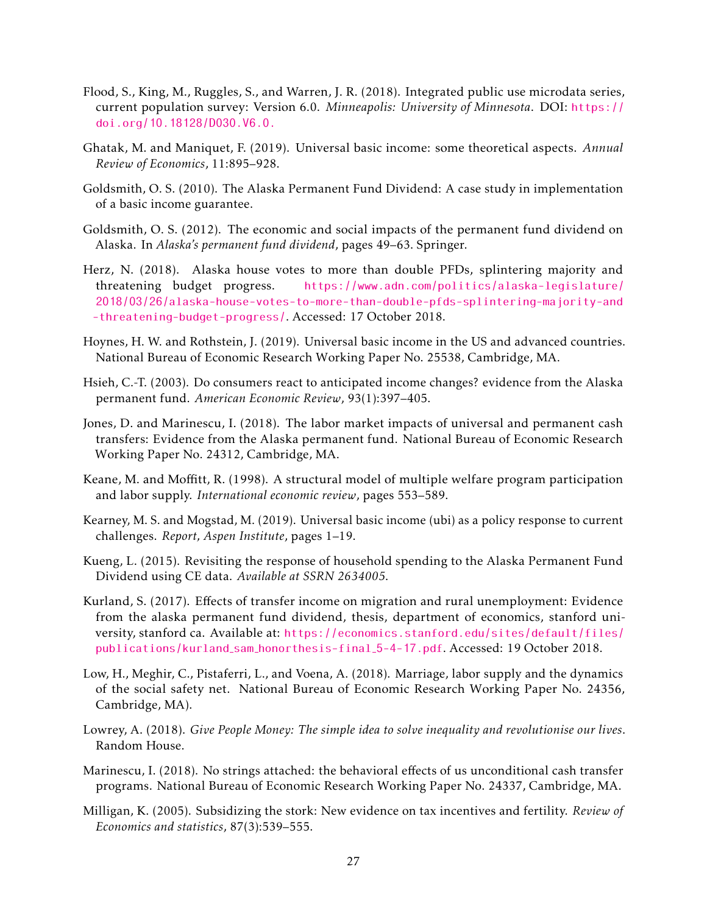- <span id="page-27-15"></span>Flood, S., King, M., Ruggles, S., and Warren, J. R. (2018). Integrated public use microdata series, current population survey: Version 6.0. *Minneapolis: University of Minnesota*. DOI: [https://](https://doi.org/10.18128/D030.V6.0.) [doi.org/10.18128/D030.V6.0.](https://doi.org/10.18128/D030.V6.0.)
- <span id="page-27-1"></span>Ghatak, M. and Maniquet, F. (2019). Universal basic income: some theoretical aspects. *Annual Review of Economics*, 11:895–928.
- <span id="page-27-12"></span>Goldsmith, O. S. (2010). The Alaska Permanent Fund Dividend: A case study in implementation of a basic income guarantee.
- <span id="page-27-10"></span>Goldsmith, O. S. (2012). The economic and social impacts of the permanent fund dividend on Alaska. In *Alaska's permanent fund dividend*, pages 49–63. Springer.
- <span id="page-27-11"></span>Herz, N. (2018). Alaska house votes to more than double PFDs, splintering majority and threatening budget progress. [https://www.adn.com/politics/alaska-legislature/](https://www.adn.com/politics/alaska-legislature/2018/03/26/alaska-house-votes-to-more-than-double-pfds-splintering-majority-and-threatening-budget-progress/) [2018/03/26/alaska-house-votes-to-more-than-double-pfds-splintering-majority-and](https://www.adn.com/politics/alaska-legislature/2018/03/26/alaska-house-votes-to-more-than-double-pfds-splintering-majority-and-threatening-budget-progress/) [-threatening-budget-progress/](https://www.adn.com/politics/alaska-legislature/2018/03/26/alaska-house-votes-to-more-than-double-pfds-splintering-majority-and-threatening-budget-progress/). Accessed: 17 October 2018.
- <span id="page-27-0"></span>Hoynes, H. W. and Rothstein, J. (2019). Universal basic income in the US and advanced countries. National Bureau of Economic Research Working Paper No. 25538, Cambridge, MA.
- <span id="page-27-13"></span>Hsieh, C.-T. (2003). Do consumers react to anticipated income changes? evidence from the Alaska permanent fund. *American Economic Review*, 93(1):397–405.
- <span id="page-27-3"></span>Jones, D. and Marinescu, I. (2018). The labor market impacts of universal and permanent cash transfers: Evidence from the Alaska permanent fund. National Bureau of Economic Research Working Paper No. 24312, Cambridge, MA.
- <span id="page-27-6"></span>Keane, M. and Moffitt, R. (1998). A structural model of multiple welfare program participation and labor supply. *International economic review*, pages 553–589.
- <span id="page-27-4"></span>Kearney, M. S. and Mogstad, M. (2019). Universal basic income (ubi) as a policy response to current challenges. *Report, Aspen Institute*, pages 1–19.
- <span id="page-27-14"></span>Kueng, L. (2015). Revisiting the response of household spending to the Alaska Permanent Fund Dividend using CE data. *Available at SSRN 2634005*.
- <span id="page-27-8"></span>Kurland, S. (2017). Effects of transfer income on migration and rural unemployment: Evidence from the alaska permanent fund dividend, thesis, department of economics, stanford university, stanford ca. Available at: [https://economics.stanford.edu/sites/default/files/](https://economics.stanford.edu/sites/default/files/publications/kurland_sam_honorthesis-final_5-4-17.pdf) [publications/kurland](https://economics.stanford.edu/sites/default/files/publications/kurland_sam_honorthesis-final_5-4-17.pdf) sam honorthesis-final 5-4-17.pdf. Accessed: 19 October 2018.
- <span id="page-27-9"></span>Low, H., Meghir, C., Pistaferri, L., and Voena, A. (2018). Marriage, labor supply and the dynamics of the social safety net. National Bureau of Economic Research Working Paper No. 24356, Cambridge, MA).
- <span id="page-27-2"></span>Lowrey, A. (2018). *Give People Money: The simple idea to solve inequality and revolutionise our lives*. Random House.
- <span id="page-27-7"></span>Marinescu, I. (2018). No strings attached: the behavioral effects of us unconditional cash transfer programs. National Bureau of Economic Research Working Paper No. 24337, Cambridge, MA.
- <span id="page-27-5"></span>Milligan, K. (2005). Subsidizing the stork: New evidence on tax incentives and fertility. *Review of Economics and statistics*, 87(3):539–555.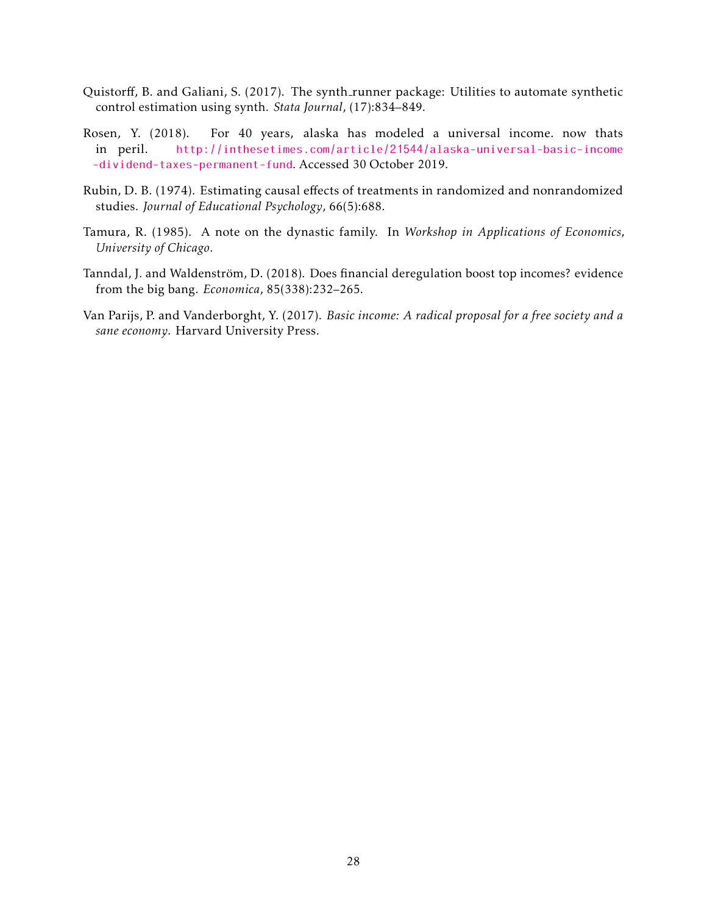- <span id="page-28-5"></span>Quistorff, B. and Galiani, S. (2017). The synth\_runner package: Utilities to automate synthetic control estimation using synth. *Stata Journal*, (17):834–849.
- <span id="page-28-1"></span>Rosen, Y. (2018). For 40 years, alaska has modeled a universal income. now thats in peril. [http://inthesetimes.com/article/21544/alaska-universal-basic-income](http://inthesetimes.com/article/21544/alaska-universal-basic-income-dividend-taxes-permanent-fund) [-dividend-taxes-permanent-fund](http://inthesetimes.com/article/21544/alaska-universal-basic-income-dividend-taxes-permanent-fund). Accessed 30 October 2019.
- <span id="page-28-4"></span>Rubin, D. B. (1974). Estimating causal effects of treatments in randomized and nonrandomized studies. *Journal of Educational Psychology*, 66(5):688.
- <span id="page-28-2"></span>Tamura, R. (1985). A note on the dynastic family. In *Workshop in Applications of Economics, University of Chicago*.
- <span id="page-28-3"></span>Tanndal, J. and Waldenström, D. (2018). Does financial deregulation boost top incomes? evidence from the big bang. *Economica*, 85(338):232–265.
- <span id="page-28-0"></span>Van Parijs, P. and Vanderborght, Y. (2017). *Basic income: A radical proposal for a free society and a sane economy*. Harvard University Press.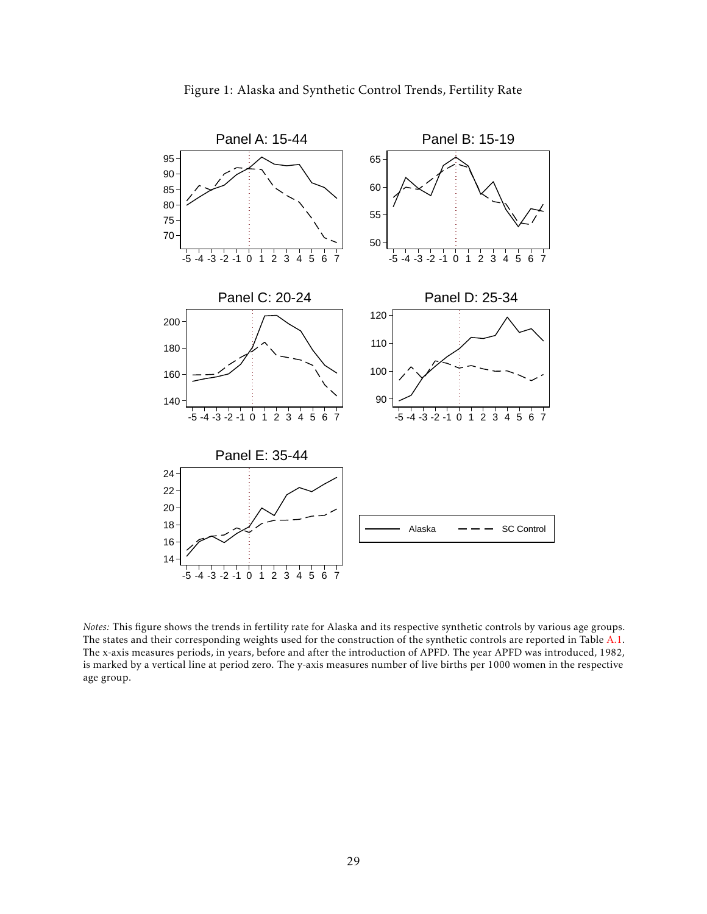<span id="page-29-0"></span>

Figure 1: Alaska and Synthetic Control Trends, Fertility Rate

*Notes:* This figure shows the trends in fertility rate for Alaska and its respective synthetic controls by various age groups. The states and their corresponding weights used for the construction of the synthetic controls are reported in Table [A.1.](#page-49-0) The x-axis measures periods, in years, before and after the introduction of APFD. The year APFD was introduced, 1982, is marked by a vertical line at period zero. The y-axis measures number of live births per 1000 women in the respective age group.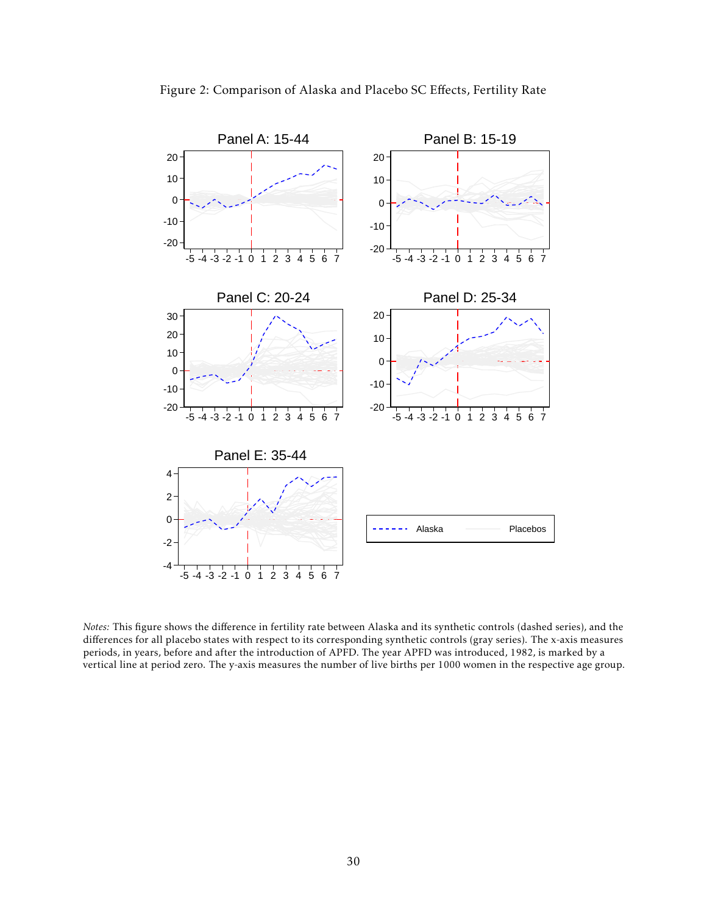<span id="page-30-0"></span>

*Notes:* This figure shows the difference in fertility rate between Alaska and its synthetic controls (dashed series), and the differences for all placebo states with respect to its corresponding synthetic controls (gray series). The x-axis measures periods, in years, before and after the introduction of APFD. The year APFD was introduced, 1982, is marked by a vertical line at period zero. The y-axis measures the number of live births per 1000 women in the respective age group.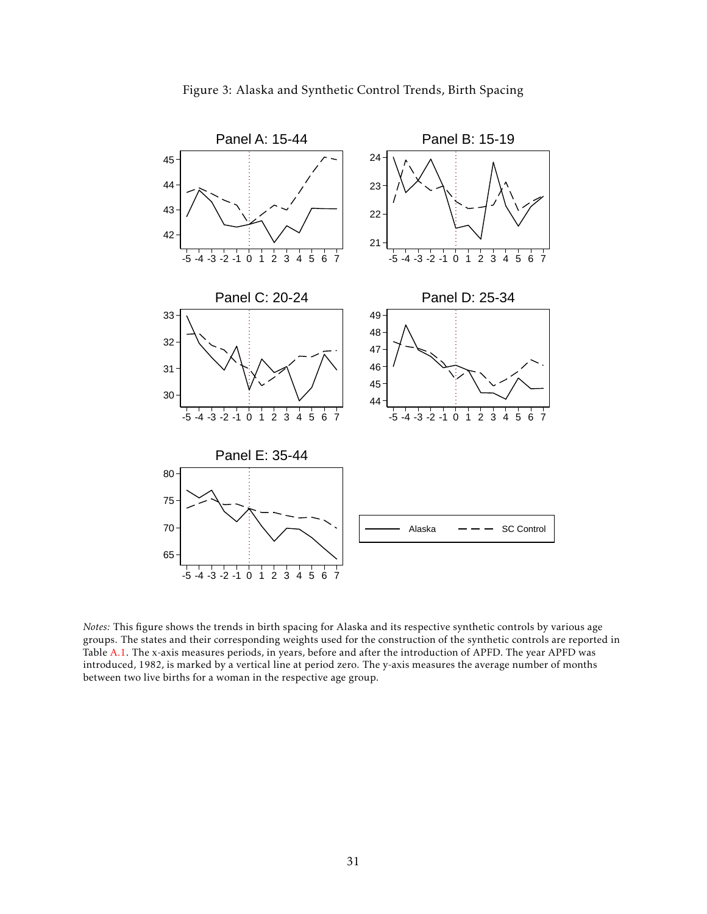<span id="page-31-0"></span>

*Notes:* This figure shows the trends in birth spacing for Alaska and its respective synthetic controls by various age groups. The states and their corresponding weights used for the construction of the synthetic controls are reported in Table [A.1.](#page-49-0) The x-axis measures periods, in years, before and after the introduction of APFD. The year APFD was introduced, 1982, is marked by a vertical line at period zero. The y-axis measures the average number of months between two live births for a woman in the respective age group.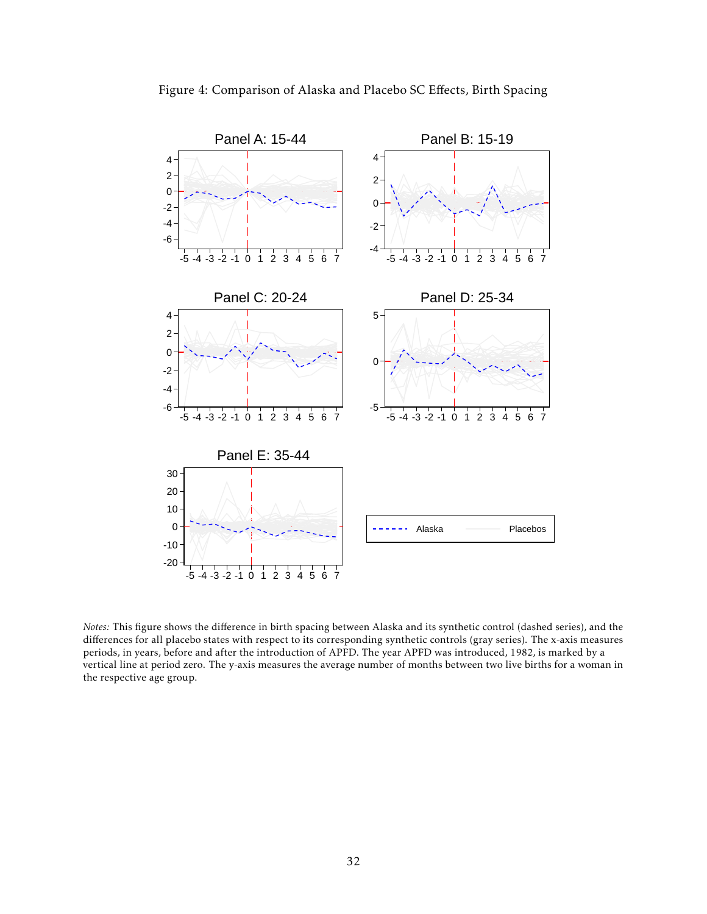<span id="page-32-0"></span>

*Notes:* This figure shows the difference in birth spacing between Alaska and its synthetic control (dashed series), and the differences for all placebo states with respect to its corresponding synthetic controls (gray series). The x-axis measures periods, in years, before and after the introduction of APFD. The year APFD was introduced, 1982, is marked by a vertical line at period zero. The y-axis measures the average number of months between two live births for a woman in the respective age group.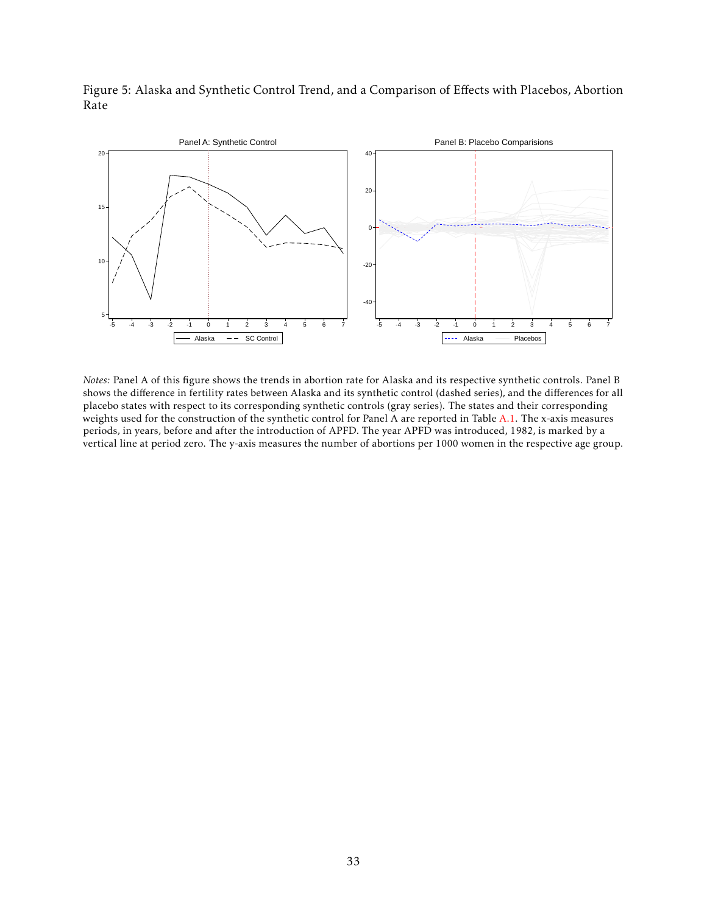<span id="page-33-0"></span>Figure 5: Alaska and Synthetic Control Trend, and a Comparison of Effects with Placebos, Abortion Rate



*Notes:* Panel A of this figure shows the trends in abortion rate for Alaska and its respective synthetic controls. Panel B shows the difference in fertility rates between Alaska and its synthetic control (dashed series), and the differences for all placebo states with respect to its corresponding synthetic controls (gray series). The states and their corresponding weights used for the construction of the synthetic control for Panel A are reported in Table [A.1.](#page-49-0) The x-axis measures periods, in years, before and after the introduction of APFD. The year APFD was introduced, 1982, is marked by a vertical line at period zero. The y-axis measures the number of abortions per 1000 women in the respective age group.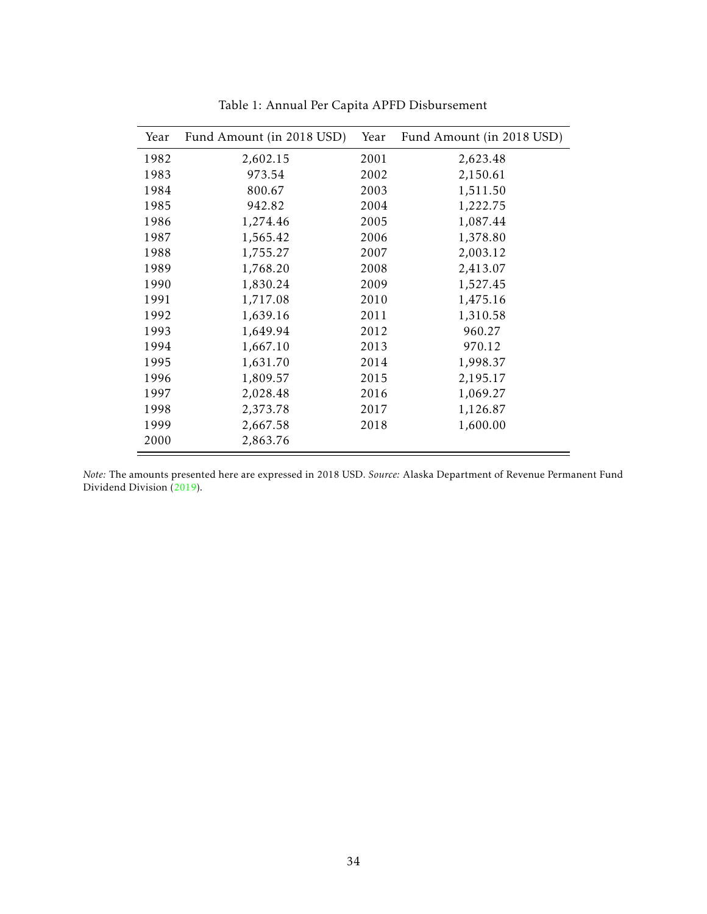<span id="page-34-0"></span>

| Year | Fund Amount (in 2018 USD) | Year | Fund Amount (in 2018 USD) |
|------|---------------------------|------|---------------------------|
| 1982 | 2,602.15                  | 2001 | 2,623.48                  |
| 1983 | 973.54                    | 2002 | 2,150.61                  |
| 1984 | 800.67                    | 2003 | 1,511.50                  |
| 1985 | 942.82                    | 2004 | 1,222.75                  |
| 1986 | 1,274.46                  | 2005 | 1,087.44                  |
| 1987 | 1,565.42                  | 2006 | 1,378.80                  |
| 1988 | 1,755.27                  | 2007 | 2,003.12                  |
| 1989 | 1,768.20                  | 2008 | 2,413.07                  |
| 1990 | 1,830.24                  | 2009 | 1,527.45                  |
| 1991 | 1,717.08                  | 2010 | 1,475.16                  |
| 1992 | 1,639.16                  | 2011 | 1,310.58                  |
| 1993 | 1,649.94                  | 2012 | 960.27                    |
| 1994 | 1,667.10                  | 2013 | 970.12                    |
| 1995 | 1,631.70                  | 2014 | 1,998.37                  |
| 1996 | 1,809.57                  | 2015 | 2,195.17                  |
| 1997 | 2,028.48                  | 2016 | 1,069.27                  |
| 1998 | 2,373.78                  | 2017 | 1,126.87                  |
| 1999 | 2,667.58                  | 2018 | 1,600.00                  |
| 2000 | 2,863.76                  |      |                           |

Table 1: Annual Per Capita APFD Disbursement

*Note:* The amounts presented here are expressed in 2018 USD. *Source:* Alaska Department of Revenue Permanent Fund Dividend Division [\(2019\)](#page-26-16).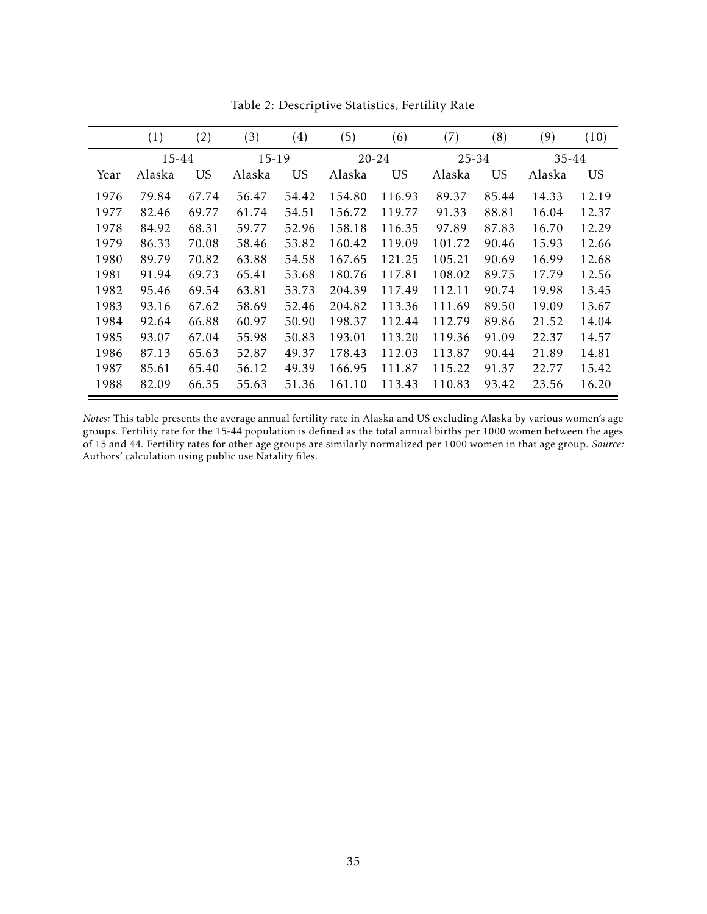<span id="page-35-0"></span>

|      | $\left( 1\right)$ | (2)       | (3)    | $\left( 4\right)$ | (5)    | (6)                | (7)    | (8)       | (9)    | (10)  |
|------|-------------------|-----------|--------|-------------------|--------|--------------------|--------|-----------|--------|-------|
|      | 15-44             |           | 15-19  |                   |        | $20 - 24$<br>25-34 |        |           |        | 35-44 |
| Year | Alaska            | <b>US</b> | Alaska | <b>US</b>         | Alaska | <b>US</b>          | Alaska | <b>US</b> | Alaska | US    |
| 1976 | 79.84             | 67.74     | 56.47  | 54.42             | 154.80 | 116.93             | 89.37  | 85.44     | 14.33  | 12.19 |
| 1977 | 82.46             | 69.77     | 61.74  | 54.51             | 156.72 | 119.77             | 91.33  | 88.81     | 16.04  | 12.37 |
| 1978 | 84.92             | 68.31     | 59.77  | 52.96             | 158.18 | 116.35             | 97.89  | 87.83     | 16.70  | 12.29 |
| 1979 | 86.33             | 70.08     | 58.46  | 53.82             | 160.42 | 119.09             | 101.72 | 90.46     | 15.93  | 12.66 |
| 1980 | 89.79             | 70.82     | 63.88  | 54.58             | 167.65 | 121.25             | 105.21 | 90.69     | 16.99  | 12.68 |
| 1981 | 91.94             | 69.73     | 65.41  | 53.68             | 180.76 | 117.81             | 108.02 | 89.75     | 17.79  | 12.56 |
| 1982 | 95.46             | 69.54     | 63.81  | 53.73             | 204.39 | 117.49             | 112.11 | 90.74     | 19.98  | 13.45 |
| 1983 | 93.16             | 67.62     | 58.69  | 52.46             | 204.82 | 113.36             | 111.69 | 89.50     | 19.09  | 13.67 |
| 1984 | 92.64             | 66.88     | 60.97  | 50.90             | 198.37 | 112.44             | 112.79 | 89.86     | 21.52  | 14.04 |
| 1985 | 93.07             | 67.04     | 55.98  | 50.83             | 193.01 | 113.20             | 119.36 | 91.09     | 22.37  | 14.57 |
| 1986 | 87.13             | 65.63     | 52.87  | 49.37             | 178.43 | 112.03             | 113.87 | 90.44     | 21.89  | 14.81 |
| 1987 | 85.61             | 65.40     | 56.12  | 49.39             | 166.95 | 111.87             | 115.22 | 91.37     | 22.77  | 15.42 |
| 1988 | 82.09             | 66.35     | 55.63  | 51.36             | 161.10 | 113.43             | 110.83 | 93.42     | 23.56  | 16.20 |

Table 2: Descriptive Statistics, Fertility Rate

*Notes:* This table presents the average annual fertility rate in Alaska and US excluding Alaska by various women's age groups. Fertility rate for the 15-44 population is defined as the total annual births per 1000 women between the ages of 15 and 44. Fertility rates for other age groups are similarly normalized per 1000 women in that age group. *Source:* Authors' calculation using public use Natality files.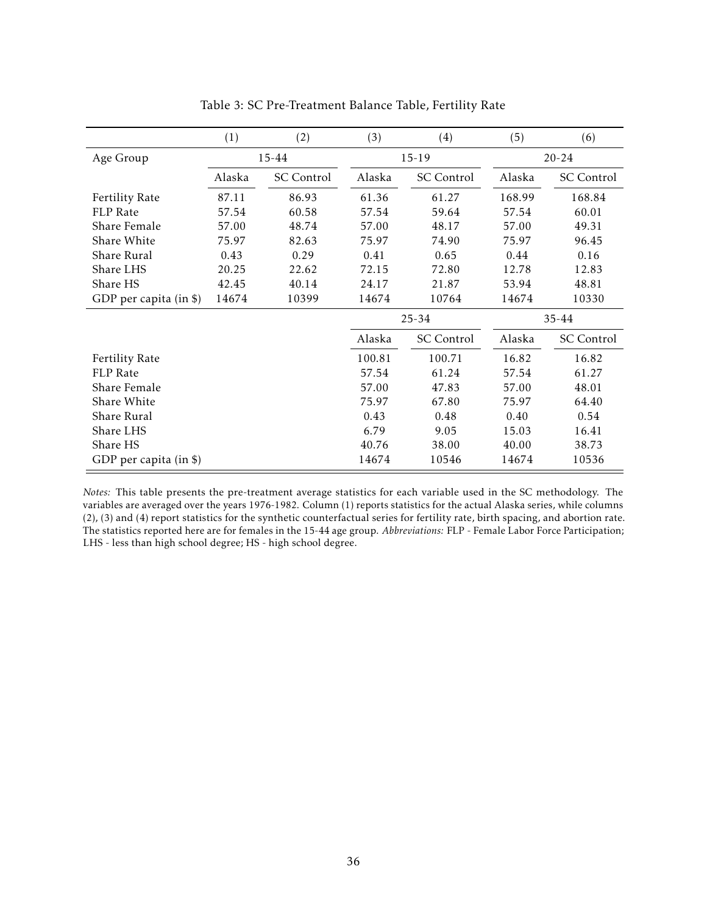<span id="page-36-0"></span>

|                        | (1)    | (2)        | (3)    | (4)               | (5)       | (6)        |  |
|------------------------|--------|------------|--------|-------------------|-----------|------------|--|
| Age Group              |        | 15-44      |        | $15-19$           | $20 - 24$ |            |  |
|                        | Alaska | SC Control | Alaska | <b>SC</b> Control | Alaska    | SC Control |  |
| <b>Fertility Rate</b>  | 87.11  | 86.93      | 61.36  | 61.27             | 168.99    | 168.84     |  |
| <b>FLP</b> Rate        | 57.54  | 60.58      | 57.54  | 59.64             | 57.54     | 60.01      |  |
| Share Female           | 57.00  | 48.74      | 57.00  | 48.17             | 57.00     | 49.31      |  |
| Share White            | 75.97  | 82.63      | 75.97  | 74.90             | 75.97     | 96.45      |  |
| Share Rural            | 0.43   | 0.29       | 0.41   | 0.65              | 0.44      | 0.16       |  |
| Share LHS              | 20.25  | 22.62      | 72.15  | 72.80             | 12.78     | 12.83      |  |
| Share HS               | 42.45  | 40.14      | 24.17  | 21.87             | 53.94     | 48.81      |  |
| GDP per capita (in \$) | 14674  | 10399      | 14674  | 10764             | 14674     | 10330      |  |
|                        |        |            |        | $25 - 34$         |           | $35 - 44$  |  |
|                        |        |            | Alaska | <b>SC</b> Control | Alaska    | SC Control |  |
| <b>Fertility Rate</b>  |        |            | 100.81 | 100.71            | 16.82     | 16.82      |  |
| FLP Rate               |        |            | 57.54  | 61.24             | 57.54     | 61.27      |  |
| Share Female           |        |            | 57.00  | 47.83             | 57.00     | 48.01      |  |
| Share White            |        |            | 75.97  | 67.80             | 75.97     | 64.40      |  |
| Share Rural            |        |            | 0.43   | 0.48              | 0.40      | 0.54       |  |
| Share LHS              |        |            | 6.79   | 9.05              | 15.03     | 16.41      |  |
| Share HS               |        |            | 40.76  | 38.00             | 40.00     | 38.73      |  |
| GDP per capita (in \$) |        |            | 14674  | 10546             | 14674     | 10536      |  |

Table 3: SC Pre-Treatment Balance Table, Fertility Rate

*Notes:* This table presents the pre-treatment average statistics for each variable used in the SC methodology. The variables are averaged over the years 1976-1982. Column (1) reports statistics for the actual Alaska series, while columns (2), (3) and (4) report statistics for the synthetic counterfactual series for fertility rate, birth spacing, and abortion rate. The statistics reported here are for females in the 15-44 age group. *Abbreviations:* FLP - Female Labor Force Participation; LHS - less than high school degree; HS - high school degree.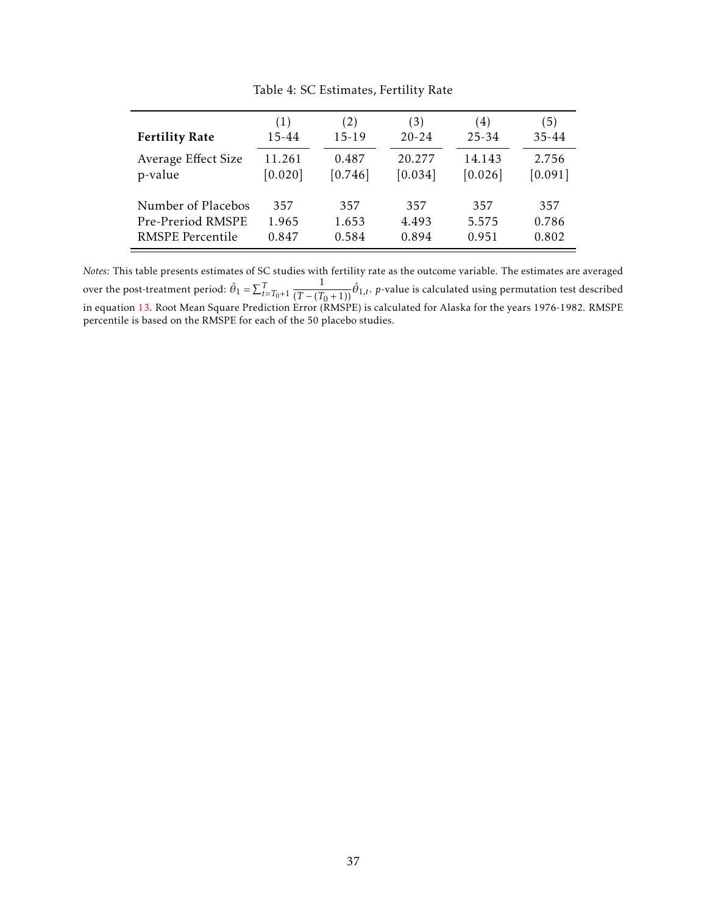<span id="page-37-0"></span>

| <b>Fertility Rate</b>   | (1)       | (2)       | (3)       | (4)       | (5)     |
|-------------------------|-----------|-----------|-----------|-----------|---------|
|                         | $15 - 44$ | $15 - 19$ | $20 - 24$ | $25 - 34$ | 35-44   |
| Average Effect Size     | 11.261    | 0.487     | 20.277    | 14.143    | 2.756   |
| p-value                 | [0.020]   | [0.746]   | [0.034]   | [0.026]   | [0.091] |
| Number of Placebos      | 357       | 357       | 357       | 357       | 357     |
| Pre-Preriod RMSPE       | 1.965     | 1.653     | 4.493     | 5.575     | 0.786   |
| <b>RMSPE</b> Percentile | 0.847     | 0.584     | 0.894     | 0.951     | 0.802   |

Table 4: SC Estimates, Fertility Rate

*Notes:* This table presents estimates of SC studies with fertility rate as the outcome variable. The estimates are averaged over the post-treatment period:  $\hat{\theta}_1 = \sum_{t=T_0+1}^{T}$  $\frac{1}{(T-(T_0+1))}\hat{\theta}_{1,t}.$  *p*-value is calculated using permutation test described in equation [13.](#page-16-0) Root Mean Square Prediction Error (RMSPE) is calculated for Alaska for the years 1976-1982. RMSPE percentile is based on the RMSPE for each of the 50 placebo studies.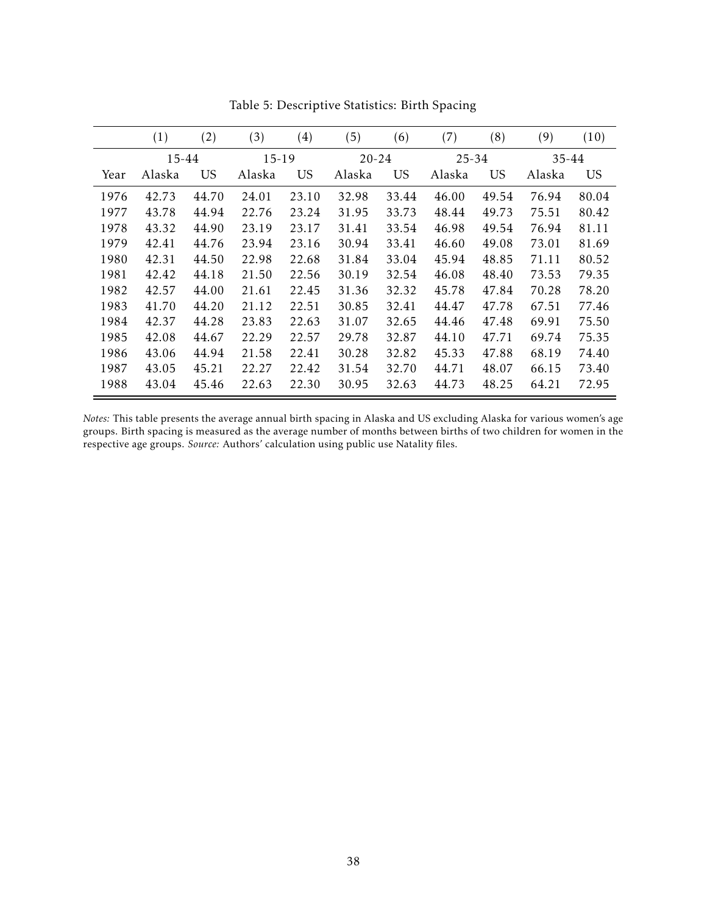<span id="page-38-0"></span>

|      | (1)    | (2)       | (3)    | $\left( 4\right)$ | (5)       | (6)       | (7)       | (8)       | (9)    | (10)  |
|------|--------|-----------|--------|-------------------|-----------|-----------|-----------|-----------|--------|-------|
|      | 15-44  |           | 15-19  |                   | $20 - 24$ |           | $25 - 34$ |           | 35-44  |       |
| Year | Alaska | <b>US</b> | Alaska | <b>US</b>         | Alaska    | <b>US</b> | Alaska    | <b>US</b> | Alaska | US    |
| 1976 | 42.73  | 44.70     | 24.01  | 23.10             | 32.98     | 33.44     | 46.00     | 49.54     | 76.94  | 80.04 |
| 1977 | 43.78  | 44.94     | 22.76  | 23.24             | 31.95     | 33.73     | 48.44     | 49.73     | 75.51  | 80.42 |
| 1978 | 43.32  | 44.90     | 23.19  | 23.17             | 31.41     | 33.54     | 46.98     | 49.54     | 76.94  | 81.11 |
| 1979 | 42.41  | 44.76     | 23.94  | 23.16             | 30.94     | 33.41     | 46.60     | 49.08     | 73.01  | 81.69 |
| 1980 | 42.31  | 44.50     | 22.98  | 22.68             | 31.84     | 33.04     | 45.94     | 48.85     | 71.11  | 80.52 |
| 1981 | 42.42  | 44.18     | 21.50  | 22.56             | 30.19     | 32.54     | 46.08     | 48.40     | 73.53  | 79.35 |
| 1982 | 42.57  | 44.00     | 21.61  | 22.45             | 31.36     | 32.32     | 45.78     | 47.84     | 70.28  | 78.20 |
| 1983 | 41.70  | 44.20     | 21.12  | 22.51             | 30.85     | 32.41     | 44.47     | 47.78     | 67.51  | 77.46 |
| 1984 | 42.37  | 44.28     | 23.83  | 22.63             | 31.07     | 32.65     | 44.46     | 47.48     | 69.91  | 75.50 |
| 1985 | 42.08  | 44.67     | 22.29  | 22.57             | 29.78     | 32.87     | 44.10     | 47.71     | 69.74  | 75.35 |
| 1986 | 43.06  | 44.94     | 21.58  | 22.41             | 30.28     | 32.82     | 45.33     | 47.88     | 68.19  | 74.40 |
| 1987 | 43.05  | 45.21     | 22.27  | 22.42             | 31.54     | 32.70     | 44.71     | 48.07     | 66.15  | 73.40 |
| 1988 | 43.04  | 45.46     | 22.63  | 22.30             | 30.95     | 32.63     | 44.73     | 48.25     | 64.21  | 72.95 |

Table 5: Descriptive Statistics: Birth Spacing

*Notes:* This table presents the average annual birth spacing in Alaska and US excluding Alaska for various women's age groups. Birth spacing is measured as the average number of months between births of two children for women in the respective age groups. *Source:* Authors' calculation using public use Natality files.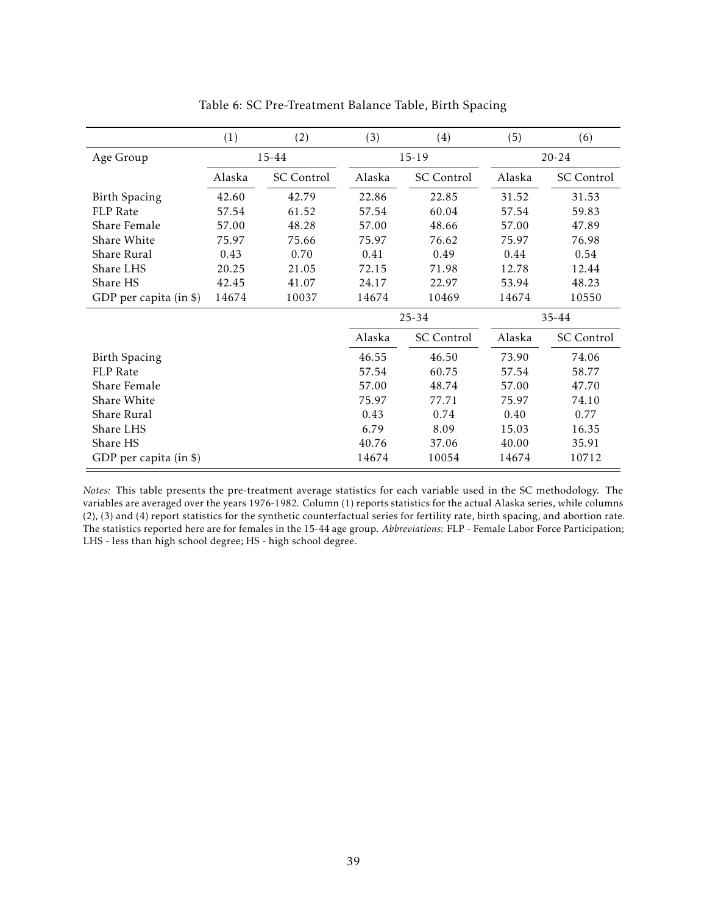<span id="page-39-0"></span>

|                        | (1)    | (2)               | (3)    | (4)               | (5)       | (6)               |
|------------------------|--------|-------------------|--------|-------------------|-----------|-------------------|
| Age Group              |        | 15-44             |        | $15-19$           | $20 - 24$ |                   |
|                        | Alaska | <b>SC</b> Control | Alaska | <b>SC</b> Control | Alaska    | <b>SC</b> Control |
| <b>Birth Spacing</b>   | 42.60  | 42.79             | 22.86  | 22.85             | 31.52     | 31.53             |
| <b>FLP</b> Rate        | 57.54  | 61.52             | 57.54  | 60.04             | 57.54     | 59.83             |
| Share Female           | 57.00  | 48.28             | 57.00  | 48.66             | 57.00     | 47.89             |
| Share White            | 75.97  | 75.66             | 75.97  | 76.62             | 75.97     | 76.98             |
| Share Rural            | 0.43   | 0.70              | 0.41   | 0.49              | 0.44      | 0.54              |
| Share LHS              | 20.25  | 21.05             | 72.15  | 71.98             | 12.78     | 12.44             |
| Share HS               | 42.45  | 41.07             | 24.17  | 22.97             | 53.94     | 48.23             |
| GDP per capita (in \$) | 14674  | 10037             | 14674  | 10469             | 14674     | 10550             |
|                        |        |                   |        | 25-34             |           | $35 - 44$         |
|                        |        |                   | Alaska | <b>SC</b> Control | Alaska    | <b>SC</b> Control |
| <b>Birth Spacing</b>   |        |                   | 46.55  | 46.50             | 73.90     | 74.06             |
| <b>FLP</b> Rate        |        |                   | 57.54  | 60.75             | 57.54     | 58.77             |
| Share Female           |        |                   | 57.00  | 48.74             | 57.00     | 47.70             |
| Share White            |        |                   | 75.97  | 77.71             | 75.97     | 74.10             |
| Share Rural            |        |                   | 0.43   | 0.74              | 0.40      | 0.77              |
| Share LHS              |        |                   | 6.79   | 8.09              | 15.03     | 16.35             |
| Share HS               |        |                   | 40.76  | 37.06             | 40.00     | 35.91             |
| GDP per capita (in \$) |        |                   | 14674  | 10054             | 14674     | 10712             |

Table 6: SC Pre-Treatment Balance Table, Birth Spacing

*Notes:* This table presents the pre-treatment average statistics for each variable used in the SC methodology. The variables are averaged over the years 1976-1982. Column (1) reports statistics for the actual Alaska series, while columns (2), (3) and (4) report statistics for the synthetic counterfactual series for fertility rate, birth spacing, and abortion rate. The statistics reported here are for females in the 15-44 age group. *Abbreviations:* FLP - Female Labor Force Participation; LHS - less than high school degree; HS - high school degree.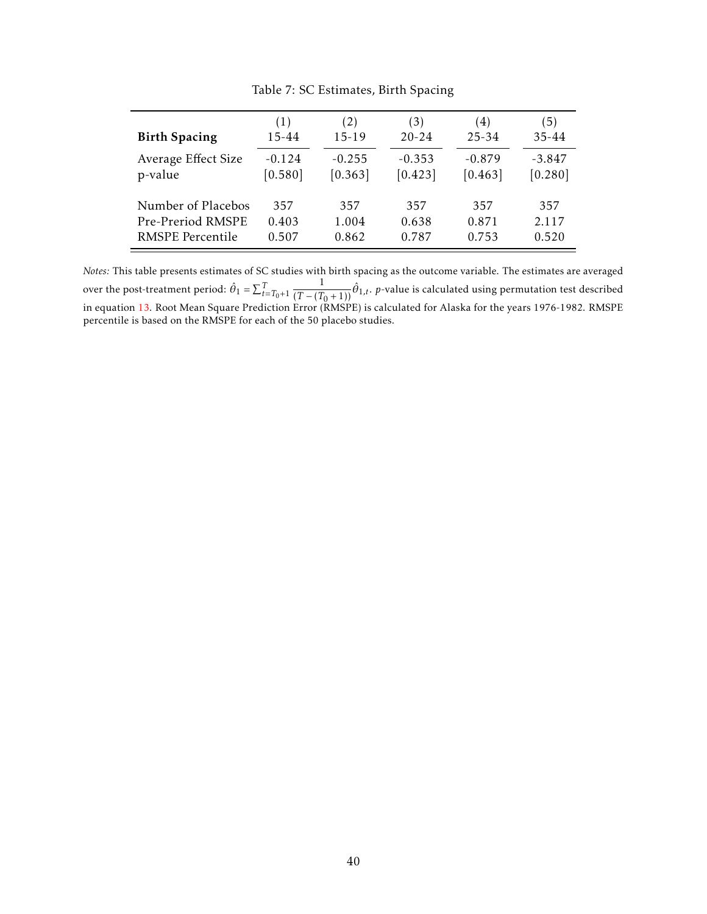<span id="page-40-0"></span>

| <b>Birth Spacing</b>    | (1)       | (2)       | (3)       | (4)       | (5)       |
|-------------------------|-----------|-----------|-----------|-----------|-----------|
|                         | $15 - 44$ | $15 - 19$ | $20 - 24$ | $25 - 34$ | $35 - 44$ |
| Average Effect Size     | $-0.124$  | $-0.255$  | $-0.353$  | $-0.879$  | $-3.847$  |
| p-value                 | [0.580]   | [0.363]   | [0.423]   | [0.463]   | [0.280]   |
| Number of Placebos      | 357       | 357       | 357       | 357       | 357       |
| Pre-Preriod RMSPE       | 0.403     | 1.004     | 0.638     | 0.871     | 2.117     |
| <b>RMSPE</b> Percentile | 0.507     | 0.862     | 0.787     | 0.753     | 0.520     |

Table 7: SC Estimates, Birth Spacing

*Notes:* This table presents estimates of SC studies with birth spacing as the outcome variable. The estimates are averaged over the post-treatment period:  $\hat{\theta}_1 = \sum_{t=T_0+1}^{T}$  $\frac{1}{(T-(T_0+1))}\hat{\theta}_{1,t}.$  *p*-value is calculated using permutation test described in equation [13.](#page-16-0) Root Mean Square Prediction Error (RMSPE) is calculated for Alaska for the years 1976-1982. RMSPE percentile is based on the RMSPE for each of the 50 placebo studies.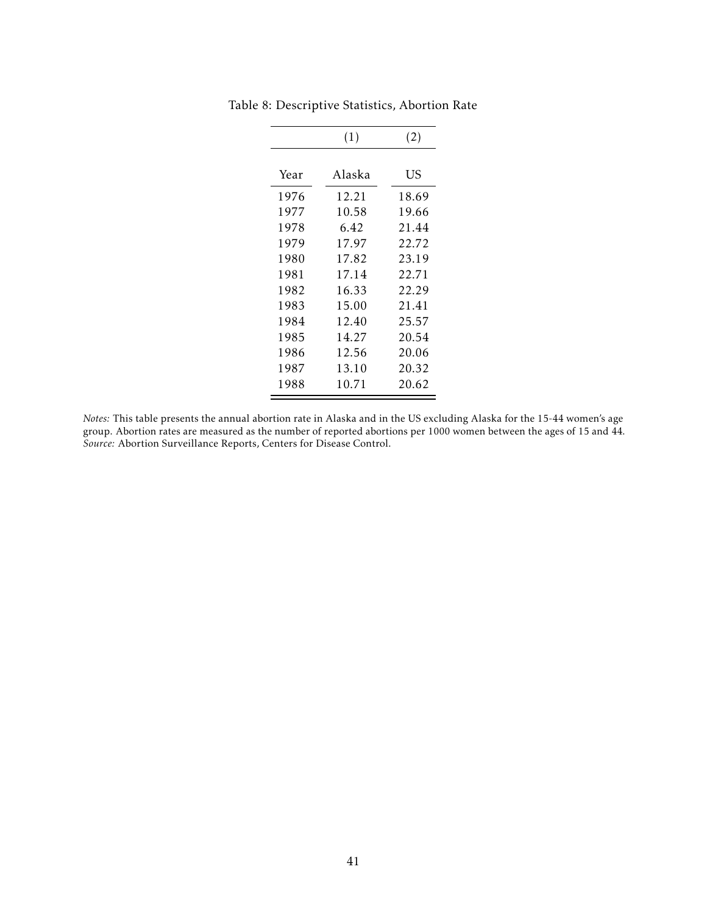|              | (1)            | (2)            |
|--------------|----------------|----------------|
| Year         | Alaska         | US             |
| 1976         | 12.21          | 18.69          |
| 1977         | 10.58          | 19.66          |
| 1978         | 6.42           | 21.44          |
| 1979<br>1980 | 17.97<br>17.82 | 22.72<br>23.19 |
| 1981         | 17.14          | 22.71          |
| 1982         | 16.33          | 22.29          |
| 1983<br>1984 | 15.00<br>12.40 | 21.41<br>25.57 |
| 1985         | 14.27          | 20.54          |
| 1986         | 12.56          | 20.06          |
| 1987<br>1988 | 13.10<br>10.71 | 20.32<br>20.62 |

<span id="page-41-0"></span>Table 8: Descriptive Statistics, Abortion Rate

*Notes:* This table presents the annual abortion rate in Alaska and in the US excluding Alaska for the 15-44 women's age group. Abortion rates are measured as the number of reported abortions per 1000 women between the ages of 15 and 44. *Source:* Abortion Surveillance Reports, Centers for Disease Control.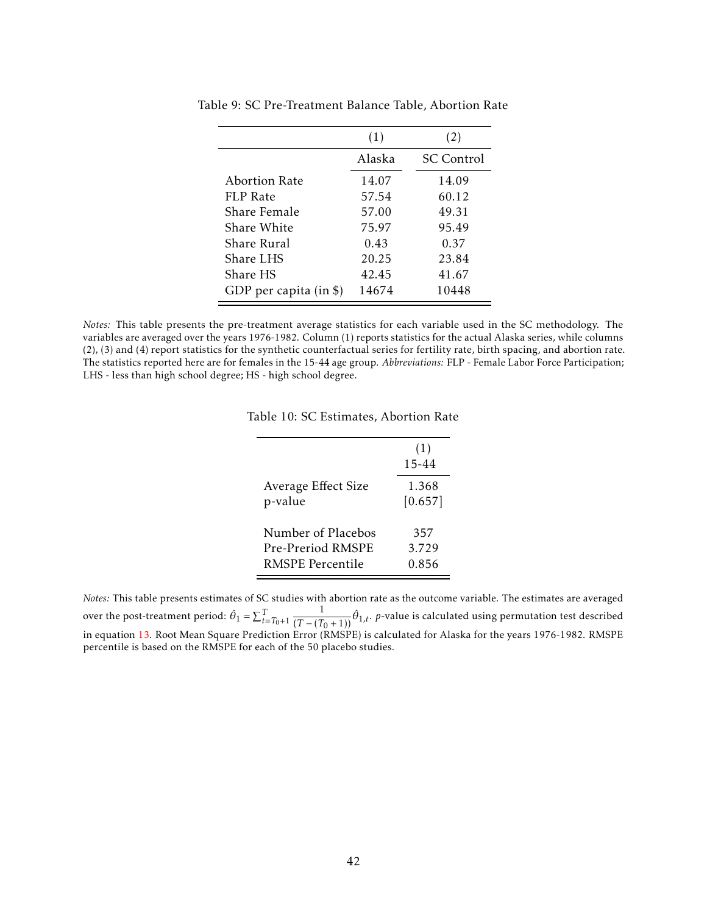|                        | (1)    | (2)               |
|------------------------|--------|-------------------|
|                        | Alaska | <b>SC</b> Control |
| Abortion Rate          | 14.07  | 14.09             |
| FLP Rate               | 57.54  | 60.12             |
| Share Female           | 57.00  | 49.31             |
| Share White            | 75.97  | 95.49             |
| Share Rural            | 0.43   | 0.37              |
| Share LHS              | 20.25  | 23.84             |
| Share HS               | 42.45  | 41.67             |
| GDP per capita (in \$) | 14674  | 10448             |

<span id="page-42-0"></span>Table 9: SC Pre-Treatment Balance Table, Abortion Rate

<span id="page-42-1"></span>*Notes:* This table presents the pre-treatment average statistics for each variable used in the SC methodology. The variables are averaged over the years 1976-1982. Column (1) reports statistics for the actual Alaska series, while columns (2), (3) and (4) report statistics for the synthetic counterfactual series for fertility rate, birth spacing, and abortion rate. The statistics reported here are for females in the 15-44 age group. *Abbreviations:* FLP - Female Labor Force Participation; LHS - less than high school degree; HS - high school degree.

|  |  |  | Table 10: SC Estimates, Abortion Rate |  |  |
|--|--|--|---------------------------------------|--|--|
|--|--|--|---------------------------------------|--|--|

|                     | (1)<br>15-44 |
|---------------------|--------------|
| Average Effect Size | 1.368        |
| p-value             | [0.657]      |
| Number of Placebos  | 357          |
| Pre-Preriod RMSPE   | 3.729        |
| RMSPE Percentile    | 0.856        |

*Notes:* This table presents estimates of SC studies with abortion rate as the outcome variable. The estimates are averaged over the post-treatment period:  $\hat{\theta}_1 = \sum_{t=T_0+1}^{T}$  $\frac{1}{(T-(T_0+1))}\hat{\theta}_{1,t}$ . *p*-value is calculated using permutation test described in equation [13.](#page-16-0) Root Mean Square Prediction Error (RMSPE) is calculated for Alaska for the years 1976-1982. RMSPE percentile is based on the RMSPE for each of the 50 placebo studies.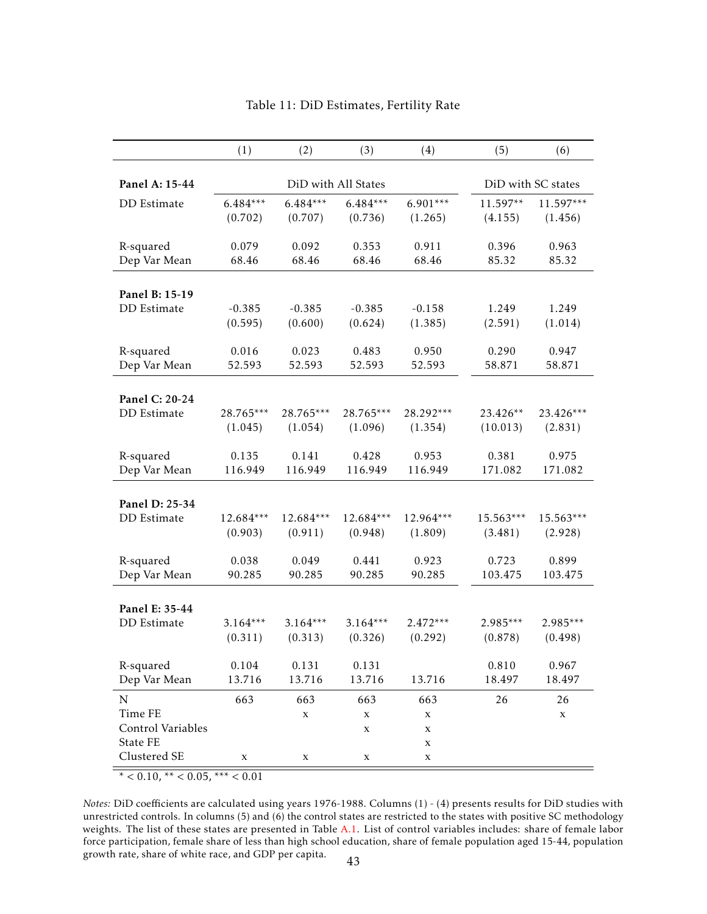<span id="page-43-0"></span>

|                                                                         | (1)        | (2)                     | (3)                                              | (4)                                         | (5)        | (6)                |
|-------------------------------------------------------------------------|------------|-------------------------|--------------------------------------------------|---------------------------------------------|------------|--------------------|
| Panel A: 15-44                                                          |            | DiD with All States     |                                                  |                                             |            | DiD with SC states |
| DD Estimate                                                             | $6.484***$ | $6.484***$              | $6.484***$                                       | $6.901***$                                  | 11.597**   | $11.597***$        |
|                                                                         | (0.702)    | (0.707)                 | (0.736)                                          | (1.265)                                     | (4.155)    | (1.456)            |
| R-squared                                                               | 0.079      | 0.092                   | 0.353                                            | 0.911                                       | 0.396      | 0.963              |
| Dep Var Mean                                                            | 68.46      | 68.46                   | 68.46                                            | 68.46                                       | 85.32      | 85.32              |
| Panel B: 15-19<br>DD Estimate                                           | $-0.385$   | $-0.385$                | $-0.385$                                         | $-0.158$                                    | 1.249      | 1.249              |
|                                                                         | (0.595)    | (0.600)                 | (0.624)                                          | (1.385)                                     | (2.591)    | (1.014)            |
| R-squared                                                               | 0.016      | 0.023                   | 0.483                                            | 0.950                                       | 0.290      | 0.947              |
| Dep Var Mean                                                            | 52.593     | 52.593                  | 52.593                                           | 52.593                                      | 58.871     | 58.871             |
| Panel C: 20-24                                                          | 28.765***  | 28.765***               | 28.765***                                        | 28.292***                                   | 23.426**   | $23.426***$        |
| <b>DD</b> Estimate                                                      | (1.045)    | (1.054)                 | (1.096)                                          | (1.354)                                     | (10.013)   | (2.831)            |
| R-squared                                                               | 0.135      | 0.141                   | 0.428                                            | 0.953                                       | 0.381      | 0.975              |
| Dep Var Mean                                                            | 116.949    | 116.949                 | 116.949                                          | 116.949                                     | 171.082    | 171.082            |
| Panel D: 25-34                                                          | 12.684***  | 12.684***               | 12.684***                                        | 12.964***                                   | 15.563***  | 15.563***          |
| DD Estimate                                                             | (0.903)    | (0.911)                 | (0.948)                                          | (1.809)                                     | (3.481)    | (2.928)            |
| R-squared                                                               | 0.038      | 0.049                   | 0.441                                            | 0.923                                       | 0.723      | 0.899              |
| Dep Var Mean                                                            | 90.285     | 90.285                  | 90.285                                           | 90.285                                      | 103.475    | 103.475            |
| Panel E: 35-44                                                          | $3.164***$ | $3.164***$              | $3.164***$                                       | $2.472***$                                  | $2.985***$ | $2.985***$         |
| DD Estimate                                                             | (0.311)    | (0.313)                 | (0.326)                                          | (0.292)                                     | (0.878)    | (0.498)            |
| R-squared                                                               | 0.104      | 0.131                   | 0.131                                            | 13.716                                      | 0.810      | 0.967              |
| Dep Var Mean                                                            | 13.716     | 13.716                  | 13.716                                           |                                             | 18.497     | 18.497             |
| $\mathbf N$<br>Time FE<br>Control Variables<br>State FE<br>Clustered SE | 663<br>X   | 663<br>$\mathbf X$<br>X | 663<br>$\mathbf X$<br>$\mathbf X$<br>$\mathbf X$ | 663<br>$\mathbf X$<br>$\mathbf X$<br>X<br>X | 26         | 26<br>$\mathbf X$  |

## Table 11: DiD Estimates, Fertility Rate

 $* < 0.10, ** < 0.05, ** < 0.01$ 

*Notes:* DiD coefficients are calculated using years 1976-1988. Columns (1) - (4) presents results for DiD studies with unrestricted controls. In columns (5) and (6) the control states are restricted to the states with positive SC methodology weights. The list of these states are presented in Table [A.1.](#page-49-0) List of control variables includes: share of female labor force participation, female share of less than high school education, share of female population aged 15-44, population growth rate, share of white race, and GDP per capita. <sup>43</sup>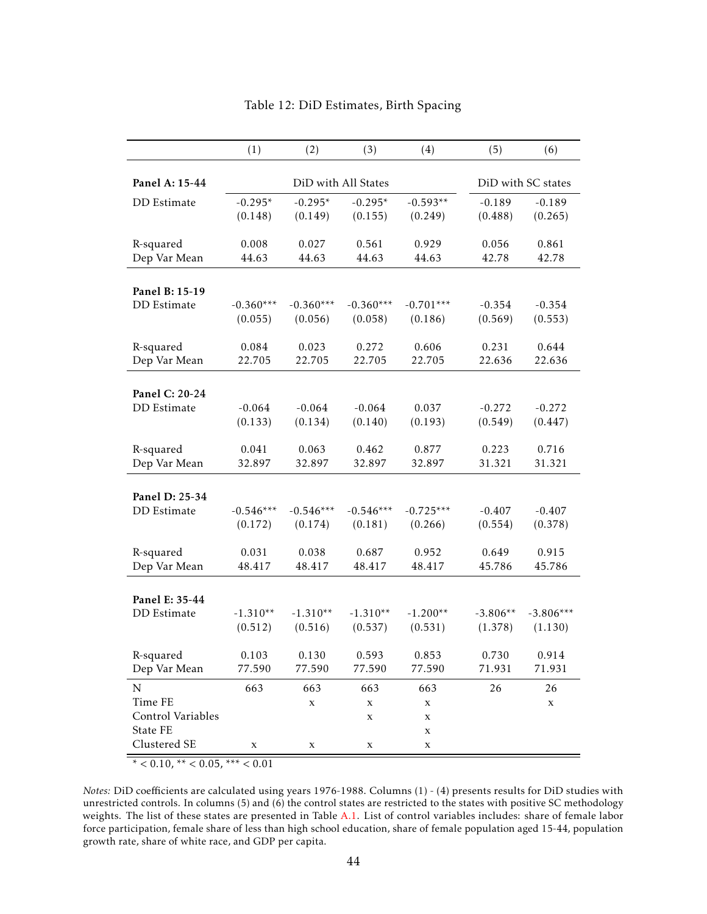<span id="page-44-0"></span>

|                                                                       | (1)         | (2)                               | (3)                                              | (4)                                                             | (5)        | (6)               |
|-----------------------------------------------------------------------|-------------|-----------------------------------|--------------------------------------------------|-----------------------------------------------------------------|------------|-------------------|
| Panel A: 15-44                                                        |             | DiD with All States               | DiD with SC states                               |                                                                 |            |                   |
| DD Estimate                                                           | $-0.295*$   | $-0.295*$                         | $-0.295*$                                        | $-0.593**$                                                      | $-0.189$   | $-0.189$          |
|                                                                       | (0.148)     | (0.149)                           | (0.155)                                          | (0.249)                                                         | (0.488)    | (0.265)           |
| R-squared                                                             | 0.008       | 0.027                             | 0.561                                            | 0.929                                                           | 0.056      | 0.861             |
| Dep Var Mean                                                          | 44.63       | 44.63                             | 44.63                                            | 44.63                                                           | 42.78      | 42.78             |
| Panel B: 15-19                                                        | $-0.360***$ | $-0.360***$                       | $-0.360***$                                      | $-0.701***$                                                     | $-0.354$   | $-0.354$          |
| DD Estimate                                                           | (0.055)     | (0.056)                           | (0.058)                                          | (0.186)                                                         | (0.569)    | (0.553)           |
| R-squared                                                             | 0.084       | 0.023                             | 0.272                                            | 0.606                                                           | 0.231      | 0.644             |
| Dep Var Mean                                                          | 22.705      | 22.705                            | 22.705                                           | 22.705                                                          | 22.636     | 22.636            |
| Panel C: 20-24                                                        | $-0.064$    | $-0.064$                          | $-0.064$                                         | 0.037                                                           | $-0.272$   | $-0.272$          |
| DD Estimate                                                           | (0.133)     | (0.134)                           | (0.140)                                          | (0.193)                                                         | (0.549)    | (0.447)           |
| R-squared                                                             | 0.041       | 0.063                             | 0.462                                            | 0.877                                                           | 0.223      | 0.716             |
| Dep Var Mean                                                          | 32.897      | 32.897                            | 32.897                                           | 32.897                                                          | 31.321     | 31.321            |
| Panel D: 25-34                                                        | $-0.546***$ | $-0.546***$                       | $-0.546***$                                      | $-0.725***$                                                     | $-0.407$   | $-0.407$          |
| DD Estimate                                                           | (0.172)     | (0.174)                           | (0.181)                                          | (0.266)                                                         | (0.554)    | (0.378)           |
| R-squared                                                             | 0.031       | 0.038                             | 0.687                                            | 0.952                                                           | 0.649      | 0.915             |
| Dep Var Mean                                                          | 48.417      | 48.417                            | 48.417                                           | 48.417                                                          | 45.786     | 45.786            |
| Panel E: 35-44                                                        | $-1.310**$  | $-1.310**$                        | $-1.310**$                                       | $-1.200**$                                                      | $-3.806**$ | $-3.806***$       |
| DD Estimate                                                           | (0.512)     | (0.516)                           | (0.537)                                          | (0.531)                                                         | (1.378)    | (1.130)           |
| R-squared                                                             | 0.103       | 0.130                             | 0.593                                            | 0.853                                                           | 0.730      | 0.914             |
| Dep Var Mean                                                          | 77.590      | 77.590                            | 77.590                                           | 77.590                                                          | 71.931     | 71.931            |
| ${\bf N}$<br>Time FE<br>Control Variables<br>State FE<br>Clustered SE | 663<br>X    | 663<br>$\mathbf X$<br>$\mathbf X$ | 663<br>$\mathbf x$<br>$\mathbf x$<br>$\mathbf X$ | 663<br>$\mathbf x$<br>$\mathbf x$<br>$\mathbf x$<br>$\mathbf X$ | 26         | 26<br>$\mathbf X$ |

## Table 12: DiD Estimates, Birth Spacing

 $* < 0.10, ** < 0.05, ** < 0.01$ 

*Notes:* DiD coefficients are calculated using years 1976-1988. Columns (1) - (4) presents results for DiD studies with unrestricted controls. In columns (5) and (6) the control states are restricted to the states with positive SC methodology weights. The list of these states are presented in Table [A.1.](#page-49-0) List of control variables includes: share of female labor force participation, female share of less than high school education, share of female population aged 15-44, population growth rate, share of white race, and GDP per capita.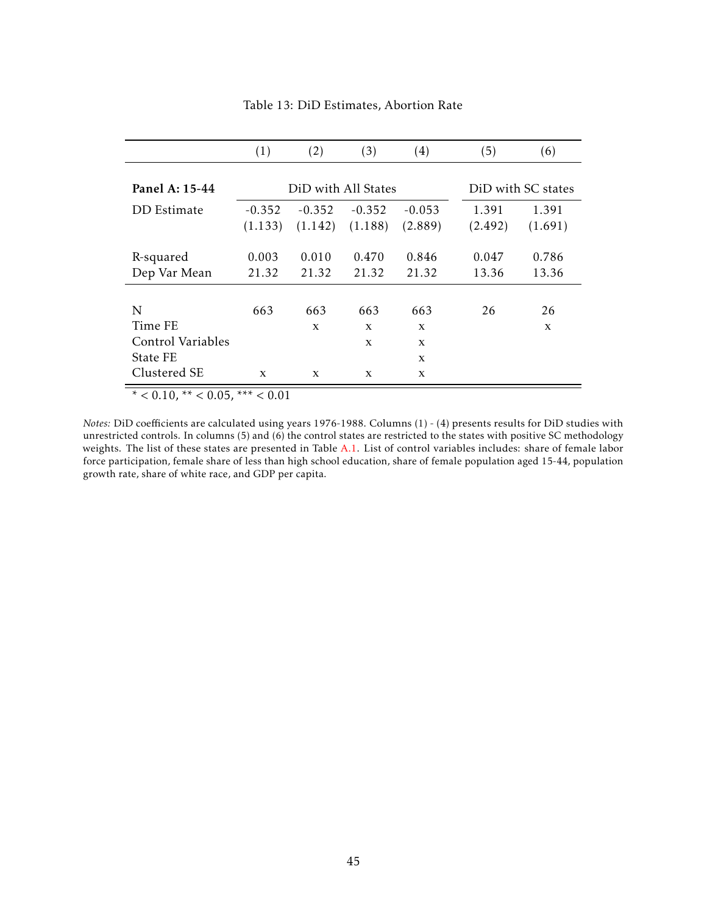<span id="page-45-0"></span>

|                                 | (1)                 | (2)          | (3)                | (4)          | (5)     | (6)          |
|---------------------------------|---------------------|--------------|--------------------|--------------|---------|--------------|
| Panel A: 15-44                  | DiD with All States |              | DiD with SC states |              |         |              |
| DD Estimate                     | $-0.352$            | $-0.352$     | $-0.352$           | $-0.053$     | 1.391   | 1.391        |
|                                 | (1.133)             | (1.142)      | (1.188)            | (2.889)      | (2.492) | (1.691)      |
| R-squared                       | 0.003               | 0.010        | 0.470              | 0.846        | 0.047   | 0.786        |
| Dep Var Mean                    | 21.32               | 21.32        | 21.32              | 21.32        | 13.36   | 13.36        |
| N                               | 663                 | 663          | 663                | 663          | 26      | 26           |
| Time FE                         |                     | $\mathbf{x}$ | $\mathbf{x}$       | $\mathbf{x}$ |         | $\mathbf{x}$ |
| Control Variables               |                     |              | X                  | X            |         |              |
| State FE                        |                     |              |                    | X            |         |              |
| Clustered SE                    | $\mathbf{x}$        | $\mathbf{x}$ | $\mathbf{x}$       | $\mathbf{x}$ |         |              |
| * < 0.10, ** < 0.05, *** < 0.01 |                     |              |                    |              |         |              |

Table 13: DiD Estimates, Abortion Rate

*Notes:* DiD coefficients are calculated using years 1976-1988. Columns (1) - (4) presents results for DiD studies with unrestricted controls. In columns  $(5)$  and  $(6)$  the control states are restricted to the states with positive SC methodology weights. The list of these states are presented in Table [A.1.](#page-49-0) List of control variables includes: share of female labor force participation, female share of less than high school education, share of female population aged 15-44, population growth rate, share of white race, and GDP per capita.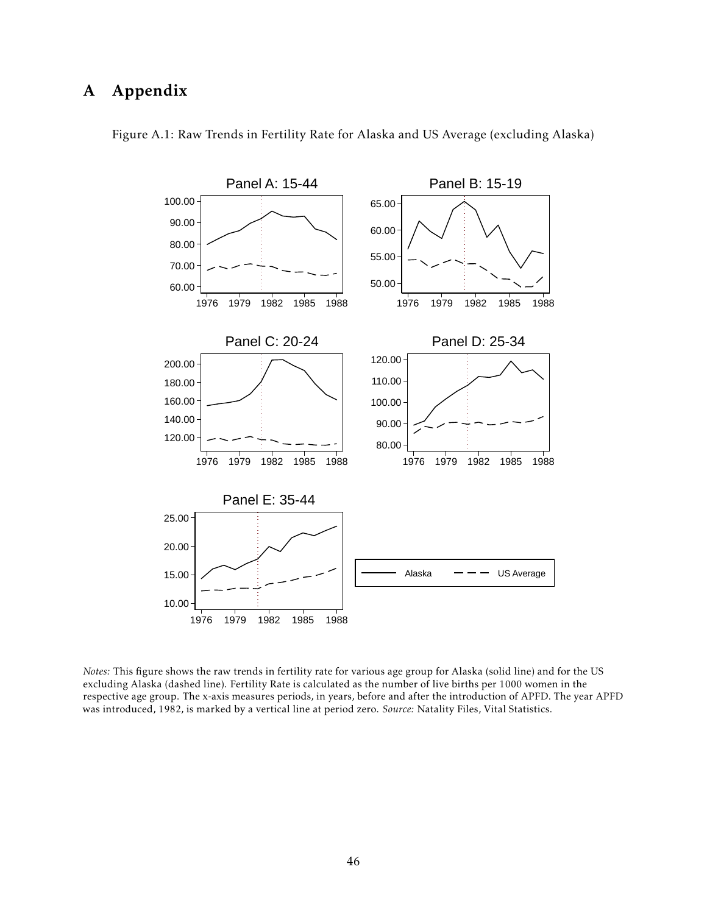# A Appendix



Figure A.1: Raw Trends in Fertility Rate for Alaska and US Average (excluding Alaska)

*Notes:* This figure shows the raw trends in fertility rate for various age group for Alaska (solid line) and for the US excluding Alaska (dashed line). Fertility Rate is calculated as the number of live births per 1000 women in the respective age group. The x-axis measures periods, in years, before and after the introduction of APFD. The year APFD was introduced, 1982, is marked by a vertical line at period zero. *Source:* Natality Files, Vital Statistics.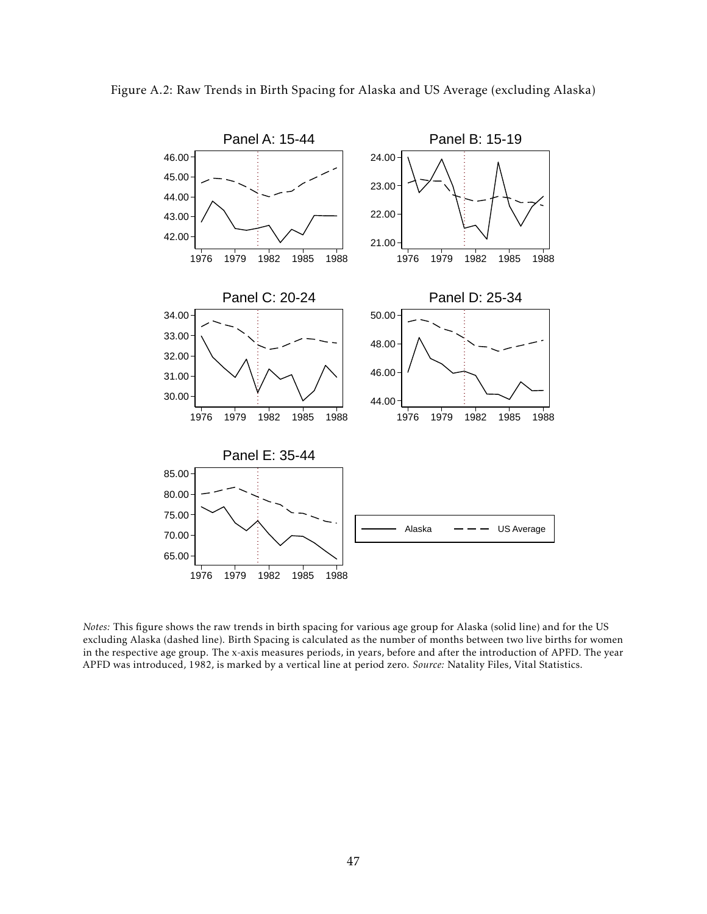



*Notes:* This figure shows the raw trends in birth spacing for various age group for Alaska (solid line) and for the US excluding Alaska (dashed line). Birth Spacing is calculated as the number of months between two live births for women in the respective age group. The x-axis measures periods, in years, before and after the introduction of APFD. The year APFD was introduced, 1982, is marked by a vertical line at period zero. *Source:* Natality Files, Vital Statistics.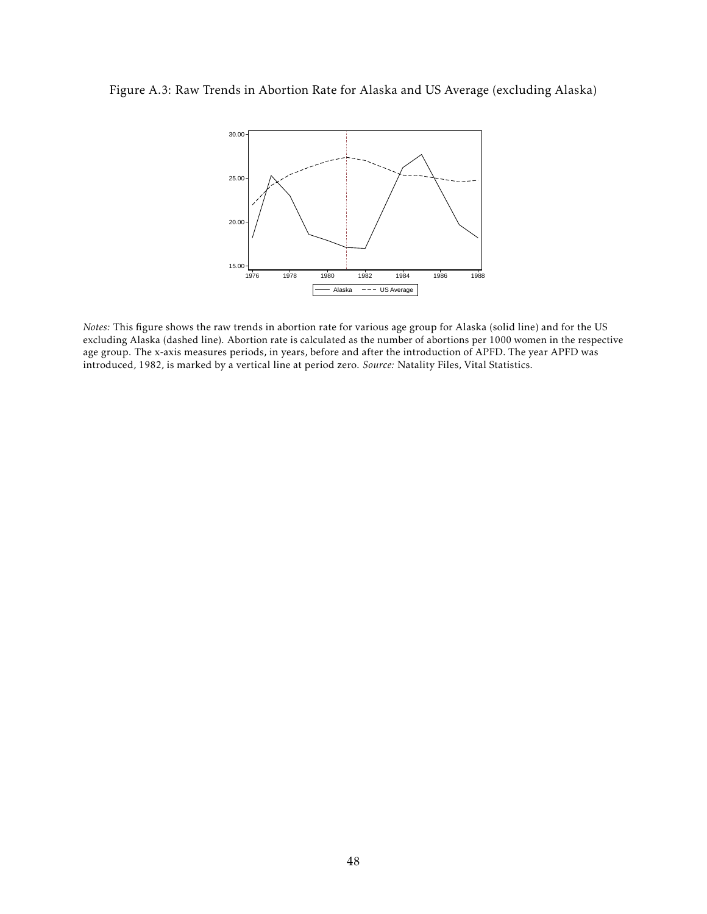## Figure A.3: Raw Trends in Abortion Rate for Alaska and US Average (excluding Alaska)



*Notes:* This figure shows the raw trends in abortion rate for various age group for Alaska (solid line) and for the US excluding Alaska (dashed line). Abortion rate is calculated as the number of abortions per 1000 women in the respective age group. The x-axis measures periods, in years, before and after the introduction of APFD. The year APFD was introduced, 1982, is marked by a vertical line at period zero. *Source:* Natality Files, Vital Statistics.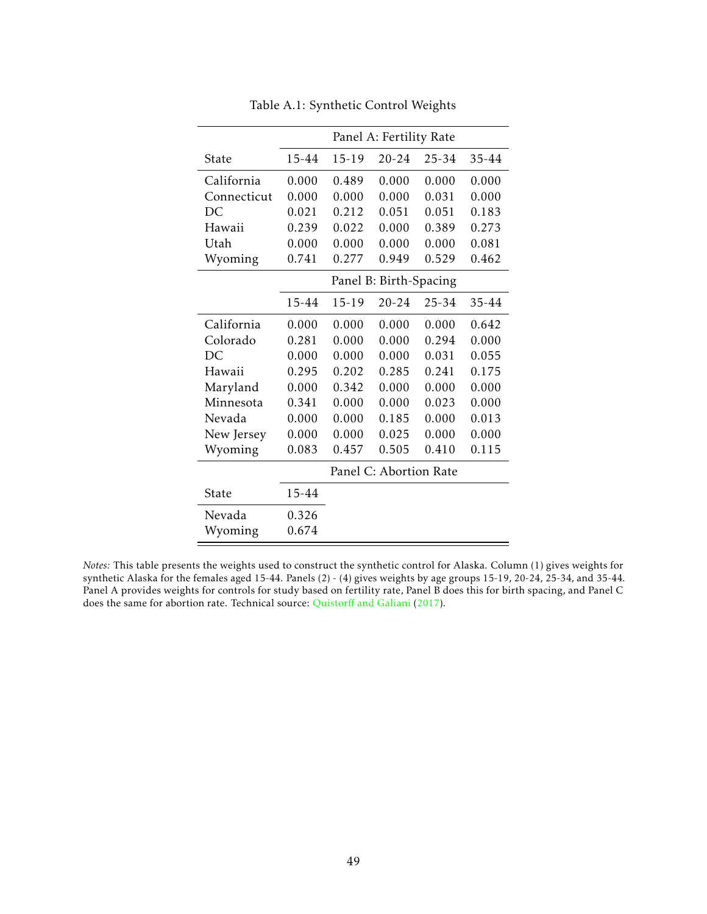<span id="page-49-0"></span>

|             | Panel A: Fertility Rate |           |                        |       |       |
|-------------|-------------------------|-----------|------------------------|-------|-------|
| State       | 15-44                   | 15-19     | $20 - 24$              | 25-34 | 35-44 |
| California  | 0.000                   | 0.489     | 0.000                  | 0.000 | 0.000 |
| Connecticut | 0.000                   | 0.000     | 0.000                  | 0.031 | 0.000 |
| DC          | 0.021                   | 0.212     | 0.051                  | 0.051 | 0.183 |
| Hawaii      | 0.239                   | 0.022     | 0.000                  | 0.389 | 0.273 |
| Utah        | 0.000                   | 0.000     | 0.000                  | 0.000 | 0.081 |
| Wyoming     | 0.741                   | 0.277     | 0.949                  | 0.529 | 0.462 |
|             |                         |           | Panel B: Birth-Spacing |       |       |
|             | 15-44                   | $15 - 19$ | $20 - 24$              | 25-34 | 35-44 |
| California  | 0.000                   | 0.000     | 0.000                  | 0.000 | 0.642 |
| Colorado    | 0.281                   | 0.000     | 0.000                  | 0.294 | 0.000 |
| DC          | 0.000                   | 0.000     | 0.000                  | 0.031 | 0.055 |
| Hawaii      | 0.295                   | 0.202     | 0.285                  | 0.241 | 0.175 |
| Maryland    | 0.000                   | 0.342     | 0.000                  | 0.000 | 0.000 |
| Minnesota   | 0.341                   | 0.000     | 0.000                  | 0.023 | 0.000 |
| Nevada      | 0.000                   | 0.000     | 0.185                  | 0.000 | 0.013 |
| New Jersey  | 0.000                   | 0.000     | 0.025                  | 0.000 | 0.000 |
| Wyoming     | 0.083                   | 0.457     | 0.505                  | 0.410 | 0.115 |
|             |                         |           | Panel C: Abortion Rate |       |       |
| State       | 15-44                   |           |                        |       |       |
| Nevada      | 0.326                   |           |                        |       |       |
| Wyoming     | 0.674                   |           |                        |       |       |

Table A.1: Synthetic Control Weights

*Notes:* This table presents the weights used to construct the synthetic control for Alaska. Column (1) gives weights for synthetic Alaska for the females aged 15-44. Panels (2) - (4) gives weights by age groups 15-19, 20-24, 25-34, and 35-44. Panel A provides weights for controls for study based on fertility rate, Panel B does this for birth spacing, and Panel C does the same for abortion rate. Technical source: Quistorff [and Galiani](#page-28-5) [\(2017\)](#page-28-5).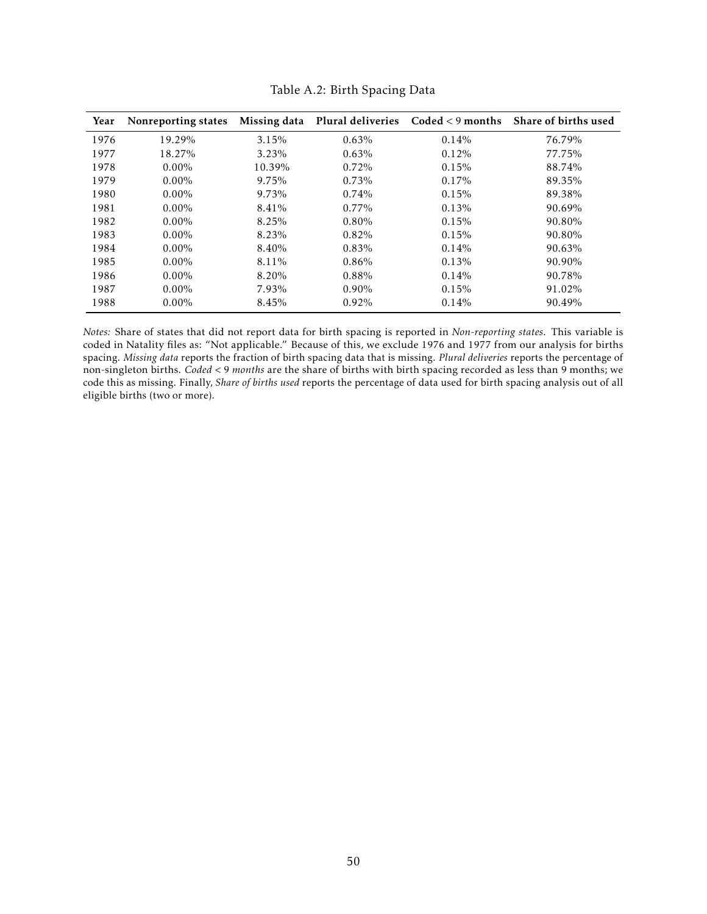<span id="page-50-0"></span>

| Year | Nonreporting states | Missing data |          |       | Plural deliveries Coded < 9 months Share of births used |
|------|---------------------|--------------|----------|-------|---------------------------------------------------------|
| 1976 | 19.29%              | 3.15%        | 0.63%    | 0.14% | 76.79%                                                  |
| 1977 | 18.27%              | 3.23%        | 0.63%    | 0.12% | 77.75%                                                  |
| 1978 | $0.00\%$            | 10.39%       | 0.72%    | 0.15% | 88.74%                                                  |
| 1979 | $0.00\%$            | 9.75%        | 0.73%    | 0.17% | 89.35%                                                  |
| 1980 | $0.00\%$            | 9.73%        | 0.74%    | 0.15% | 89.38%                                                  |
| 1981 | $0.00\%$            | 8.41%        | $0.77\%$ | 0.13% | 90.69%                                                  |
| 1982 | $0.00\%$            | 8.25%        | $0.80\%$ | 0.15% | 90.80%                                                  |
| 1983 | $0.00\%$            | 8.23%        | 0.82%    | 0.15% | 90.80%                                                  |
| 1984 | $0.00\%$            | 8.40%        | 0.83%    | 0.14% | 90.63%                                                  |
| 1985 | $0.00\%$            | 8.11%        | 0.86%    | 0.13% | 90.90%                                                  |
| 1986 | $0.00\%$            | 8.20%        | 0.88%    | 0.14% | 90.78%                                                  |
| 1987 | $0.00\%$            | 7.93%        | $0.90\%$ | 0.15% | 91.02%                                                  |
| 1988 | $0.00\%$            | 8.45%        | 0.92%    | 0.14% | 90.49%                                                  |

Table A.2: Birth Spacing Data

*Notes:* Share of states that did not report data for birth spacing is reported in *Non-reporting states*. This variable is coded in Natality files as: "Not applicable." Because of this, we exclude 1976 and 1977 from our analysis for births spacing. *Missing data* reports the fraction of birth spacing data that is missing. *Plural deliveries* reports the percentage of non-singleton births. *Coded <* 9 *months* are the share of births with birth spacing recorded as less than 9 months; we code this as missing. Finally, *Share of births used* reports the percentage of data used for birth spacing analysis out of all eligible births (two or more).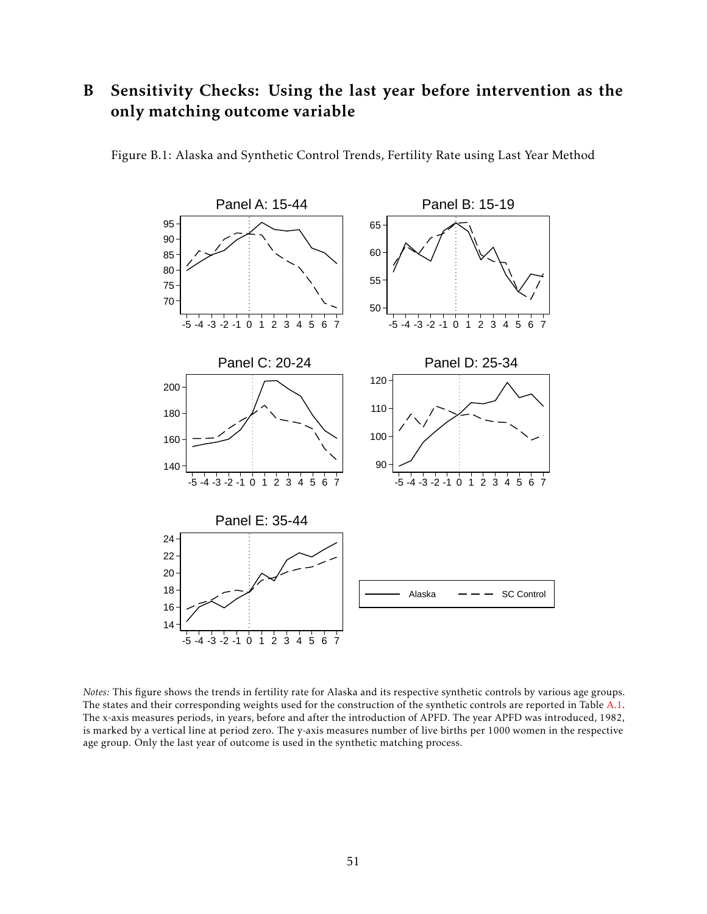# B Sensitivity Checks: Using the last year before intervention as the only matching outcome variable



Figure B.1: Alaska and Synthetic Control Trends, Fertility Rate using Last Year Method

*Notes:* This figure shows the trends in fertility rate for Alaska and its respective synthetic controls by various age groups. The states and their corresponding weights used for the construction of the synthetic controls are reported in Table [A.1.](#page-49-0) The x-axis measures periods, in years, before and after the introduction of APFD. The year APFD was introduced, 1982, is marked by a vertical line at period zero. The y-axis measures number of live births per 1000 women in the respective age group. Only the last year of outcome is used in the synthetic matching process.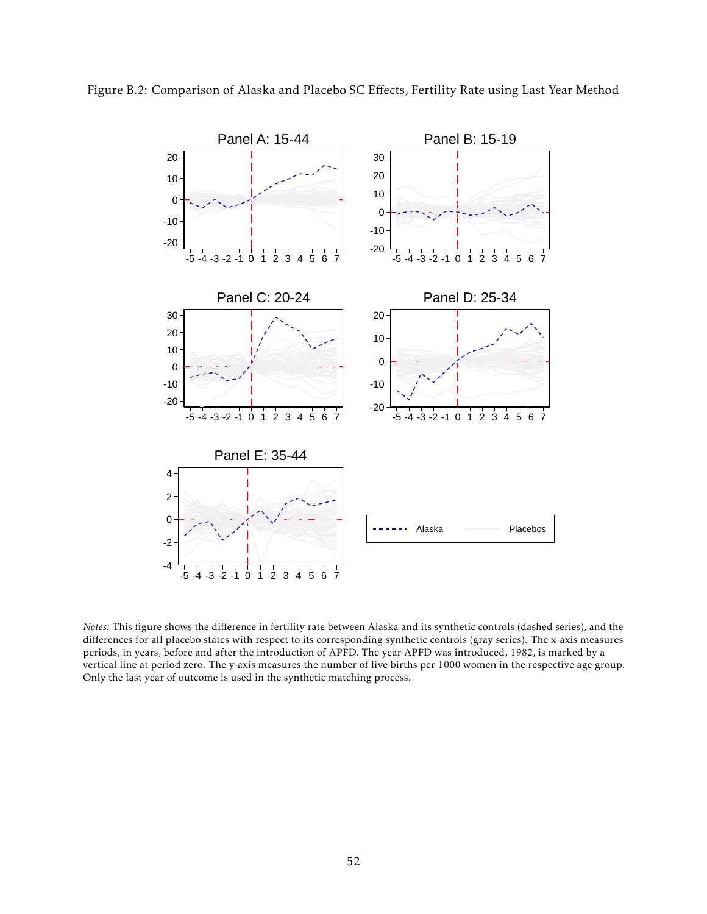

Figure B.2: Comparison of Alaska and Placebo SC Effects, Fertility Rate using Last Year Method

*Notes:* This figure shows the difference in fertility rate between Alaska and its synthetic controls (dashed series), and the differences for all placebo states with respect to its corresponding synthetic controls (gray series). The x-axis measures periods, in years, before and after the introduction of APFD. The year APFD was introduced, 1982, is marked by a vertical line at period zero. The y-axis measures the number of live births per 1000 women in the respective age group. Only the last year of outcome is used in the synthetic matching process.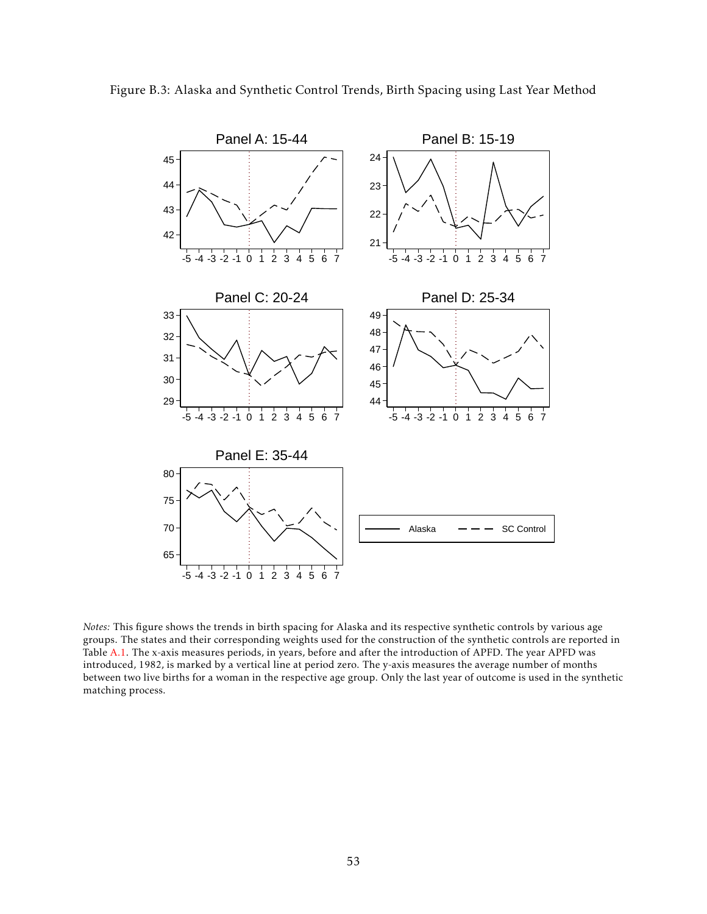

*Notes:* This figure shows the trends in birth spacing for Alaska and its respective synthetic controls by various age groups. The states and their corresponding weights used for the construction of the synthetic controls are reported in Table [A.1.](#page-49-0) The x-axis measures periods, in years, before and after the introduction of APFD. The year APFD was introduced, 1982, is marked by a vertical line at period zero. The y-axis measures the average number of months between two live births for a woman in the respective age group. Only the last year of outcome is used in the synthetic matching process.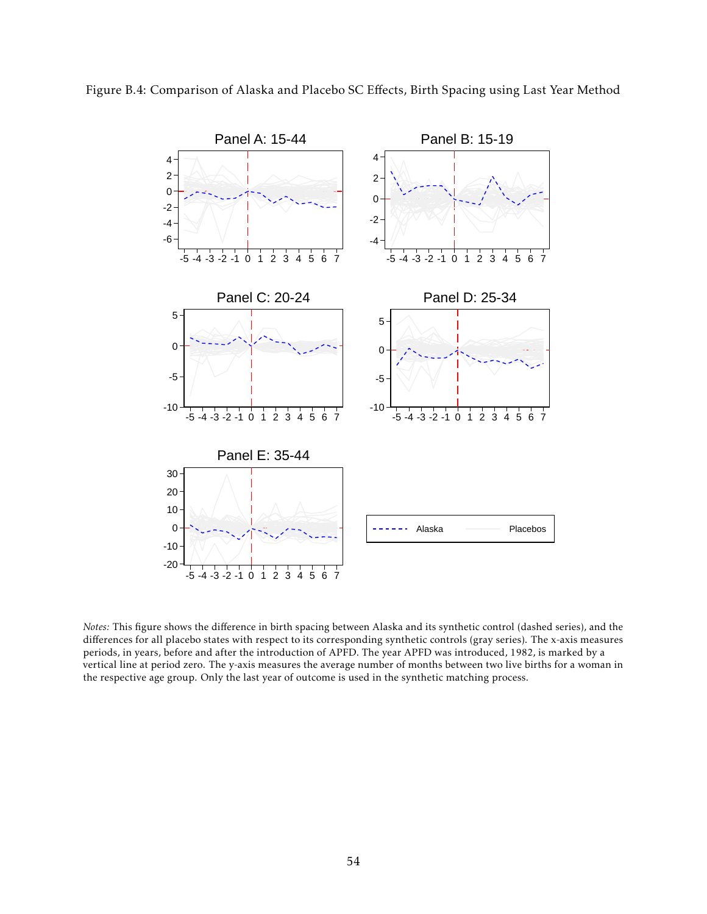

Figure B.4: Comparison of Alaska and Placebo SC Effects, Birth Spacing using Last Year Method

*Notes:* This figure shows the difference in birth spacing between Alaska and its synthetic control (dashed series), and the differences for all placebo states with respect to its corresponding synthetic controls (gray series). The x-axis measures periods, in years, before and after the introduction of APFD. The year APFD was introduced, 1982, is marked by a vertical line at period zero. The y-axis measures the average number of months between two live births for a woman in the respective age group. Only the last year of outcome is used in the synthetic matching process.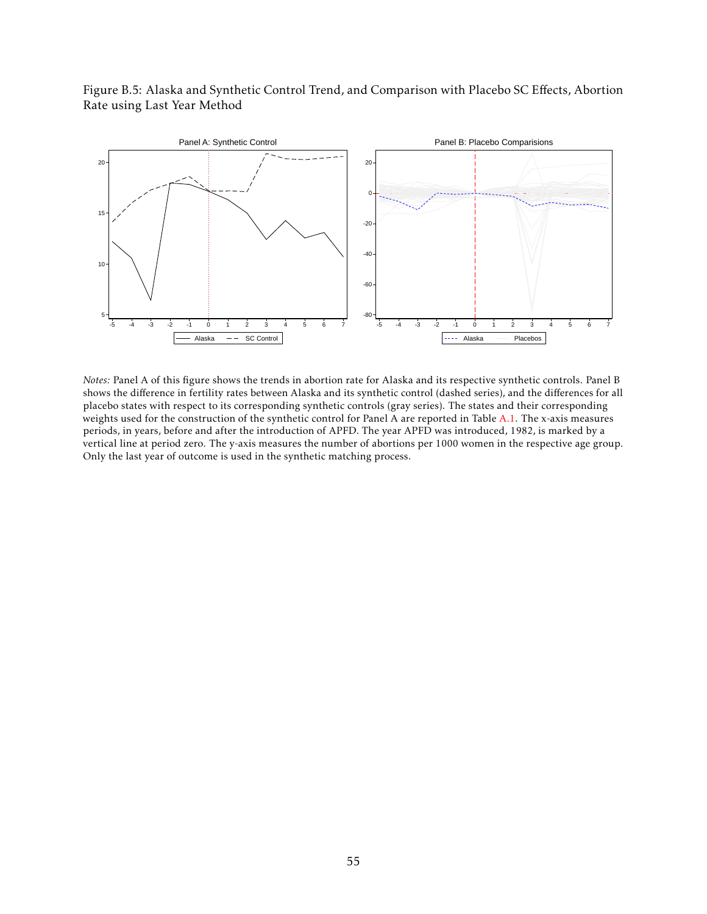Figure B.5: Alaska and Synthetic Control Trend, and Comparison with Placebo SC Effects, Abortion Rate using Last Year Method



*Notes:* Panel A of this figure shows the trends in abortion rate for Alaska and its respective synthetic controls. Panel B shows the difference in fertility rates between Alaska and its synthetic control (dashed series), and the differences for all placebo states with respect to its corresponding synthetic controls (gray series). The states and their corresponding weights used for the construction of the synthetic control for Panel A are reported in Table [A.1.](#page-49-0) The x-axis measures periods, in years, before and after the introduction of APFD. The year APFD was introduced, 1982, is marked by a vertical line at period zero. The y-axis measures the number of abortions per 1000 women in the respective age group. Only the last year of outcome is used in the synthetic matching process.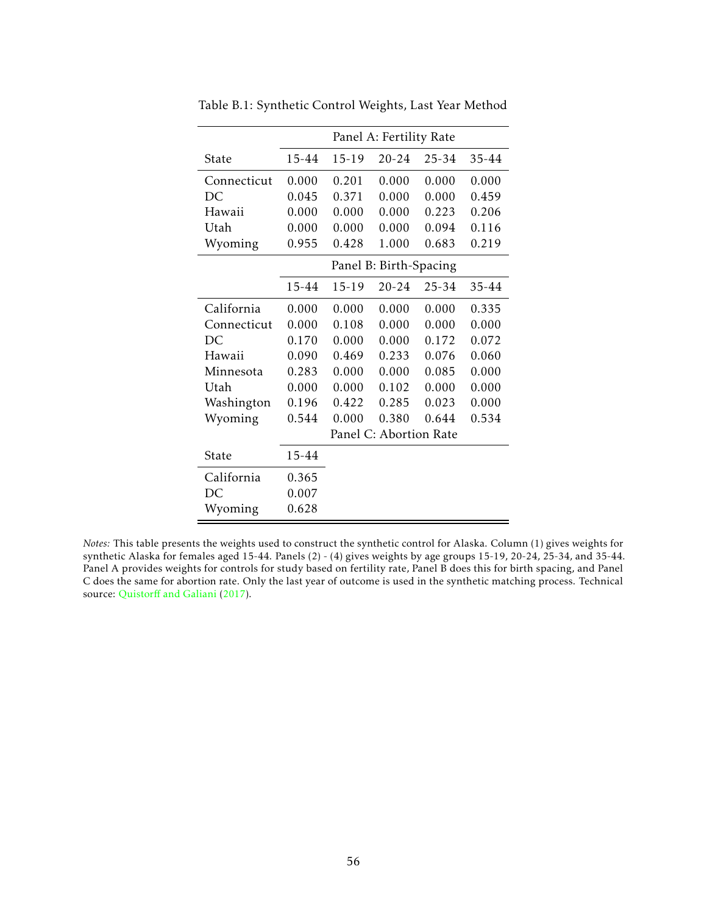|             | Panel A: Fertility Rate |           |                        |           |       |  |
|-------------|-------------------------|-----------|------------------------|-----------|-------|--|
| State       | 15-44                   | $15 - 19$ | $20 - 24$              | $25 - 34$ | 35-44 |  |
| Connecticut | 0.000                   | 0.201     | 0.000                  | 0.000     | 0.000 |  |
| DC          | 0.045                   | 0.371     | 0.000                  | 0.000     | 0.459 |  |
| Hawaii      | 0.000                   | 0.000     | 0.000                  | 0.223     | 0.206 |  |
| Utah        | 0.000                   | 0.000     | 0.000                  | 0.094     | 0.116 |  |
| Wyoming     | 0.955                   | 0.428     | 1.000                  | 0.683     | 0.219 |  |
|             |                         |           | Panel B: Birth-Spacing |           |       |  |
|             | 15-44                   | $15 - 19$ | $20 - 24$              | $25 - 34$ | 35-44 |  |
| California  | 0.000                   | 0.000     | 0.000                  | 0.000     | 0.335 |  |
| Connecticut | 0.000                   | 0.108     | 0.000                  | 0.000     | 0.000 |  |
| DC          | 0.170                   | 0.000     | 0.000                  | 0.172     | 0.072 |  |
| Hawaii      | 0.090                   | 0.469     | 0.233                  | 0.076     | 0.060 |  |
| Minnesota   | 0.283                   | 0.000     | 0.000                  | 0.085     | 0.000 |  |
| Utah        | 0.000                   | 0.000     | 0.102                  | 0.000     | 0.000 |  |
| Washington  | 0.196                   | 0.422     | 0.285                  | 0.023     | 0.000 |  |
| Wyoming     | 0.544                   | 0.000     | 0.380                  | 0.644     | 0.534 |  |
|             | Panel C: Abortion Rate  |           |                        |           |       |  |
| State       | 15-44                   |           |                        |           |       |  |
| California  | 0.365                   |           |                        |           |       |  |
| DС          | 0.007                   |           |                        |           |       |  |
| Wyoming     | 0.628                   |           |                        |           |       |  |

Table B.1: Synthetic Control Weights, Last Year Method

*Notes:* This table presents the weights used to construct the synthetic control for Alaska. Column (1) gives weights for synthetic Alaska for females aged 15-44. Panels (2) - (4) gives weights by age groups 15-19, 20-24, 25-34, and 35-44. Panel A provides weights for controls for study based on fertility rate, Panel B does this for birth spacing, and Panel C does the same for abortion rate. Only the last year of outcome is used in the synthetic matching process. Technical source: Quistorff [and Galiani](#page-28-5) [\(2017\)](#page-28-5).